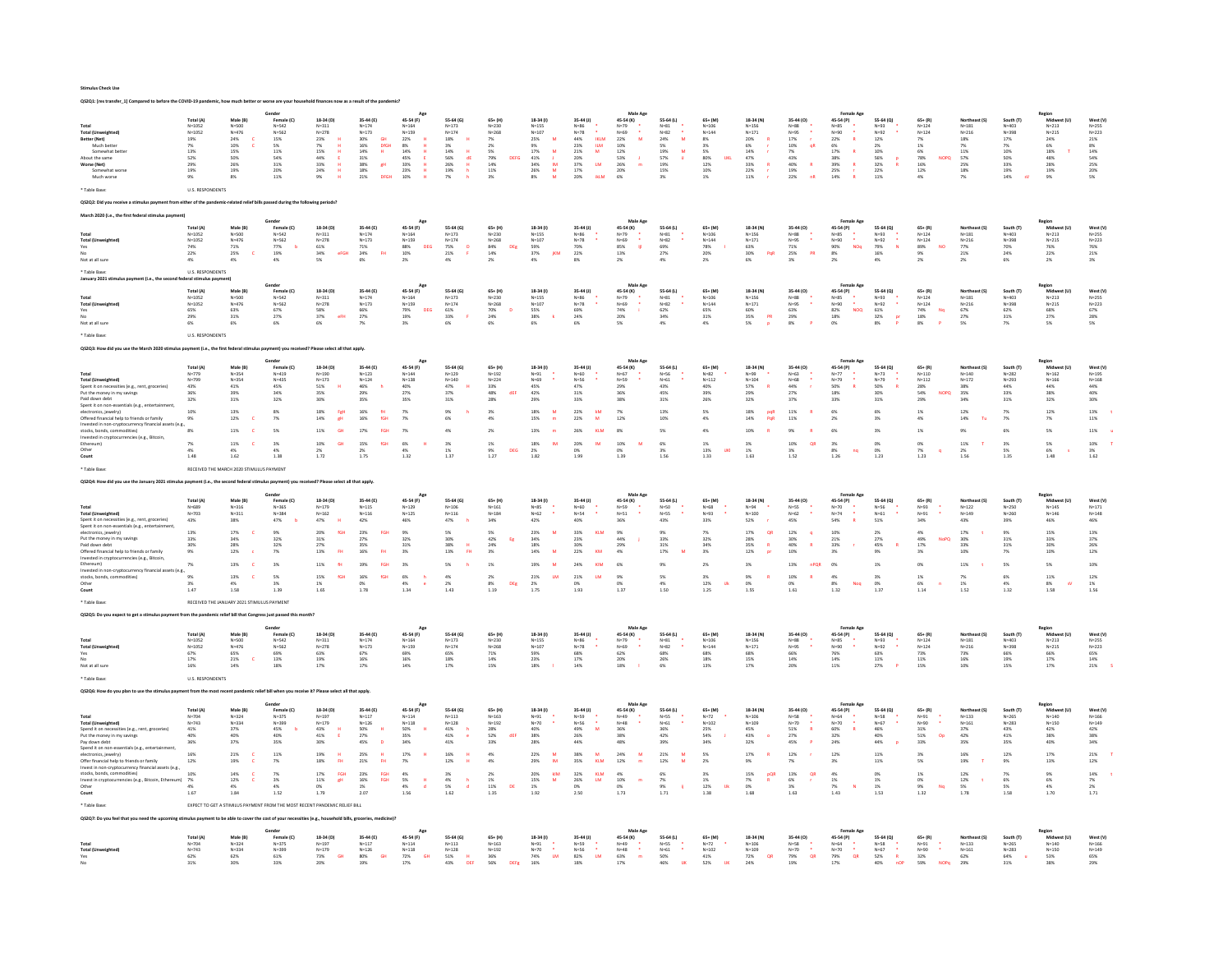|                                                                                                                                                 |                                                                 |                                             | ared to before the COVID-19 pandemic, how much better or worse are your household finances now as a result of the pandemic |                                                  |                                                                 |                                                          |                                         |                                     |                                          |                                    |                                                     |                       |                                                          |                                             |                                 |                                                  |                                              |                                         |                            |                          |                                                          |                        |
|-------------------------------------------------------------------------------------------------------------------------------------------------|-----------------------------------------------------------------|---------------------------------------------|----------------------------------------------------------------------------------------------------------------------------|--------------------------------------------------|-----------------------------------------------------------------|----------------------------------------------------------|-----------------------------------------|-------------------------------------|------------------------------------------|------------------------------------|-----------------------------------------------------|-----------------------|----------------------------------------------------------|---------------------------------------------|---------------------------------|--------------------------------------------------|----------------------------------------------|-----------------------------------------|----------------------------|--------------------------|----------------------------------------------------------|------------------------|
|                                                                                                                                                 |                                                                 |                                             | Gende                                                                                                                      |                                                  |                                                                 |                                                          |                                         |                                     |                                          |                                    | Male Age                                            |                       |                                                          |                                             |                                 | Female Age                                       |                                              |                                         |                            |                          | Region                                                   |                        |
| Total                                                                                                                                           | Total (A)<br>$N = 1052$                                         | Male (B)<br>$N = 500$                       | Female (C)<br>$N = 542$                                                                                                    | 18-34 (D)<br>$N = 311$                           | 35-44 (E)<br>$N = 174$                                          | 45-54 (F)<br>$N = 164$                                   | 55-64 (G)<br>$N = 173$                  | $65 + (H)$<br>$N = 230$             | 18-34 (1)<br>$N=155$                     | 35-44 (J)                          | 45-54 (K)<br>$N=79$                                 | 55-64 (L)<br>$N = 81$ | 65+ (M)<br>$N = 106$                                     | 18-34 (N)<br>$N=156$                        | 35-44 (0)<br>$N = 88$           | 45-54 (P)<br>$N = 85$                            | 55-64 (Q)<br>$N = 93$                        | $65 + (R)$<br>$N = 124$                 | Northeast (S)<br>$N = 181$ | South (T)<br>$N = 403$   | Midw<br>$N = 213$                                        | West (V)<br>$N = 255$  |
| <b>Total (Unweighted)</b><br>Better (Net)                                                                                                       | $N = 1052$<br>19%                                               | $N = 476$<br>24%                            | $N = 562$<br>15%                                                                                                           | $N = 278$<br>23%                                 | $N = 173$<br>GH<br>30%                                          | $N = 155$<br>22%                                         | $N = 174$<br>18%                        | $N = 268$<br>7%                     | $N = 107$<br>M<br>25%                    | N=86<br>N=78<br>44%<br><b>IKLM</b> | $N = 69$<br>22%<br>M                                | $N=82$<br>24%<br>M    | $N = 144$<br>8%                                          | $N = 171$<br>20%                            | $N = 95$<br>17%                 | $N = 90$<br>22%<br>$\mathbf R$                   | $N = 92$<br>12%                              | $N = 124$<br>7%                         | $N = 216$<br>18%           | $N = 398$<br>17%         | $N = 215$<br>24%                                         | $N = 223$<br>21%       |
| Much better                                                                                                                                     | 7%                                                              | $\begin{array}{l} 10\% \\ 15\% \end{array}$ | $5\%$                                                                                                                      | 7%<br>$\mathbf{H}$                               | $^{16\%}_{14\%}$<br>DfGH                                        | $\begin{array}{l} 8\% \\ 14\% \end{array}$               | 3%                                      | 2%                                  | <b>9%</b>                                | <b>23%</b><br>$\frac{1}{M}$        | $\begin{array}{l} 10\% \\ 12\% \end{array}$         | $5\%$                 | 3%                                                       | 6%                                          | $10\%$<br>qR                    | 6%                                               | $2\%$                                        | 1%                                      | 7 <sub>0</sub>             | 7%                       | 6%                                                       | $8\%$                  |
| Somewhat bette<br>About the same                                                                                                                | 13%<br>52%                                                      | $50\%$                                      | 11%<br>54%                                                                                                                 | 15%<br>H<br>44%<br><b>E</b>                      | $\,$ H<br>$31\%$                                                | 45%                                                      | 14%<br>$\mathbf{H}$<br><b>56%</b><br>dE | 5%<br>DEEG                          | $\overline{M}$<br>17%<br>41%             | 21%                                | $\mathbf{r}$                                        | 19%<br>M<br>57%       | 5%<br>80%<br>TIKE                                        | 14%<br>$47\%$                               | 7%<br>43%                       | $\overline{R}$<br>17%<br>38%                     | 10%                                          | 6%<br>78%<br><b>NOPO</b>                | 11%<br>57%                 | 10%<br>so <sub>%</sub>   | 18%<br>48%                                               | $14\%$<br>54%          |
| Worse (Net)<br>Somewhat                                                                                                                         | 29%<br>19%                                                      | 26%<br>$19\%$                               | 31%<br>20%                                                                                                                 | 33%<br>$\mathbf{H}$<br>24%<br>$\,$ H             | 38%<br>gH<br>$18\%$                                             | 33%<br>23%                                               | 26%<br>н<br>19%                         | 79%<br>14%<br>11%                   | $\frac{1}{4M}$<br>34%<br>26%             | 20%<br>37%<br><b>LM</b><br>17%     | 53%<br>26%<br>m<br>20%                              | 19%<br>15%            | 12%<br>10%                                               | 33%<br>$\mathbb{R}$                         | 40%<br>$\mathbf{R}$             | $\bar{\mathbf{R}}$<br>39%<br>25%                 | 56%<br>32%                                   | 16%<br>12%                              | 25%<br>18%                 | 33%<br>19%               | 28%<br>19%                                               | 25%<br>$20\%$          |
| Much worse                                                                                                                                      | 9%                                                              | $8\%$                                       | 11%                                                                                                                        | $9\%$                                            | 21%<br>DFGH                                                     | 10%                                                      | $7\%$                                   | 3%                                  | $\frac{\mathsf{M}}{\mathsf{M}}$<br>$8\%$ | <b>IkLM</b><br>20%                 | 6%                                                  | $3\%$                 | 1%                                                       | $\begin{array}{l} 22\% \\ 11\% \end{array}$ | 19%<br>nR<br>22%                | 14%                                              | $22\%$<br>$11\%$                             | 4%                                      | $7\%$                      | 14%                      | 9%                                                       | 5%                     |
| Table Base                                                                                                                                      | <b>U.S. RESPONDENTS</b>                                         |                                             |                                                                                                                            |                                                  |                                                                 |                                                          |                                         |                                     |                                          |                                    |                                                     |                       |                                                          |                                             |                                 |                                                  |                                              |                                         |                            |                          |                                                          |                        |
|                                                                                                                                                 |                                                                 |                                             | nent from either of the pandemic-related relief bills passed during the following periods?                                 |                                                  |                                                                 |                                                          |                                         |                                     |                                          |                                    |                                                     |                       |                                                          |                                             |                                 |                                                  |                                              |                                         |                            |                          |                                                          |                        |
|                                                                                                                                                 |                                                                 |                                             |                                                                                                                            |                                                  |                                                                 |                                                          |                                         |                                     |                                          |                                    |                                                     |                       |                                                          |                                             |                                 |                                                  |                                              |                                         |                            |                          |                                                          |                        |
|                                                                                                                                                 |                                                                 |                                             | Gender                                                                                                                     |                                                  |                                                                 |                                                          |                                         |                                     |                                          |                                    | Male Ap                                             |                       |                                                          |                                             |                                 |                                                  |                                              |                                         |                            |                          | Region                                                   |                        |
| Total                                                                                                                                           | Total (A)<br>$N = 1052$                                         | Male (B)<br>$N = 500$                       | Female (C)<br>$N = 542$                                                                                                    | 18-34 (D)<br>$N = 311$                           | 35-44 (E)<br>$N = 174$                                          | 45-54 (F)<br>$N = 164$                                   | 55-64 (G)<br>$N = 173$                  | $65 + (H)$<br>$N = 230$             | 18-34 (1)<br>$N = 155$                   | 35-44 (J)<br>$N=86$                | 45-54 (K)<br>$N = 79$                               | 55-64 (L)<br>$N = 81$ | 65+ (M)<br>$N = 106$                                     | 18-34 (N)<br>$N = 156$                      | 35-44 (0)<br>$N=88$             | 45-54 (P)<br>$N = 85$                            | 55-64 (Q)<br>$N = 93$                        | $65 + (R)$<br>$N = 124$                 | Northeast (S)<br>$N = 181$ | South (T)<br>$N = 403$   | Midw<br>$N = 213$                                        | West (V)<br>$N = 255$  |
| <b>Total (Unweig</b><br>Yes                                                                                                                     | $N = 1052$<br>74%                                               | $N = 476$<br>$71%$                          | $N = 562$<br>$77%$<br>$\overline{b}$                                                                                       | $N=278$<br>61%                                   | $\texttt{N=173}$<br>71%                                         | $N = 159$<br>88%<br>DEG                                  | $N=174$<br>75%<br>D                     | $N = 268$<br>84%<br>DER             | N=107<br>59%                             | $N=78$<br>70%                      | N=69<br>85%<br>$\ddot{\phantom{1}}$<br>- ni         | $N = 82$<br>69%       | $N = 144$<br>78%                                         | $N = 171$<br>63%                            | $N=95$<br>$71%$<br>$\bullet$    | N=90<br>90%<br>$\bullet$<br><b>NOq</b>           | $N=92$<br>79%<br>16%<br>×<br>$\mathbf N$     | $N = 124$<br>89%<br><b>NO</b>           | $N = 216$<br>77%           | $N=398$<br>70%           | $N = 215$<br>76%                                         | $N = 223$<br>76%       |
|                                                                                                                                                 | 22%                                                             | $25\%$<br>$\epsilon$                        | 19%                                                                                                                        | 34%<br>eFGH                                      | 24%<br><b>FH</b>                                                | $10\%$                                                   | 21%                                     | $14\%$                              | $37\%$<br>јкм                            | 22%                                | $13\%$                                              | 27%                   | 20%                                                      | $30\%$<br>PqR                               | $25\%$<br>PR                    | $8\%$                                            |                                              | 9%                                      | 21%                        | $24\%$                   | 22%                                                      | $21\%$                 |
| Not at all sure                                                                                                                                 | 4%                                                              | 4%                                          | 4%                                                                                                                         | 5%                                               | 6%                                                              | 2%                                                       | 4%                                      | 2%                                  | 4%                                       | 8%                                 | 2%                                                  | 4%                    | 2%                                                       | 6%                                          | 3%                              | 2%                                               | 4%                                           | 2%                                      | $2\%$                      | 6%                       | 2%                                                       | 3%                     |
| * Table Base<br>January 2021                                                                                                                    | <b>U.S. RESPONDENTS</b>                                         |                                             |                                                                                                                            |                                                  |                                                                 |                                                          |                                         |                                     |                                          |                                    |                                                     |                       |                                                          |                                             |                                 |                                                  |                                              |                                         |                            |                          |                                                          |                        |
|                                                                                                                                                 | Total (A)                                                       | Male (B)                                    | Gender<br>Female (C)                                                                                                       | 18-34 (D)                                        | 35-44 (E)                                                       | Age<br>45-54 (F)                                         | 55-64 (G)                               | $65 + (H)$                          | 18-34 (f)                                | 35-44 (J)                          | Male Age<br>45-54 (K)                               | 55-64 (L)             | $65 + (M)$                                               | 18-34 (N)                                   | 35-44 (0)                       | <b>Female Age</b>                                | 55-64 (0)                                    | $65 + (R)$                              | Northeast (S)              | South (T)                | Region<br>Midwest (U)                                    | West (V)               |
|                                                                                                                                                 | $N = 1052$                                                      | $N = 500$                                   | $N = 542$                                                                                                                  | $N = 311$                                        | $N = 174$                                                       | $N = 164$                                                | $N = 173$                               | $N = 230$                           | $N=155$                                  | $N=86$                             | $N=79$                                              | $N = 81$              | $N = 106$                                                | $N = 156$                                   | $N = 88$                        | 45-54 (P)<br>$N=85$                              | $N = 93$                                     | $N = 124$                               | $N = 181$                  | $N = 403$                | $N = 213$                                                | $N = 255$              |
| <b>Total (Unweighted)</b><br>Yes                                                                                                                | $N = 1052$<br>65%                                               | $N = 476$<br>63%                            | $N = 562$<br>$67\%$                                                                                                        | $N = 278$<br>58%                                 | $N = 173$<br>$66\%$                                             | $N = 159$<br>79%<br>DEG                                  | $N = 174$<br>$61\%$                     | $N = 268$<br>$70\%$<br>$\mathbf{D}$ | $N = 107$<br>$55\%$                      | $N = 78$<br>69%                    | $N = 69$<br>$74\%$<br>J.                            | $N=82$<br>62%         | $N = 144$<br>$65\%$                                      | $N = 171$<br>$60\%$                         | $N = 95$<br>$63\%$              | $N = 90$<br>$82\%$<br>$NOQ$                      | ÷,<br>$N = 92$<br>$61\%$                     | $N = 124$<br>$74\%$<br>$_{\mathrm{Nq}}$ | $N = 216$<br>67%           | $N = 398$<br>$62\%$      | $N = 215$<br>$68\%$                                      | $N = 223$<br>$67\%$    |
| Not at all sure                                                                                                                                 | 29%<br>6%                                                       | 31%<br>6%                                   | 27%                                                                                                                        | 37%<br>eFH<br>6%                                 | 27%<br>7%                                                       | 19%<br>3%                                                | 33%<br>6%                               | 24%<br>6%                           | 38%<br>$\mathbf{r}$<br>6%                | 24%<br>6%                          | 20%<br>$5\%$                                        | 34%<br>4%             | 31%<br>4%                                                | 35%<br>PR<br>$5\%$                          | $\frac{29\%}{8\%}$              | 18%<br>0%                                        | 32%<br>$\frac{p}{q}$<br>$8\%$                | 18%<br>8%                               | 27%<br>5%                  | 31%<br>7%                | 27%<br>5%                                                | 28%<br>$5\%$           |
|                                                                                                                                                 |                                                                 |                                             |                                                                                                                            |                                                  |                                                                 |                                                          |                                         |                                     |                                          |                                    |                                                     |                       |                                                          | p                                           |                                 |                                                  |                                              |                                         |                            |                          |                                                          |                        |
| * Table Base                                                                                                                                    | <b>U.S. RESPONDENTS</b>                                         |                                             |                                                                                                                            |                                                  |                                                                 |                                                          |                                         |                                     |                                          |                                    |                                                     |                       |                                                          |                                             |                                 |                                                  |                                              |                                         |                            |                          |                                                          |                        |
|                                                                                                                                                 | rch 2020 stimulus payment (i.e., the first federal stimulus pay |                                             |                                                                                                                            | nent) you received? Please select all that apply |                                                                 |                                                          |                                         |                                     |                                          |                                    |                                                     |                       |                                                          |                                             |                                 |                                                  |                                              |                                         |                            |                          |                                                          |                        |
|                                                                                                                                                 |                                                                 |                                             |                                                                                                                            |                                                  |                                                                 |                                                          |                                         |                                     |                                          |                                    | Male Age                                            |                       |                                                          |                                             |                                 |                                                  |                                              |                                         |                            |                          | Regior                                                   |                        |
|                                                                                                                                                 | Total (A)<br>$N = 779$                                          | Male (B)<br>$N = 354$                       | Female (C)<br>$N = 419$                                                                                                    | 18-34 (D)<br>N=190                               | 35-44 (E)<br>$\mathsf{N}{=}123$                                 | 45-54 (F)<br>$N = 144$                                   | 55-64 (G)<br>$N = 129$                  | $65+ (H)$<br>$N = 192$              | 18-34 (1)<br>$_{\mathsf{N=91}}$          | 35-44 (J)<br>$_{\sf{N=60}}$        | 45-54 (K)<br>$N=67$                                 | 55-64 (L)<br>$N = 56$ | $65 + (M)$<br>$N = 82$                                   | 18-34 (N)<br>$N = 99$                       | 35-44 (0)<br>$_{\mathsf{N=63}}$ | 45-54 (P)<br>$N=77$                              | 55-64 (Q)<br>$N=73$                          | $65+ (R)$<br>$N = 110$                  | Northeast (S)<br>$N = 140$ | South (T)<br>$N = 282$   | Midwest (U)<br>$N = 162$                                 | West (V)<br>N=195      |
| <b>Total (Unweighted)</b><br>Spent it on necessities (e.g., rent, groceries)                                                                    | $N = 799$<br>43%                                                | $N = 354$<br>$41\%$                         | $N = 435$                                                                                                                  | $N = 173$<br>$\,$ H                              | $N = 124$<br>$\mathbf h$                                        | $N = 138$                                                | $N = 140$<br>я                          | $N = 224$                           | $N = 69$                                 | $N=56$<br>47%                      | $N = 59$                                            | $N = 61$              | $N = 112$                                                | $N = 104$<br>$\mathbf{R}$                   | $N = 68$                        | $N=79$<br>$\mathbf{R}$                           | $N = 79$<br>$\mathbf{R}$                     | $N = 112$                               | $N = 172$                  | $N = 293$                | $N = 166$<br>44%                                         | $N = 168$              |
| Put the money in my savings<br>Paid down debt                                                                                                   | 36%<br>32%                                                      | 39%<br>31%                                  | 45%<br>34%<br>32%                                                                                                          | 51%<br>35%<br>30%                                | 46%<br>29%<br>35%                                               | 40%<br>27%<br>35%                                        | 47%<br>37%<br>31%                       | 33%<br>48%<br>dE<br>28%             | 45%<br>42%<br>29%                        | 31%<br>33%                         | 29%<br>36%<br>38%                                   | 43%<br>45%<br>31%     | 40%<br>39%<br>26%                                        | 57%<br>29%<br>32%                           | $\frac{44\%}{27\%}$<br>37%      | 50%<br>18%<br>33%                                | 50%<br>30%<br>31%                            | 28%<br>54%<br><b>NOPO</b><br>29%        | 38%<br>35%<br>34%          | 44%<br>33%<br>31%        | 38%<br>32%                                               | 44%<br>40%<br>30%      |
| Spent it on non-essentials (e.g., entertainment                                                                                                 |                                                                 |                                             |                                                                                                                            |                                                  |                                                                 |                                                          |                                         |                                     |                                          |                                    |                                                     |                       |                                                          |                                             |                                 |                                                  |                                              |                                         |                            |                          |                                                          |                        |
| electronics, jewelry)<br>Offered financial help to friends or famil                                                                             | 10%<br>9%                                                       | 13%<br>$12\%$                               | 8%<br>$7\%$                                                                                                                | 18%<br>FgH<br>14%<br>gH                          | 16%<br>fH<br>$16\%$<br>fGH                                      | 7%<br>7%                                                 | 9%<br>6%                                | 3%<br>4%                            | 18%<br>M<br>$15\%$                       | 22%<br>kM<br>M<br>22%              | 7%<br>12%                                           | 13%<br>10%            | 5%<br>4%                                                 | 18%<br>pqR<br>PqR<br>$14\%$                 | 11%<br>$11\%$                   | 6%<br>2%                                         | 6%<br>$3\%$                                  | 1%<br>4%                                | 12%<br>$14\%$              | 7%<br>7%                 | 12%<br>7%                                                | 13%<br>$11\%$          |
| Invested in non-cryptocurrency financial assets (e.g<br>stocks, bonds, commodities                                                              | 8%                                                              | 119                                         | 5%                                                                                                                         | 11%                                              | 17%                                                             | 7%                                                       | 4%                                      | 2%                                  | 13%                                      |                                    |                                                     | 5%                    | 4%                                                       | 10%                                         | 9%                              | 6%                                               | 3%                                           | 1%                                      | 9%                         | 6%                       | 5%                                                       | 11%                    |
| Invested in cryptocurrencies (e.g., Bitcoin<br>Ethereum                                                                                         |                                                                 |                                             |                                                                                                                            | 10%<br><b>GH</b>                                 | fGH                                                             |                                                          |                                         | 1%                                  | <b>IM</b>                                | IM                                 |                                                     | 6%                    |                                                          | 3%                                          | QR                              |                                                  |                                              | 0%                                      |                            | 3%                       |                                                          |                        |
| Other                                                                                                                                           | 7%<br>4%                                                        | 11%<br>4%                                   | $3\%$<br>4%                                                                                                                | 2%                                               | $15\%$<br>2%                                                    | $\begin{array}{l} 6\% \\ 4\% \end{array}$                | 3%<br>1%                                | 9%<br><b>DEG</b>                    | 18%<br>2%                                | <b>20%</b><br>0%                   | 10%<br>0%                                           | $3\%$                 | $\begin{array}{l} 1\% \\ 13\% \end{array}$<br><b>UKI</b> | 1%                                          | 10%<br>3%                       | $\frac{3\%}{8\%}$<br>no                          | O%<br>0%                                     | 7%                                      | $11\%$<br>$2\%$            | 5%                       | $5\%$ 6%                                                 | $10\%$<br>3%           |
| Count                                                                                                                                           | 1.48                                                            | 1.62                                        | 1.38                                                                                                                       | $1.72\,$                                         | 1.75                                                            | 1.32                                                     | 1.37                                    | 1.27                                | 1.82                                     | 1.99                               | 1.39                                                | 1.56                  | 1.33                                                     | 1.63                                        | 1.52                            | 1.26                                             | 1.23                                         | 1.23                                    | 1.56                       | 1.35                     | 1.48                                                     | 1.62                   |
| * Table Base                                                                                                                                    |                                                                 | RECEIVED THE MARCH 2020 STIMULUS PAYMENT    |                                                                                                                            |                                                  |                                                                 |                                                          |                                         |                                     |                                          |                                    |                                                     |                       |                                                          |                                             |                                 |                                                  |                                              |                                         |                            |                          |                                                          |                        |
| QS2Q4: How did you use the January 2021 stimulus pay                                                                                            |                                                                 |                                             |                                                                                                                            | ed? Please select all that apply                 |                                                                 |                                                          |                                         |                                     |                                          |                                    |                                                     |                       |                                                          |                                             |                                 |                                                  |                                              |                                         |                            |                          |                                                          |                        |
|                                                                                                                                                 | Total (A)                                                       | Male (B)                                    | Gender<br>Female (C)                                                                                                       | 18-34 (D)                                        | 35-44 (E)                                                       | 45-54 (F)                                                | 55-64 (G)                               | $65+ (H)$                           | 18-34 (I)                                | 35-44 (J)                          | Male Age<br>$45 - 54 (K)$                           | 55-64 (L)             | 65+ (M)                                                  | 18-34 (N)                                   | 35-44 (0)                       | 45-54 (P)                                        | 55-64 (Q)                                    | $65+ (R)$                               | Northeast (S)              | South (T)                | Region<br>Midwest (U)                                    | West (V)               |
| Total                                                                                                                                           | $N = 689$                                                       | $N = 316$                                   | $N = 365$                                                                                                                  | $N = 179$                                        | $N=115$                                                         | $N = 129$                                                | $N = 106$                               | $N = 161$                           | $N=85$                                   | $N = 60$                           | $N = 59$                                            | $N = 50$              | $N = 68$                                                 | $N = 94$                                    | $N = 55$                        | N=70<br>N=74                                     | $N = 56$                                     | $N = 93$                                | $N = 122$                  | $N = 250$                | $N=145$                                                  | $N = 171$              |
| <b>Total (Unweighted)</b><br>Spent it on necessities (e.g., rent, groceries)                                                                    | N=703<br>43%                                                    | $N = 311$<br>38%                            | $N = 384$<br>47%                                                                                                           | $N = 162$<br>47%<br><b>u</b>                     | $N = 116$<br>42%                                                | $N = 125$<br>46%                                         | $N = 116$<br>47%                        | $N = 184$<br>34%                    | $N=62$<br>42%                            | $N = 54$<br>40%                    | $N = 51$<br>36%                                     | $N = 55$<br>43%       | N=93<br>33%                                              | $N = 100$<br>52%                            | $N=62$<br>45%                   | 54%                                              | $N=61$<br>51%                                | $N = 91$<br>34%                         | $N = 149$<br>43%           | $N = 260$<br>39%         | $N = 146$<br>46%                                         | $N = 148$<br>46%       |
| Spent it on non-essentials (e.g., entertainment,<br>electronics, jewelry)                                                                       | 13%                                                             | 17%                                         | 9%                                                                                                                         | 20%<br>fGH                                       | 23%<br>FGH                                                      | 9%                                                       | 5%                                      | 5%                                  | 23%                                      | 33%<br>KLM                         | 9%                                                  | 9%                    | 7%                                                       | 17%<br>OR                                   | 12%                             | 10%                                              | 2%                                           | 4%                                      | 17%                        | 9%                       | 15%                                                      | 13%                    |
| Put the money in my sav<br>Paid down debt                                                                                                       | 33%<br>30%                                                      | 34                                          | $32\%$                                                                                                                     | 31%<br>27%                                       | 27%                                                             | 32%                                                      | 30%                                     | 42%<br>Eg<br>24%                    | 34%                                      | 23%<br>30%                         | $44\%$<br>29%                                       | 33%<br>31%            | 32%<br>34%                                               | 28%<br>$\mathbf{R}$                         | 30%<br>$\mathbf{R}$             | 21%<br>33%                                       | $27\%$<br>45%<br>$\mathbb{R}$                | 49%                                     | 30%<br>33%                 | 319<br>31%               | 33%<br>30%                                               | 37%<br>26%             |
| Offered financial help to friends or famil                                                                                                      | 9%                                                              | $\begin{array}{l} 28\% \\ 12\% \end{array}$ | 32%<br>7%                                                                                                                  | 13%<br><b>CH</b>                                 | 35%<br>16%                                                      | $\frac{31\%}{3\%}$                                       | 38%<br>13%                              | 3%                                  | $\frac{18\%}{14\%}$<br>$\overline{M}$    | 22%<br>KM                          |                                                     | 17%<br>$\overline{M}$ | 3%                                                       | 35%<br>12%                                  | $^{40\%}_{10\%}$                |                                                  | 9%                                           | $\frac{17\%}{3\%}$                      | 10%                        |                          | 10%                                                      | $12\%$                 |
| Invested in cryptocurrencies (e.g., Bitcoin,<br>Ethereum)                                                                                       | $\overline{\phantom{a}}$                                        | 13%                                         | 3%                                                                                                                         | 11%                                              | 19%                                                             | 3%                                                       | $5\%$                                   | 1%                                  | 19%                                      | 24%                                | 6%                                                  | 9%                    | $2\%$                                                    | 3%                                          | $13\%$                          | 0%                                               | 1%                                           | 0%                                      | $11\%$                     | 5%                       | 5%                                                       | 10%                    |
| Invested in non-cryptocurrency financial assets (e.g.<br>stocks, bonds, co                                                                      | 9%                                                              | 13%                                         | 5%                                                                                                                         | 15%<br>fGH                                       | $16\%$                                                          |                                                          | 4%                                      | 2%                                  | $21\%$<br>$_{\rm{th}}$                   | 21%<br>LM.                         | 9%                                                  | $5\%$                 |                                                          | 9%                                          | $10\%$                          |                                                  | $3\%$                                        | 1%                                      | 7%                         | 6%                       | $11\%$                                                   | $12\%$                 |
| Other                                                                                                                                           | 3%                                                              | 4%                                          | 3%                                                                                                                         | $1\%$                                            | 0%<br>1.78                                                      | $6\%$ 4%                                                 | $2\%$<br>1.43                           | 8%<br>DER                           | 2%                                       | O%                                 | 0%                                                  | $4\%$<br>1.50         | $3\%$ 12%<br>ijk                                         | 0%                                          | O%                              | $\begin{array}{l} 4\% \\ 8\% \end{array}$<br>Nog | 0%<br>1.37                                   | 6%                                      | $1\%$                      | 4%<br>1.32               | 8%<br><b>SV</b>                                          | $1\%$                  |
| Count                                                                                                                                           | $1.47\,$                                                        | 1.58                                        | 1.39                                                                                                                       | 1.65                                             |                                                                 | 1.34                                                     |                                         | 1.19                                | 1.75                                     | 1.93                               | $1.37\,$                                            |                       | 1.25                                                     | $1.55\,$                                    | 1.61                            | 1.32                                             |                                              | 1.14                                    | 1.52                       |                          | $1.58\,$                                                 | 1.56                   |
| * Table Base                                                                                                                                    |                                                                 | RECEIVED THE JANUARY 2021 STIMULUS PAYMENT  |                                                                                                                            |                                                  |                                                                 |                                                          |                                         |                                     |                                          |                                    |                                                     |                       |                                                          |                                             |                                 |                                                  |                                              |                                         |                            |                          |                                                          |                        |
| OS2OS: Do you expect to get a st                                                                                                                |                                                                 |                                             | ent from the nandemic relief bill that Congress just nassed this month                                                     |                                                  |                                                                 |                                                          |                                         |                                     |                                          |                                    |                                                     |                       |                                                          |                                             |                                 |                                                  |                                              |                                         |                            |                          |                                                          |                        |
|                                                                                                                                                 | Total (A)                                                       | Male (B)                                    | Gende<br>Female (C)                                                                                                        | 18-34 (D)                                        | 35-44 (E)                                                       | 45-54 (F)                                                | 55-64 (G)                               | $65 + (H)$                          | 18-34 (1)                                | 35-44 (J)                          | Male Age<br>45-54 (K)                               | 55-64 (L)             | 65+ (M)                                                  | 18-34 (N)                                   | 35-44 (0)                       | 45-54 (P)                                        | 55-64 (Q)                                    | $65 + (R)$                              | Northeast (S)              | South (T)                | Region<br>Midw                                           | West (V)               |
| Total                                                                                                                                           | $N = 1052$                                                      | $N = 500$                                   | $N = 542$                                                                                                                  | $N = 311$                                        | $N = 174$                                                       | $N = 164$                                                | $N = 173$                               | $N = 230$                           | $N=155$<br>$N=107$                       | N=86<br>N=78                       | $N=79$                                              | $N = 81$              | $N = 106$                                                | $N=156$                                     | $N = 88$                        | N=85<br>N=90                                     | $N = 93$                                     | $N = 124$                               | $N = 181$                  | $N = 403$                | $N = 213$                                                | $N = 255$<br>$N = 223$ |
| <b>Total (Unweig</b><br>Yes<br>Ma                                                                                                               | $N = 1052$<br>67%<br>17%                                        | $N = 476$                                   | $N = 562$<br>69%<br>13%                                                                                                    | $N = 278$<br>63%<br>19%                          | $\texttt{N=173}$<br>$\begin{array}{l} 67\% \\ 16\% \end{array}$ | $N = 159$<br>$\begin{array}{l} 69\% \\ 16\% \end{array}$ | $N = 174$                               | $N = 268$<br>$\frac{71\%}{14\%}$    | 59%<br>23%                               | 68%<br>17%                         | $N = 69$                                            | $N=82$<br>68%<br>26%  | $N = 144$                                                | $N = 171$                                   | $N = 95$<br>$\frac{66\%}{14\%}$ | 76%<br>14%                                       | $N=92$                                       | $N = 124$<br>$^{73\%}_{11\%}$           | $N = 216$                  | $N=398$                  | $N = 215$<br>$\begin{array}{l} 66\% \\ 17\% \end{array}$ |                        |
| Not at all sure                                                                                                                                 | 16%                                                             | $\frac{65\%}{21\%}$<br>$\mathbf c$<br>14%   | 18%                                                                                                                        | 17%                                              | 17%                                                             | 14%                                                      | 65%<br>18%<br>17%                       | 15%                                 | 18%                                      | 14%                                | $\begin{array}{l} 62\% \\ 20\% \\ 18\% \end{array}$ | 6%                    | 68%<br>18%<br>13%                                        | $\frac{68\%}{15\%}$<br>17%                  | 20%                             | 11%                                              | $\substack{63\% \\ 11\%}$<br><b>P</b><br>27% | 15%                                     | 73%<br>16%<br>10%          | 66%<br>19%<br>15%        | 17%                                                      | 65%<br>14%<br>21%      |
| * Table Base                                                                                                                                    | <b>U.S. RESPONDENTS</b>                                         |                                             |                                                                                                                            |                                                  |                                                                 |                                                          |                                         |                                     |                                          |                                    |                                                     |                       |                                                          |                                             |                                 |                                                  |                                              |                                         |                            |                          |                                                          |                        |
|                                                                                                                                                 |                                                                 |                                             |                                                                                                                            |                                                  |                                                                 |                                                          |                                         |                                     |                                          |                                    |                                                     |                       |                                                          |                                             |                                 |                                                  |                                              |                                         |                            |                          |                                                          |                        |
| Q\$2Q6: How do you plan to use the stimulus payment from the most recent pandemic relief bill when you receive it? Please select all that apply |                                                                 |                                             |                                                                                                                            |                                                  |                                                                 |                                                          |                                         |                                     |                                          |                                    |                                                     |                       |                                                          |                                             |                                 |                                                  |                                              |                                         |                            |                          |                                                          |                        |
|                                                                                                                                                 | Total (A)                                                       | Male (B)                                    | Female (C)                                                                                                                 | 18-34 (D)                                        | 35-44 (E)                                                       | 45-54 (F)                                                | 55-64 (6)                               | $65 + (H)$                          | 18-34 (1)                                | 35-44 (J)                          | Male Age<br>45-54 (K)                               | 55-64 (L)             | $65 + (M)$                                               | 18-34 (N)                                   | 35-44 (O)                       | Female Ag<br>45-54 (P)                           | 55-64 (Q)                                    | $65 + (R)$                              | Northeast (S)              | South (T)                | Region<br>Midwest (U)                                    | West (V)               |
| <b>Total (Unweighted)</b>                                                                                                                       | $N = 704$<br>$N = 743$                                          | $N = 324$<br>$N = 224$                      | $N = 375$<br>$N = 399$                                                                                                     | $N = 197$<br>$N = 1.79$                          | $N = 117$<br>$N = 126$                                          | $N = 114$<br>$N = 118$                                   | $N = 113$<br>$N = 12R$                  | $N = 163$<br>$N = 192$              | $N = 91$<br>$N = 70$                     | N=59<br>$N = 56$                   | $N=49$<br>$N = 4R$                                  | $N = 55$<br>$N = 61$  | $N=72$<br>$N = 102$                                      | $N = 106$<br>$N = 109$                      | $N=58$<br>$N = 70$<br>$\bullet$ | N=64<br>$N=70$                                   | $N = 58$<br>$N = 67$                         | $N = 91$<br>$Ne = 90$                   | $N = 133$<br>$N = 161$     | $N = 265$<br>$N = 283$   | $N = 140$<br>$N=150$                                     | $N = 166$<br>$N = 149$ |
| Spend it on necessities (e.g., rent, groceries)                                                                                                 | 41%                                                             | 37%<br>40%                                  | $45\%$<br>40%                                                                                                              | 43%<br><b>F</b>                                  | 50%<br>H<br>27%                                                 | $50\%$<br>35%                                            | $41\%$<br>41%                           | 28%<br>52%<br>dEE                   | 40%<br>38%                               | M<br>49%<br>26%                    | 36%<br>38%                                          | 36%<br>42%            | 25%                                                      | 45%                                         | $51\%$<br>27%                   | $60\%$                                           | 46%                                          | $31\%$<br>51%                           | 37%<br>42%                 | 43%<br>41%               | 42%<br>38%                                               | 42%<br>38%             |
| Put the money in my savings<br>Pay down debt                                                                                                    | 40%<br>36%                                                      | $37\%$                                      | $35\%$                                                                                                                     | 41%<br>30%                                       | $45\%$<br>b                                                     | $34\%$                                                   | 41%                                     | $33\%$                              | 28%                                      | 44%                                | 48%                                                 | 39%                   | 54%<br>34%                                               | 43%<br>$\overline{a}$<br>32%                | $45\%$                          | 32%<br>$24\%$                                    | 40%<br>$44\%$                                | O <sub>p</sub><br>$33\%$                | 35%                        | 35%                      | 40%                                                      | 34%                    |
| Spend it on non-essentials (e.g., entertainment<br>electronics, jewelry)                                                                        | 16%                                                             | 21%                                         | 11%                                                                                                                        | 19%                                              | 25%                                                             | $17\%$                                                   | 16%                                     | 4%                                  | 22%                                      | 38%                                | 24%<br>M                                            | $21\%$                | 5%                                                       | 17%                                         | $12\%$                          | 12%                                              | 119                                          | 3%                                      | 16%                        | 129                      | 17%                                                      | $21\%$                 |
| Offer financial help to friends or family<br>Invest in non-cryptocurrency financial asse                                                        | 12%                                                             | 19%<br><b>c</b>                             | $7\%$                                                                                                                      | 18%<br><b>FH</b>                                 | 21%<br><b>FH</b>                                                | 7%                                                       | 12%                                     | 4%                                  | 29%<br><b>IM</b>                         | 35%<br>KLM                         | 12%<br>$\blacksquare$                               | 12%<br>M              | $2\%$                                                    | $9\%$                                       | $7\%$                           | 3%                                               | $11\%$                                       | 5%                                      | 19%                        | 9%                       | 13%                                                      | 12%                    |
| ts (e.g.<br>stocks, bonds, commodities)                                                                                                         | 10%                                                             | 14%<br><b>c</b>                             | 7%                                                                                                                         | 17%<br>FGH                                       | 23%<br>FGH                                                      | 4%                                                       | 3%                                      | 2%                                  | 20%<br>kIM                               | 32%<br><b>KLM</b>                  | 4%                                                  | 6%                    | 3%                                                       | 15%<br><b>DOR</b>                           | 13%<br>OR                       | 4%                                               | 0%                                           | 1%                                      | 12%                        | 7%                       | 9%                                                       | 14%                    |
| Invest in cryptocurrencies (e.g., Bitcoi<br>Other                                                                                               | 4%                                                              | 12%<br>4%                                   | 3%<br>4%                                                                                                                   | 11%<br>$\mathbf{g} \mathbf{H}$<br>0%             | $16\%$<br>FGH<br>1%                                             | $5\%$<br>$\mathbf{H}$<br>4%<br>$\mathbf d$               | $4\%$<br>5%<br>d                        | $1\%$<br>11%<br>DE                  | 15%<br>${\bf M}$<br>1%                   | 26%<br>${\sf LM}$<br>0%            | 10%<br>0%                                           | 7%<br>9%<br>18        | 1%<br>12%<br><b>Uk</b>                                   | $7\%$<br>0%                                 | $6\%$<br>3%                     | 1%<br>7%<br>$\overline{N}$                       | $1\%$<br>1%                                  | OX<br>9%<br>Na                          | 12%<br>5%                  | 6%<br>5%                 | 6%<br>4%                                                 | 7%<br>2%               |
| Count                                                                                                                                           | 1.67                                                            | $_{\rm 1.84}$                               | 1.52                                                                                                                       | 1.79                                             | 2.07                                                            | 1.56                                                     | 1.62                                    | 1.35                                | 1.92                                     | 2.50                               | 1.73                                                | 1.71                  | 1.38                                                     | 1.68                                        | 1.63                            | 1.43                                             | 1.53                                         | 1.32                                    | 1.78                       | 1.58                     | 1.70                                                     | $1.71\,$               |
|                                                                                                                                                 |                                                                 |                                             | EXPECT TO GET A STIMILUS PAYMENT FROM THE MOST RECENT PANDEMIC RELIEF BILL                                                 |                                                  |                                                                 |                                                          |                                         |                                     |                                          |                                    |                                                     |                       |                                                          |                                             |                                 |                                                  |                                              |                                         |                            |                          |                                                          |                        |
| OS2O7: Do you feel that you need the un                                                                                                         |                                                                 |                                             | the cost of your necessities (e.g., household bills, gr                                                                    |                                                  | ries medicine)?                                                 |                                                          |                                         |                                     |                                          |                                    |                                                     |                       |                                                          |                                             |                                 |                                                  |                                              |                                         |                            |                          |                                                          |                        |
|                                                                                                                                                 |                                                                 | Male (B)                                    | Gende<br>Female (C)                                                                                                        | 18-34 (D)                                        | 35-44 (E)                                                       | 45-54 (F)                                                | 55-64 (G)                               | $65 + (H)$                          | 18-34 (1)                                | 35-44 (J)                          | Male Ap<br>45-54 (K)                                | 55-64 (L)             | 65+ (M)                                                  | 18-34 (N)                                   | 35-44 (0)                       | <b>Comple Am</b><br>45-54 (P)                    | 55-64 (Q)                                    | $65 + (R)$                              | Northeast (S)              |                          | Region<br>Midwest (U)                                    | West (V)               |
| Total                                                                                                                                           | Total (A)<br>$N = 704$                                          | $N = 224$                                   | $N = 375$                                                                                                                  | $N=197$                                          | $N = 117$                                                       | $N = 114$                                                | $N = 113$                               | $N = 163$                           | $N = 91$<br>$\Delta$                     | $N = 59$<br>$\sim$                 | $N = 49$<br>$\mathcal{L}$                           | $N = 55$              | $N = 72$                                                 | $N = 106$                                   | $N = 5R$<br>$\Delta$            | $N = 64$<br>$\mathcal{L}$                        | $N = SR$<br>$\bullet$                        | $N = 91$                                | $N = 122$                  | South (T)<br>$N = 265$   | $N = 1.40$                                               | $N = 166$              |
| <b>Total (Unweighted</b><br>Yes                                                                                                                 | $N=743$<br>62%                                                  | $N = 334$<br>62%                            | $N = 399$<br>61%                                                                                                           | $N = 179$<br>73%<br>GH                           | $N = 126$<br>80%<br>GH                                          | $N = 118$<br>72%<br>GH                                   | $N = 128$<br>51%<br>$\alpha$            | $N = 192$<br>36%                    | $N = 70$<br>74%<br><b>LM</b>             | $N = 56$<br>82%<br><b>LM</b>       | $N = 48$<br>63%<br>m                                | $N = 61$<br>50%       | $N = 102$<br>41%                                         | $N = 109$<br>72%<br>OR                      | $N=70$<br>79%<br>OR             | $N = 70$<br>79%<br>QR                            | $N = 67$<br>52%<br>$\mathbb{R}$              | $N = 90$<br>32%                         | $N = 161$<br>62%           | $N=283$<br>64%<br>$\sim$ | $N = 150$<br>53%                                         | $N = 149$<br>65%       |
|                                                                                                                                                 | 31%                                                             | 30%                                         | 33%                                                                                                                        | 20%                                              | 19%                                                             | 17%                                                      | 43%                                     | 56%                                 | 16%                                      |                                    | 17%                                                 | 46%                   | 52%                                                      | 24%                                         |                                 | 17%                                              | 40%                                          | SAW.                                    | 29%                        | 21%                      | 38%                                                      | <b>29%</b>             |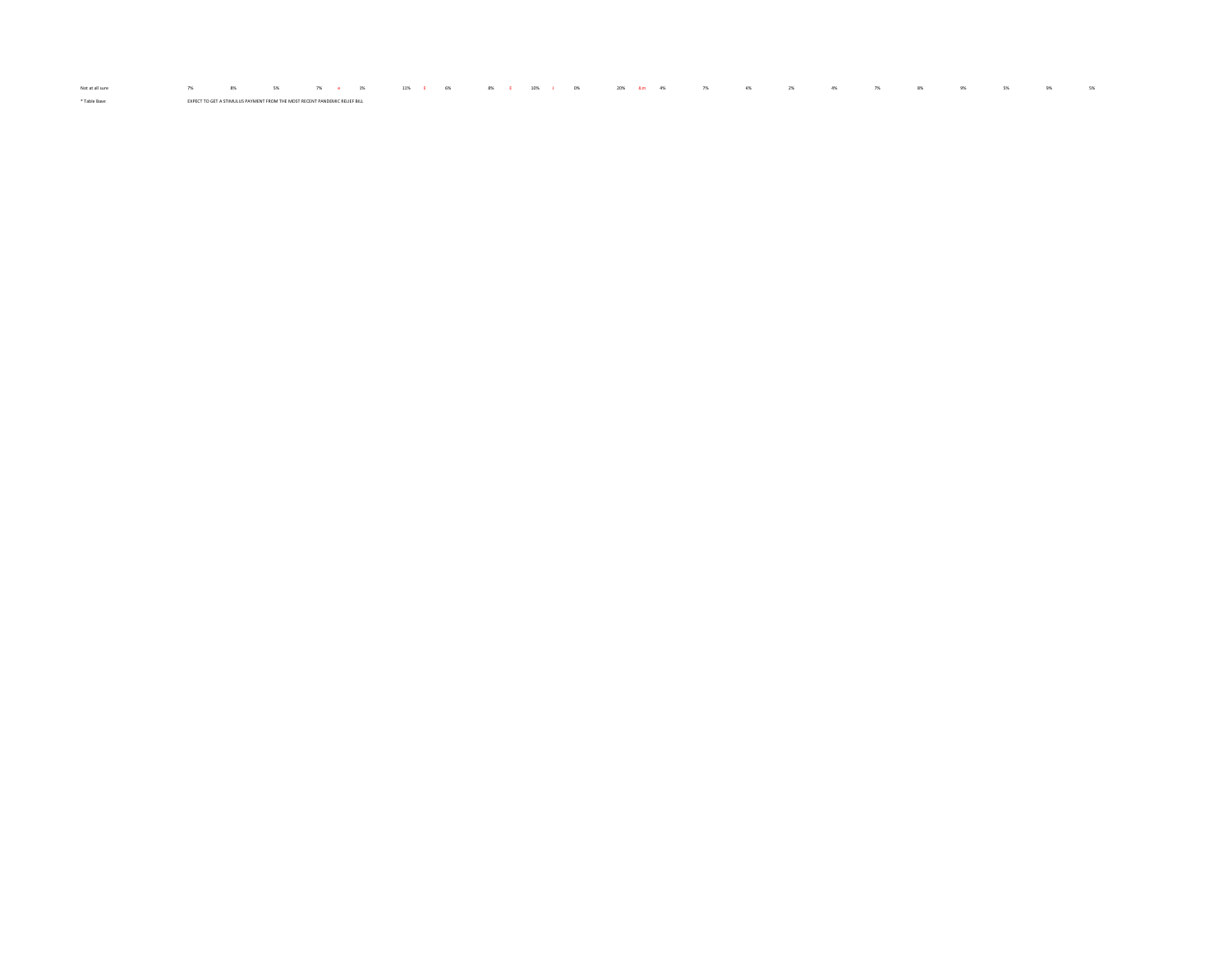\* Table Base: EXPECT TO GET A STIMULUS PAYMENT FROM THE MOST RECENT PANDEMIC RELIEF BILL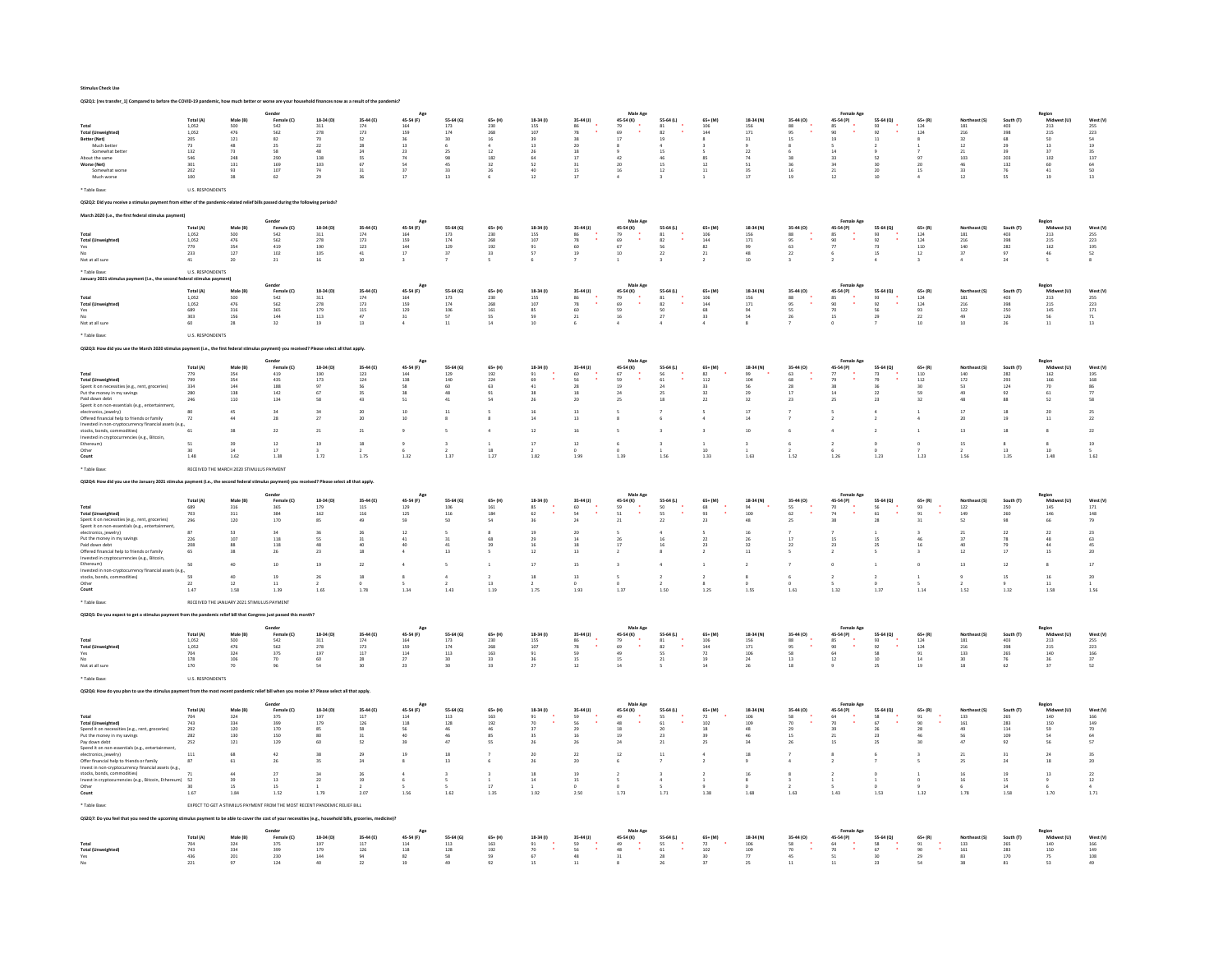|                                                                                                                                                                                                                                                                                                                                                                                                                             |                                                                                                            |                                                                                                                                 | ed to before the COVID-19 pandemic, how much better or worse are your household finances now as a result of the |                                                                                  |                                                                                                                |                                                                                                                  |                                                                                                    |                                                                                        |                                                                                                             |                                                                                                        |                                                                                                                                                               |                                                                                               |                                                                                               |                                                                                      |                                                                                          |                                                                                                                                                                |                                                                                            |                                                                                  |                                                                                            |                                                                                                       |                                                                                                                                                                            |                                                                                                                             |
|-----------------------------------------------------------------------------------------------------------------------------------------------------------------------------------------------------------------------------------------------------------------------------------------------------------------------------------------------------------------------------------------------------------------------------|------------------------------------------------------------------------------------------------------------|---------------------------------------------------------------------------------------------------------------------------------|-----------------------------------------------------------------------------------------------------------------|----------------------------------------------------------------------------------|----------------------------------------------------------------------------------------------------------------|------------------------------------------------------------------------------------------------------------------|----------------------------------------------------------------------------------------------------|----------------------------------------------------------------------------------------|-------------------------------------------------------------------------------------------------------------|--------------------------------------------------------------------------------------------------------|---------------------------------------------------------------------------------------------------------------------------------------------------------------|-----------------------------------------------------------------------------------------------|-----------------------------------------------------------------------------------------------|--------------------------------------------------------------------------------------|------------------------------------------------------------------------------------------|----------------------------------------------------------------------------------------------------------------------------------------------------------------|--------------------------------------------------------------------------------------------|----------------------------------------------------------------------------------|--------------------------------------------------------------------------------------------|-------------------------------------------------------------------------------------------------------|----------------------------------------------------------------------------------------------------------------------------------------------------------------------------|-----------------------------------------------------------------------------------------------------------------------------|
| Total<br><b>Total (Unweighted)</b><br>Better (Net)<br>Much better<br>Somewhat better<br>About the same<br>Worse (Net)<br>Somewhat worse<br>Much worse<br>* Table Base                                                                                                                                                                                                                                                       | Total (A)<br>1.052<br>1.052<br>205<br>73<br>132<br>546<br>301<br>202<br>$100\,$<br><b>U.S. RESPONDENTS</b> | Male (B)<br>$\begin{array}{c} 500 \\ 476 \\ 121 \end{array}$<br>48<br>$73\,$<br>$\begin{array}{c} 248 \\ 131 \end{array}$<br>93 | Gender<br>Female (C)<br>542<br>562<br>$_{82}$<br>25<br>58<br>290<br>169<br>107<br>62                            | 18-34 (D)<br>311<br>$\frac{278}{70}$<br>$22\,$<br>48<br>138<br>103<br>74<br>29   | 35-44 (E)<br>174<br>173<br>$\overline{52}$<br>28<br>$^{24}$<br><sub>SS</sub><br>67<br>31                       | 45-54 (F)<br>164<br>159<br>36<br>13<br>23<br>74<br>54<br>37<br>17                                                | 55-64 (G)<br>173<br>174<br>30<br>25<br>98<br>45<br>33<br>13                                        | 65+ (H)<br>230<br>268<br>$16\,$<br>$12\,$<br>182<br>$_{32}$<br>26                      | 18-34 (1)<br>155<br>107<br>39<br>13<br>26<br>64<br>52<br>40<br>12                                           | 35-44 (J)<br>86<br>78<br>38<br>20<br>$\overline{18}$<br>17<br>$\overline{31}$<br>15<br>17              | Male Age<br>45-54 (K)<br>79<br>co.<br>17<br>42<br>20<br>16                                                                                                    | 55-64 (L)<br>$\begin{array}{c} 81 \\ 82 \end{array}$<br>19<br>15<br>46<br>$1\mathrm{S}$<br>12 | 65+ (M)<br>$\frac{106}{144}$<br>85<br>$12$<br>11                                              | 18-34 (N)<br>156<br>171<br>31<br>22<br>74<br>${\sf s}_1$<br>35<br>$17$               | 35-44 (O)<br>88<br>$\alpha$<br>15<br>38<br>36<br>16<br>19                                | Female Ag<br>45-54 (P)<br>85<br>19<br>14<br>33<br>34<br>21<br>$12\,$                                                                                           | 55-64 (Q)<br>$\frac{93}{92}$<br>$11\,$<br>52<br>30<br>20<br>10                             | $65 + (R)$<br>$\frac{124}{124}$<br>97<br>20<br>15                                | $\begin{array}{c} 181 \\ 216 \\ 32 \end{array}$<br>$12$<br>$21\,$<br>103<br>46<br>33<br>12 | 403<br>398<br>68<br>29<br>$\overline{\mathbf{3}}$<br>203<br>132<br>76                                 | Region<br>Mid<br>213<br>215<br>50<br>13<br>37<br>102<br>$_{60}$<br>41<br>19                                                                                                | West (V)<br>255<br>223<br>54<br>$\frac{19}{35}$<br>137<br>64<br>50<br>$\overline{13}$                                       |
|                                                                                                                                                                                                                                                                                                                                                                                                                             | int from either of the a                                                                                   |                                                                                                                                 | nic-related relief bills passed during the following periods?                                                   |                                                                                  |                                                                                                                |                                                                                                                  |                                                                                                    |                                                                                        |                                                                                                             |                                                                                                        |                                                                                                                                                               |                                                                                               |                                                                                               |                                                                                      |                                                                                          |                                                                                                                                                                |                                                                                            |                                                                                  |                                                                                            |                                                                                                       |                                                                                                                                                                            |                                                                                                                             |
|                                                                                                                                                                                                                                                                                                                                                                                                                             |                                                                                                            |                                                                                                                                 |                                                                                                                 |                                                                                  |                                                                                                                |                                                                                                                  |                                                                                                    |                                                                                        |                                                                                                             |                                                                                                        |                                                                                                                                                               |                                                                                               |                                                                                               |                                                                                      |                                                                                          |                                                                                                                                                                |                                                                                            |                                                                                  |                                                                                            |                                                                                                       |                                                                                                                                                                            |                                                                                                                             |
| <b>Total (Unweighted)</b><br>Yes<br>No<br>Not at all sure<br>* Table Ras                                                                                                                                                                                                                                                                                                                                                    | Total (A)<br>1,052<br>1,052<br>779<br>233<br>$41\,$<br><b>U.S. RESPONDENTS</b>                             | Male (R)<br>$\frac{500}{476}$<br>$\begin{array}{c} 354 \\ 127 \end{array}$<br>20                                                | Female (C)<br>542<br>562<br>419<br>402<br>$\bf{21}$                                                             | 18-34 (D)<br>$\overline{311}$<br>278<br>190<br>105<br>$16\,$                     | 35-44 (E)<br>$\frac{174}{173}$<br>$123\,$<br>41<br>10                                                          | 45-54 (F)<br>$164$<br>$159$<br>$144$<br>$17\,$                                                                   | 55.64 (6)<br>173<br>174<br>$129\,$<br>37                                                           | $65+ (H)$<br>230<br>268<br>192<br>33                                                   | 18-34 (1)<br>$\frac{155}{107}$<br>$\begin{array}{c} 91 \\ 57 \end{array}$                                   | 35-44 (J)<br>86<br>78<br>60<br>19                                                                      | 45-54 (K)<br>69<br>$_{\rm 67}$<br>$10$                                                                                                                        | 55.64 (1)<br>81<br>82<br>$\frac{56}{22}$                                                      | 65+ (M)<br>106<br>144<br>$^{\rm 82}$<br>$21\,$                                                | 18-34 (N)<br>$\frac{156}{171}$<br>99<br>48<br>10                                     | 35-44 (0)<br>88<br>95<br>63<br>22                                                        | 45-54 (P)<br>90<br>$77\,$<br>6                                                                                                                                 | 55-64 (Q)<br>93<br>92<br>73<br>15                                                          | $\begin{array}{c} 65+ (R) \\ 124 \\ 124 \end{array}$<br>$110\,$<br>$12\,$        | 181<br>216<br>216<br>140<br>37                                                             | South (T)<br>403<br>398<br>282<br>97<br>$^{24}$                                                       | Region<br>Midw<br>213<br>215<br>162<br>a fi f<br>46<br>$\sf s$                                                                                                             | West (V)<br>255<br>223<br>195<br>52                                                                                         |
| January 2021 sti                                                                                                                                                                                                                                                                                                                                                                                                            | deral stimulus payment)                                                                                    |                                                                                                                                 |                                                                                                                 |                                                                                  |                                                                                                                |                                                                                                                  |                                                                                                    |                                                                                        |                                                                                                             |                                                                                                        |                                                                                                                                                               |                                                                                               |                                                                                               |                                                                                      |                                                                                          |                                                                                                                                                                |                                                                                            |                                                                                  |                                                                                            |                                                                                                       |                                                                                                                                                                            |                                                                                                                             |
| Total<br><b>Total (Ur</b><br>Yes<br>Not at all sure<br>* Table Base                                                                                                                                                                                                                                                                                                                                                         | Total (A)<br>1.052<br>1,052<br>689<br>303<br>60<br><b>U.S. RESPONDENTS</b>                                 | Male (B<br>500<br>$476$<br>$316$<br>$156\,$<br>28                                                                               | Fem<br>542<br>$562$<br>365<br>$\bf 144$<br>32                                                                   | 18-34 (D)<br>311<br>$\frac{278}{179}$<br>$^{\rm 113}$<br>19                      | 35-44 (E)<br>174<br>$173\,$<br>115<br>47<br>13                                                                 | 45-54 (F)<br>164<br>159<br>129<br>$_{\rm 31}$                                                                    | 55-64 (G)<br>$\begin{array}{c} 173 \\ 174 \\ 106 \end{array}$<br>57<br>11                          | $65+ (H)$<br>230<br>268<br>161<br>55<br>14                                             | 18-34 (I)<br>$\begin{array}{r} 155 \\ 107 \\ 85 \\ 59 \\ 10 \end{array}$                                    | 35-44 (J)<br>86<br>78<br>60<br>$\mathbf{21}$                                                           | 45-54 (K)<br>79<br>$69$<br>59<br>$\lambda$<br>$_{\rm 16}$                                                                                                     | 55-64 (L)<br>$\begin{array}{c} 81 \\ 82 \end{array}$<br>50<br>$\sqrt{27}$                     | 65+ (M)<br>$\begin{array}{c} 106 \\ 144 \\ 68 \end{array}$<br>33                              | 18-34 (N)<br>$\frac{156}{171}$<br>94<br>${\sf S4}$<br>8                              | 35-44 (O)<br>88<br>95<br>55<br>26                                                        | 45-54 (P)<br>85<br>90<br>70<br>$\lambda$<br>$15\,$                                                                                                             | 55-64 (Q)<br>93<br>92<br>56<br>29                                                          | 65+ (R)<br>124<br>124<br>93<br>$\bf{22}$<br>10                                   | 181<br>216<br>122<br>$\begin{array}{c} 49 \\ 10 \end{array}$                               | 403<br>$398$<br>$250$<br>$126\,$<br>26                                                                | Region<br>Midw<br>213<br>$\frac{215}{145}$<br>${\sf 56}$<br>$11\,$                                                                                                         | West (V)<br>255<br>223<br>171<br>$\begin{array}{c} 71 \\ 13 \end{array}$                                                    |
|                                                                                                                                                                                                                                                                                                                                                                                                                             |                                                                                                            |                                                                                                                                 |                                                                                                                 | ed? Please select all that apply                                                 |                                                                                                                |                                                                                                                  |                                                                                                    |                                                                                        |                                                                                                             |                                                                                                        |                                                                                                                                                               |                                                                                               |                                                                                               |                                                                                      |                                                                                          |                                                                                                                                                                |                                                                                            |                                                                                  |                                                                                            |                                                                                                       |                                                                                                                                                                            |                                                                                                                             |
| <b>Total (Unweighted)</b><br>Spent it on necessities (e.g., rent, gr<br>Put the money in my savings<br>Paid down debt<br>Spent it on non-essentials (e.g., enter<br>electronics, jewelry)<br>Offered financial help to friends or family<br>Invested in non-cryptocurrency financial assets (e.g.<br>stocks, bonds, com<br>nodities)<br>Invested in cryptocurrencies (e.g., Bitcoin<br>Ethereum)<br>Other<br>Count          | Total (A)<br>779<br>799<br>334<br>280<br>246<br>80<br>72<br>61<br>51<br>1.48                               | Male (B)<br>354<br>354<br>144<br>138<br>110<br>45<br>38<br>14<br>1.62                                                           | Female (C)<br>419<br>435<br>188<br>142<br>134<br>34<br>28<br>$\bf{22}$<br>$\frac{12}{17}$<br>1.38               | 18-34 (D)<br>190<br>173<br>58<br>34<br>$\mathbf{21}$<br>19<br>1.72               | 35-44 (E)<br>123<br>124<br><b>56<br/>35</b><br>43<br>20<br>20<br>$\mathbf{21}$<br>18<br>1.75                   | 45-54 (F)<br>$_{\rm 144}$<br>138<br>58<br>38<br>51<br>10<br>10<br>1.32                                           | 55-64 (G)<br>129<br>140<br>$60$<br>$48$<br>$41\,$<br>11<br>1.37                                    | $65 + (H)$<br>192<br>224<br>63<br>91<br>54<br>×.<br>$\ddot{a}$<br>18<br>1.27           | 18-34 (f)<br>$\begin{array}{c} 91 \\ 69 \end{array}$<br>$_{\rm 41}$<br>26<br>16<br>$12\,$<br>$17\,$<br>1.82 | 35-44 (J)<br>60<br>56<br>$\begin{array}{c} 28 \\ 18 \end{array}$<br>20<br>13<br>13<br>16<br>12<br>1.99 | 45-54 (K)<br>67<br>59<br>$\begin{array}{c} 19 \\ 24 \end{array}$<br>25<br>1.39                                                                                | 55-64 (L)<br>56<br>61<br>$\frac{24}{25}$<br>18<br>$\overline{\mathbf{3}}$<br>1.56             | $65+$ (M)<br>82<br>112<br>33<br>32<br>$\bf 22$<br>$\,$ 3<br>10<br>1.33                        | 18-34 (N)<br>$\frac{99}{104}$<br>56<br>29<br>32<br>17<br>10<br>1.63                  | 35-44 (0)<br>$\begin{array}{c} 63 \\ 68 \end{array}$<br>$rac{28}{17}$<br>$^{23}$<br>1.52 | Female Age<br>45-54 (P)<br>79<br>$\begin{array}{c} 38 \\ 14 \end{array}$<br>25<br>1.26                                                                         | 55-64 (Q)<br>73<br>79<br>$\frac{36}{22}$<br>$\bf 23$<br>$\Delta$<br>$\overline{2}$<br>1.23 | $65 + (R)$<br>$\frac{110}{112}$<br>30<br>59<br>32<br>1.23                        | Northeast (S)<br>$\frac{140}{172}$<br>53<br>49<br>48<br>17<br>20<br>13<br>15<br>1.56       | South (T)<br>282<br>293<br>$\frac{124}{92}$<br>88<br>18<br>18<br>13<br>1.35                           | Region<br>Midwest (U)<br>162<br>166<br>$70$<br>61<br>52<br>20<br>$11\,$<br>$\,$ 8<br>$\begin{array}{c} 8 \\ 10 \end{array}$<br>1.48                                        | West (V)<br>$\frac{195}{168}$<br>$\frac{86}{77}$<br>58<br>25<br>$\mathbf{22}$<br>$\bf{22}$<br>$19\,$<br>1.62                |
| * Table Rase                                                                                                                                                                                                                                                                                                                                                                                                                |                                                                                                            | RECEIVED THE MARCH 2020 STIMULUS PAYMENT                                                                                        |                                                                                                                 |                                                                                  |                                                                                                                |                                                                                                                  |                                                                                                    |                                                                                        |                                                                                                             |                                                                                                        |                                                                                                                                                               |                                                                                               |                                                                                               |                                                                                      |                                                                                          |                                                                                                                                                                |                                                                                            |                                                                                  |                                                                                            |                                                                                                       |                                                                                                                                                                            |                                                                                                                             |
| OS2O4: How did you use the January 2021 stin                                                                                                                                                                                                                                                                                                                                                                                |                                                                                                            |                                                                                                                                 |                                                                                                                 | ed? Please select all that apply                                                 |                                                                                                                |                                                                                                                  |                                                                                                    |                                                                                        |                                                                                                             |                                                                                                        |                                                                                                                                                               |                                                                                               |                                                                                               |                                                                                      |                                                                                          |                                                                                                                                                                |                                                                                            |                                                                                  |                                                                                            |                                                                                                       |                                                                                                                                                                            |                                                                                                                             |
| Total (Unweighted)<br>Spent it on necessities (e.g., rent, groceries)<br>Spent it on non-essentials (e.g., entertainm<br>electronics, jewelry)<br>Put the money in my saying:<br>Paid down debt<br>Offered financial help to friends or family<br>Invested in cryptocurrencies (e.g., Bitcoin<br>Ethereum)<br>Invested in non-crypt<br>stocks, bonds, commodities)<br>Other<br>Count                                        | Total (A)<br>689<br>703<br>296<br>87<br>226<br>208<br>65<br>50<br>59<br>22<br>$1.47\,$                     | Male (B)<br>316<br>$\begin{array}{c} 311 \\ 120 \end{array}$<br>53<br>107<br>28<br>40<br>12<br>1.58                             | Gender<br>Female (C)<br>365<br>384<br>170<br>34<br>118<br>118<br>26<br>$10$<br>19<br>$\mathbf{11}$<br>1.39      | 18-34 (D)<br>179<br>$162\,$<br>85<br>57<br>23<br>19<br>26<br>1.65                | 35-44 (E)<br>115<br>$_{\rm 116}$<br>49<br>$\overline{26}$<br>31<br>40<br>18<br>$\mathbf{22}$<br>$18\,$<br>1.78 | 45-54 (F)<br>129<br>$125\,$<br>59<br>$12\,$<br>41<br>40<br>$\Delta$<br>$\,$ 4 $\,$<br>$\bf{8}$<br>1.34           | 55-64 (G)<br>106<br>116<br>50<br>31<br>41<br>13<br>$\mathsf{s}$<br>$\ddot{a}$<br>1.43              | $65 + (H)$<br>161<br>184<br>54<br>68<br>39<br>$\,$ 1 $\,$<br>$\,$ 2 $\,$<br>13<br>1.19 | 18-34 (1)<br>85<br>62<br>36<br>19<br>29<br>12<br>17<br>18<br>1.75                                           | 35-44 (J)<br>60<br>$\sim$<br>24<br>20<br>14<br>18<br>13<br>15<br>$13\,$<br>1.93                        | Male Ap<br>45-54 (K)<br>59<br>51<br>21<br>$\overline{\mathbf{3}}$<br>$\sf s$<br>1.37                                                                          | 55-64 (L)<br>50<br>ss<br>22<br>16<br>16<br>$\ddot{a}$<br>$\,$ 2 $\,$<br>1.50                  | 65+ (M<br>68<br>Q2<br>23<br>$\overline{2}$<br>23<br>$\mathbf{1}$<br>$\overline{2}$<br>1.25    | 18-34 (N)<br>94<br>100<br>48<br>16<br>26<br>32<br>11<br>$\,$ 2<br>8<br>1.55          | 35-44 (0)<br>55<br>62<br>25<br>17<br>$\mathbf{22}$<br>1.61                               | Female Age<br>45-54 (P)<br>70<br>74<br>38<br>15<br>23<br>$\overline{2}$<br>$\mathbb O$<br>$\,$ 2 $\,$<br>1.32                                                  | 55-64 (Q)<br>56<br>61<br>28<br>15<br>25<br>$\,$ 1<br>$\,$ 2 $\,$<br>1.37                   | $65+ (R)$<br>93<br>91<br>31<br>46<br>16<br>$\circ$<br>$\mathbf{1}$<br>1.14       | 122<br>149<br>52<br>$\mathbf{21}$<br>37<br>12<br>13<br>$\overline{9}$<br>1.52              | South (T)<br>250<br>260<br>98<br>$\overline{2}$<br>78<br>$\frac{75}{17}$<br>12<br>15<br>1.32          | $\begin{array}{c} \mathsf{Region} \\ \mathsf{Midb} \\ 145 \end{array}$<br>146<br>66<br>22<br>48<br>44<br>15<br>$\bf{8}$<br>16<br>$\begin{array}{c} 11 \\ 1.58 \end{array}$ | West (V)<br>171<br>148<br>79<br>$\bf 23$<br>63<br>45<br>20<br>$17\,$<br>20<br>1.56                                          |
| * Table Base                                                                                                                                                                                                                                                                                                                                                                                                                |                                                                                                            | RECEIVED THE JANUARY 2021 STIMULUS PAYMENT                                                                                      |                                                                                                                 |                                                                                  |                                                                                                                |                                                                                                                  |                                                                                                    |                                                                                        |                                                                                                             |                                                                                                        |                                                                                                                                                               |                                                                                               |                                                                                               |                                                                                      |                                                                                          |                                                                                                                                                                |                                                                                            |                                                                                  |                                                                                            |                                                                                                       |                                                                                                                                                                            |                                                                                                                             |
|                                                                                                                                                                                                                                                                                                                                                                                                                             |                                                                                                            |                                                                                                                                 |                                                                                                                 |                                                                                  |                                                                                                                |                                                                                                                  |                                                                                                    |                                                                                        |                                                                                                             |                                                                                                        |                                                                                                                                                               |                                                                                               |                                                                                               |                                                                                      |                                                                                          |                                                                                                                                                                |                                                                                            |                                                                                  |                                                                                            |                                                                                                       |                                                                                                                                                                            |                                                                                                                             |
| <b>Total (Unweighted</b><br>Ye:<br>Not at all sure                                                                                                                                                                                                                                                                                                                                                                          | Total (A)<br>$1,052$<br>$1,052$<br>704<br>178<br>170                                                       | Male (B)<br>500<br>476<br>$\frac{324}{106}$<br>70                                                                               | Female (C)<br>542<br>562<br>375<br>70<br>96                                                                     | 18-34 (D)<br>$\frac{311}{278}$<br>$\begin{array}{c} 197 \\ 60 \end{array}$<br>54 | 35-44 (E)<br>$\frac{174}{173}$<br>$\frac{117}{28}$<br>30                                                       | 45-54 (F)<br>164<br>159<br>$\frac{114}{27}$<br>23                                                                | 55-64 (G)<br>$\frac{173}{174}$<br>$\begin{array}{c} 113 \\ 30 \end{array}$<br>30                   | $65+ (H)$<br>230<br>268<br>163<br>33<br>33                                             | 18-34 (1)<br>155<br>107<br>$\begin{array}{c} 91 \\ 36 \end{array}$<br>27                                    | $35-44$ (J)<br>$\begin{array}{c} 86 \\ 78 \end{array}$<br>59<br>15<br>12                               | 45-54 (K)<br>79<br>69<br>$\begin{array}{c} 49 \\ 15 \end{array}$<br>14                                                                                        | 55-64 (L)<br>$\begin{array}{c} 81 \\ 82 \end{array}$<br>$\frac{55}{21}$                       | $65+$ (M)<br>$\frac{106}{144}$<br>$\begin{array}{c} 72 \\ 19 \end{array}$<br>14               | 18-34 (N)<br>$\frac{156}{171}$<br>$\frac{106}{24}$<br>26                             | 35-44 (0)<br>88<br>95<br>95<br>93<br>13<br>18                                            | Female Age<br>45-54 (P)<br>85<br>90<br>$\begin{array}{c} 64 \\ 12 \end{array}$                                                                                 | 55-64 (Q)<br>$\begin{array}{c} 93 \\ 92 \end{array}$<br>58<br>10<br>25                     | $65 + (R)$<br>$\frac{124}{124}$<br>$\begin{array}{c} 91 \\ 14 \end{array}$<br>19 | Northeast (S)<br>181<br>216<br>216<br>133<br>30<br>18                                      | South (T)<br>$403$<br>$398$<br>$265$<br>$76$<br>$62$                                                  | tegior<br>Midwest (U)<br>$\frac{213}{215}$<br>$\frac{140}{36}$<br>37                                                                                                       | West (V)<br>255<br>223<br>166<br>37<br>52                                                                                   |
| <b>Table Rase</b>                                                                                                                                                                                                                                                                                                                                                                                                           | <b>U.S. RESPONDENTS</b>                                                                                    |                                                                                                                                 |                                                                                                                 |                                                                                  |                                                                                                                |                                                                                                                  |                                                                                                    |                                                                                        |                                                                                                             |                                                                                                        |                                                                                                                                                               |                                                                                               |                                                                                               |                                                                                      |                                                                                          |                                                                                                                                                                |                                                                                            |                                                                                  |                                                                                            |                                                                                                       |                                                                                                                                                                            |                                                                                                                             |
| OS2O6: How do you plan to use the stimulus payment from                                                                                                                                                                                                                                                                                                                                                                     |                                                                                                            |                                                                                                                                 | the most recent pandemic relief bill when you receive it? Please select all that apoly.                         |                                                                                  |                                                                                                                |                                                                                                                  |                                                                                                    |                                                                                        |                                                                                                             |                                                                                                        |                                                                                                                                                               |                                                                                               |                                                                                               |                                                                                      |                                                                                          |                                                                                                                                                                |                                                                                            |                                                                                  |                                                                                            |                                                                                                       |                                                                                                                                                                            |                                                                                                                             |
| Tota<br><b>Total (Unweighted)</b><br>Spend it on necessities (e.g., rent, groceries)<br>Put the money in my savings<br>Pay down debt<br>Spend it on non-essentials (e.g., enterta<br>electronics, jewelry)<br>Offer financial help to friends or family<br>Invest in non-cryptocurrency financial assets (e.g.,<br>stocks, bonds, commodities)<br>Invest in cryptocurrencies (e.g., Bitcoin, Ethereum) 52<br>Other<br>Count | Total (A)<br>704<br>743<br>$\bf 292$<br>282<br>252<br>111<br>87<br>71<br>1.67                              | Male (B)<br>324<br>334<br>120<br>130<br>$121\,$<br>61<br>44<br>15<br>1.84                                                       | Gender<br>Female (C)<br>$375$<br>399<br>170<br>150<br>129<br>42<br>26<br>$\boldsymbol{27}$<br>13<br>15<br>1.52  | 18-34 (D)<br>$197\,$<br>179<br>85<br>60<br>35<br>34<br>1.79                      | 35-44 (E)<br>$117\,$<br>126<br>58<br>31<br>52<br>$\overline{25}$<br>24<br>26<br>19<br>207                      | App<br>45-54 (F)<br>$^{\rm 114}$<br>118<br>56<br>40<br>39<br>19<br>$\overline{\mathbf{8}}$<br>$\ddot{a}$<br>1.56 | 55-64 (G)<br>$113\,$<br>128<br>$\bf 46$<br>46<br>47<br>18<br>13<br>$\overline{\mathbf{3}}$<br>1.62 | 65+ (H)<br>163<br>192<br>46<br>85<br>SS<br>6<br>$\overline{\mathbf{3}}$<br>17<br>1.35  | 18-34 (1)<br>91<br>70<br>37<br>35<br>26<br>26<br>18<br>14<br>192                                            | 35-44 (J)<br>$59$<br>$56$<br>$29$<br>16<br>26<br>$\overline{22}$<br>20<br>19<br>15<br>250              | Male Age<br>$\begin{array}{c} \mathsf{N}_{\mathsf{fin}} \\ \mathsf{45\text{-}54 (K)} \end{array},$<br>48<br>$18\,$<br>19<br>24<br>6<br>$\overline{2}$<br>1.73 | 55-64 (L)<br>55<br>61<br>$20$<br>23<br>21<br>$11$<br>$\overline{\mathbf{3}}$<br>1.71          | 65+ (M)<br>72<br>102<br>$^{\rm 18}$<br>39<br>$25\,$<br>$\mathcal{L}$<br>$\overline{2}$<br>138 | 18-34 (N)<br>$106\,$<br>$\frac{109}{48}$<br>46<br>34<br>$\overline{9}$<br>16<br>1.68 | 35-44 (0)<br>58<br>70<br>29<br>15<br>26<br>$^{\circ}$<br>163                             | Female Age<br>$\begin{array}{c} \text{Fen}_{11} \\ \text{45-54 (P)} \\ \bullet \end{array}$<br>70<br>39<br>21<br>$15\,$<br>$\overline{2}$<br>$\bar{2}$<br>1.43 | 55-64 (Q)<br>58<br>67<br>26<br>23<br>$25\,$<br>$\overline{z}$<br>$\circ$<br>1.53           | 65+ (R)<br>91<br>90<br>$_{28}$<br>46<br>30<br>$\mathbf{1}$<br>1.32               | st (S)<br>133<br>$\frac{161}{49}$<br>56<br>47<br>$21$<br>25<br>$16\,$<br>16<br>1.78        | South (T)<br>265<br>283<br>$_{\rm 114}$<br>109<br>92<br>$\overline{31}$<br>$^{24}$<br>19<br>15<br>158 | Region<br>Mid:<br>140<br>a lu<br>150<br>59<br>54<br>56<br>$^{24}$<br>18<br>$13\,$<br>$\mathsf q$<br>1.70                                                                   | West (V)<br>166<br>149<br>70<br>64<br>${\sf s7}$<br>35<br>20<br>$\bf{22}$<br>$\begin{array}{c} 12 \\ 4 \end{array}$<br>1.71 |
| * Table Base                                                                                                                                                                                                                                                                                                                                                                                                                |                                                                                                            |                                                                                                                                 | EXPECT TO GET A STIMILUS PAYMENT FROM THE MOST RECENT PANDEMIC RELIEF BILL                                      |                                                                                  |                                                                                                                |                                                                                                                  |                                                                                                    |                                                                                        |                                                                                                             |                                                                                                        |                                                                                                                                                               |                                                                                               |                                                                                               |                                                                                      |                                                                                          |                                                                                                                                                                |                                                                                            |                                                                                  |                                                                                            |                                                                                                       |                                                                                                                                                                            |                                                                                                                             |
| el that you need the upco                                                                                                                                                                                                                                                                                                                                                                                                   |                                                                                                            |                                                                                                                                 | Gender                                                                                                          |                                                                                  |                                                                                                                | Age                                                                                                              |                                                                                                    |                                                                                        |                                                                                                             |                                                                                                        | Male Age                                                                                                                                                      |                                                                                               |                                                                                               |                                                                                      |                                                                                          | <b>Female Age</b>                                                                                                                                              |                                                                                            |                                                                                  |                                                                                            |                                                                                                       |                                                                                                                                                                            |                                                                                                                             |
| Tota<br>Total (L<br>Yes<br>No                                                                                                                                                                                                                                                                                                                                                                                               | Total (A)<br>704<br>743<br>436<br>221                                                                      | Male (B)<br>324<br>$\begin{array}{c} 334 \\ 201 \end{array}$<br>97                                                              | Female (C)<br>375<br>399<br>230<br>124                                                                          | 18-34 (D)<br>197<br>$\frac{179}{144}$<br>$40\,$                                  | 35-44 (E)<br>117<br>$\begin{array}{r} 126 \\ 94 \\ 22 \end{array}$                                             | 45-54 (F)<br>$114\,$<br>118<br>82<br>19                                                                          | 55-64 (G)<br>113<br>128<br>58<br>49                                                                | 65+ (H)<br>163<br>$192\,$<br>59<br>92                                                  | 18-34 (1)<br>$\frac{91}{70}$<br>67<br>15                                                                    | 35-44 (J)<br>59<br>56<br>48<br>11                                                                      | 45-54 (K)<br>48<br>31<br>$\mathbf{R}$                                                                                                                         | 55-64 (L)<br>55<br>61<br>28<br>26                                                             | $\begin{array}{l} 65+({\sf M})\\ 72\\ 102 \end{array}$<br>30<br>37                            | 18-34 (N)<br>106<br>109<br>77<br>25                                                  | 35-44 (0)<br>58<br>$70$<br>45<br>11                                                      | 45-54 (P)<br>64<br>$70 -$<br>51<br>$11\,$                                                                                                                      | 55-64 (Q)<br>58<br>67<br>30<br>23                                                          | 65+ (R)<br>91<br>90<br>29<br>SA                                                  | North<br>133<br>161<br>83<br>st (S)<br>38                                                  | South (T)<br>265<br>283<br>170<br>81                                                                  | Region<br>Midw<br>140<br>150<br>17<br>it (U)<br>75<br>53                                                                                                                   | West (V)<br>166<br>149<br>108<br>49                                                                                         |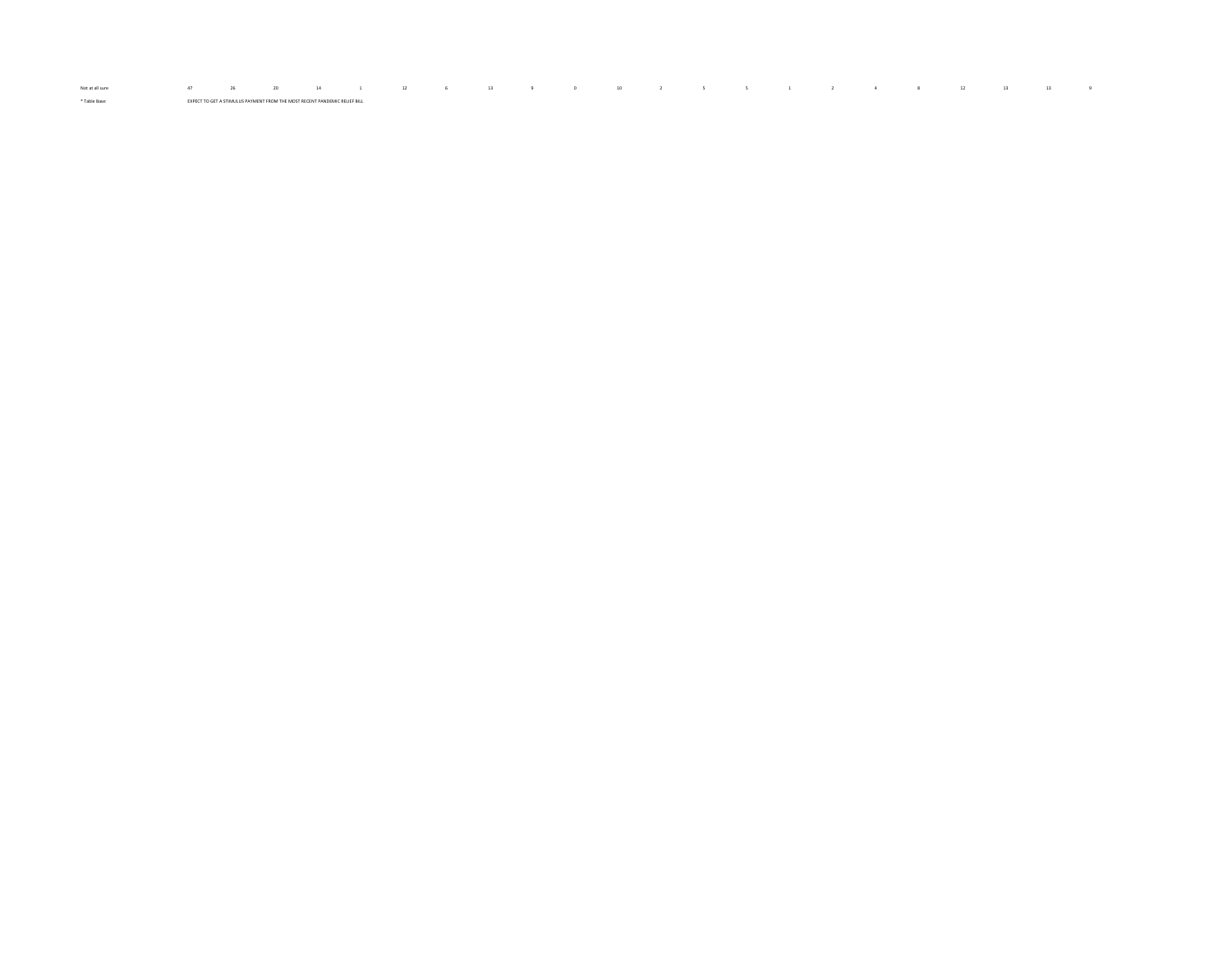Notatallsure 47 26 20 14 1 12 6 13 9 0 10 2 5 5 1 2 4 8 12 13 13 9 \* Table Base: EXPECT TO GET A STIMULUS PAYMENT FROM THE MOST RECENT PANDEMIC RELIEF BILL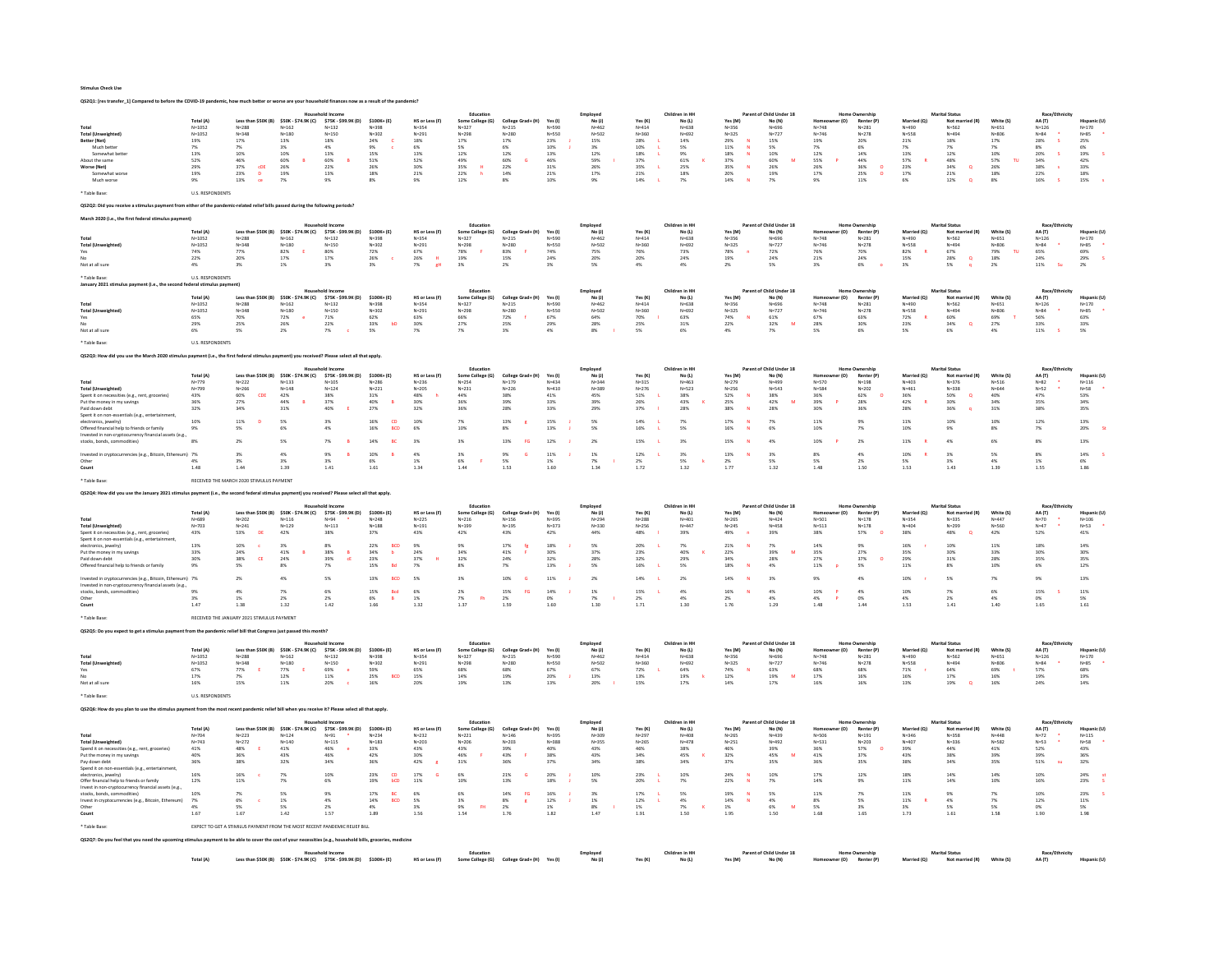|                                                                                                                                                  | Total (A)                                                                                           |                                            |                                         | Less than \$50K (B) \$50K - \$74.9K (C) \$75K - \$99.9K (D)                            | \$100K+(E)                     | HS or Less (F)          | Some College (G)                      | College Grad+ (H)              | Yes (I)            | <i>Employer</i><br>$No$ $(1)$ | Yes (K)                | Children in HI<br>No (L) | Yes (M)                          | arent of Child Under 18<br>No (N)  | r(0)                   | <b>Renter (P)</b>                     | Married (O)                  | <b>Marital Statu</b><br>Not married (R)     | White (S)               | 44 m                      | <b>Microsoft</b>      |
|--------------------------------------------------------------------------------------------------------------------------------------------------|-----------------------------------------------------------------------------------------------------|--------------------------------------------|-----------------------------------------|----------------------------------------------------------------------------------------|--------------------------------|-------------------------|---------------------------------------|--------------------------------|--------------------|-------------------------------|------------------------|--------------------------|----------------------------------|------------------------------------|------------------------|---------------------------------------|------------------------------|---------------------------------------------|-------------------------|---------------------------|-----------------------|
| Tota                                                                                                                                             | $N = 1052$                                                                                          | $N = 288$                                  | $N = 162$                               | $N = 132$                                                                              | $N = 398$                      | $N = 354$               | $N = 327$                             | $N = 215$                      | $N = 590$          | $N = 462$                     | $N = 414$              | $N = 638$                | $N = 356$                        | $N = 696$                          | $N = 748$              | $N = 281$                             | $N = 490$                    | $N = 562$                                   | $N = 651$               | $N = 126$                 | $N = 170$             |
| <b>Total (Unweighted)</b><br>Better (Net)                                                                                                        | $N = 1052$<br>19%                                                                                   | $N = 348$<br>17%                           | $N = 180$<br>13%                        | $N = 150$<br>18%                                                                       | $N = 302$<br>24%               | $N = 291$<br>18%        | $N = 298$<br>17%                      | $N = 280$<br>17%               | N=550<br>23%       | $N = 502$<br>15%              | $N = 360$<br>28%       | $N = 692$<br>14%         | $N = 325$<br>29%                 | $N = 727$<br>15%                   | $N = 746$<br>19%       | $N = 278$<br>20%                      | $N = 558$<br>21%             | $N = 494$<br>18%                            | $N = 806$<br>17%        | $N = 84$<br>28%<br>$\sim$ | $N = 85$<br>25%       |
| Much better                                                                                                                                      | 7%                                                                                                  | 7%                                         | 3%                                      | 4%                                                                                     | 9%                             | 6%                      | 5%                                    | 6%                             | 10%                | 3%                            | 10%                    | S%                       | $11\%$                           | 5%                                 | 7%                     | 6%                                    |                              |                                             | 7%                      | 8%                        | 6%                    |
| Somewhat better<br>About the same                                                                                                                | $13\%$<br>52%                                                                                       | 10%<br>46%                                 | 10%<br>60%                              | 13%<br>60%<br><b>B</b>                                                                 | 15%<br>51%                     | 13%<br>52%              | 12%<br>49%                            | 12%<br>60%<br><b>G</b>         | 13%<br>46%         | 12%<br>59%                    | 18%<br>37%             | 9%<br>61%                | 18%<br>37%                       | 10%<br>60%                         | 12%<br>55%             | 14%<br>44%                            | 13%<br>57%                   | 12%<br>48%                                  | 10%<br>57%<br><b>TH</b> | 20%<br>34%                | $19\%$<br>42%         |
| Worse (Net)<br>Somewhat worse                                                                                                                    | 29%<br>19%                                                                                          | 37%<br>cDE<br>23%<br><b>n</b>              | 26%<br>19%                              | 22%<br>13%                                                                             | 26%<br>18%                     | 30%<br>21%              | 35%<br>$\overline{\mathbf{H}}$<br>22% | 22%<br>14%                     | 31%<br>21%         | 26%<br>17%                    | 35%<br>21%             | 25%<br>18%               | 35%<br>$\mathbf N$<br>20%        | 26%<br>19%                         | 26%<br>17%             | 36%<br>$\mathbf{o}$<br>25%<br>$\circ$ | 23%<br>17%                   | 34%<br>$\alpha$<br>21%                      | 26%<br>18%              | 38%<br>-s<br>22%          | 33%<br>18%            |
| Much worse                                                                                                                                       | 9%                                                                                                  | 13%<br>ce                                  | 7%                                      | 9%                                                                                     | 8%                             | 9%                      | 12%                                   | 8%                             | 10%                | 9%                            | 14%                    | 7%                       | $14\%$                           | 7%                                 | 9%                     | 11%                                   | 6%                           | $\circ$<br>12%                              | 8%                      | $16\%$                    | 15%                   |
| * Table Base:                                                                                                                                    | <b>U.S. RESPONDENTS</b>                                                                             |                                            |                                         |                                                                                        |                                |                         |                                       |                                |                    |                               |                        |                          |                                  |                                    |                        |                                       |                              |                                             |                         |                           |                       |
| 05202: Did                                                                                                                                       | (ulus payment from either of the pandemic-related relief bills passed during the following periods? |                                            |                                         |                                                                                        |                                |                         |                                       |                                |                    |                               |                        |                          |                                  |                                    |                        |                                       |                              |                                             |                         |                           |                       |
|                                                                                                                                                  |                                                                                                     |                                            |                                         |                                                                                        |                                |                         |                                       |                                |                    |                               |                        |                          |                                  |                                    |                        |                                       |                              |                                             |                         |                           |                       |
| March 2020 (i.e., the first federal stimulus payment)                                                                                            | Total (A)                                                                                           |                                            | Less than \$50K (B) \$50K - \$74.9K (C) | <b>Hourahold Incom</b>                                                                 | \$100K+(E)                     |                         | Educatio                              |                                |                    | Employee                      |                        | Children in HH           |                                  | Parent of Child Under 18           |                        | <b>Home Ownership</b><br>Renter (P)   |                              | <b>Marital Status</b>                       | White (S)               | Race/Ftl                  |                       |
|                                                                                                                                                  | $N = 1052$                                                                                          | $N = 288$                                  | $N = 162$                               | \$75K - \$99.9K (D)<br>$N = 132$                                                       | $N = 398$                      | HS or Less (F)<br>N=354 | Some College (G)<br>$N = 327$         | College Grad+ (H)<br>$N = 215$ | Yes (I)<br>N=590   | No (J)<br>$N = 462$           | Yes (K)<br>$N = 414$   | No (L)<br>$N = 638$      | Yes (M)<br>$N = 356$             | No (N)<br>$N = 696$                | :r (O)<br>$N = 748$    | $N = 281$                             | Married (Q)<br>N=490         | Not married (R)<br>$N = 562$                | $N = 651$               | AA (T)<br>$N = 126$       | Hispanic<br>$N = 170$ |
| <b>Total (Unweighted)</b>                                                                                                                        | $N = 1052$                                                                                          | $N = 348$                                  | $N = 180$                               | $N = 150$                                                                              | $N = 302$                      | $N = 291$<br>67%        | $N = 298$<br>78%                      | $N = 280$                      | $N = 550$          | $N = 502$                     | $N = 360$              | $N = 692$                | $N = 325$                        | $N = 727$                          | $N = 746$              | $N = 278$                             | $N = 558$<br>82%             | $N = 494$<br>67%                            | $N = 806$<br>TU.        | $N = 84$                  | $N = 85$<br>69%       |
| Yes                                                                                                                                              | 74%<br>22%                                                                                          | 77%<br>20%                                 | 82%<br>$17\%$                           | 80%<br>17%                                                                             | 72%<br>26%                     | 26%<br>$\mathbf{H}$     | 19%                                   | 83%<br>15%                     | 74%<br>24%         | 75%<br>20%                    | 76%<br>20%             | 73%<br>24%               | 78%<br>19%                       | 72%<br>24%                         | 76%<br>21%             | 70%<br>24%                            | 15%                          | 28%<br>$\alpha$                             | 79%<br>18%              | 65%<br>24%                | $29\%$                |
| Not at all sure                                                                                                                                  | 4%                                                                                                  | 3%                                         | 1%                                      | 3%                                                                                     | 3%                             | 7%<br>eH                | 3%                                    | 2%                             | 3%                 | 5%                            | 4%                     | 4%                       | 2%                               | 5%                                 | 3%                     | 6%                                    | 3%                           | 5%<br>$\alpha$                              | 2%                      | - Su<br>11%               | 2%                    |
| * Table Base<br>January 2021 stimulus payment (i.e., the second federal stimulus payment)                                                        | <b>U.S. RESPONDENTS</b>                                                                             |                                            |                                         |                                                                                        |                                |                         |                                       |                                |                    |                               |                        |                          |                                  |                                    |                        |                                       |                              |                                             |                         |                           |                       |
|                                                                                                                                                  | <b>Total (A)</b>                                                                                    |                                            | Less than \$50K (B) \$50K - \$74.9K (C) | \$75K - \$99.9K (D)                                                                    | \$100K+(E)                     | HS or Less (F)          | Educati<br>Some College (G)           | College Grad+ (H)              | Yes (I)            | Employee<br>No(1)             | Yes (K)                | Children in HI<br>No (L) | Yes (M)                          | Parent of Child Under 18<br>No (N) | Homeowner (O)          | Renter (P)                            | Married (O)                  | Not married (R)                             | White (S)               | Race/E<br>AA (T)          | Hispanic (U)          |
|                                                                                                                                                  | $N = 1052$                                                                                          | $N = 288$                                  | $N = 162$                               | $N = 132$                                                                              | $N = 398$                      | $N = 354$               | $N=327$                               | $N = 215$                      | $N = 590$          | $N = 462$                     | $N = 414$              | $N = 638$                | $N = 356$                        | $N = 696$                          | $N = 748$              | $N = 281$                             | N=490                        | $N = 562$                                   | $N=651$                 | $N = 126$                 | $N=170$               |
| <b>Total (Unweighted)</b><br>Yes                                                                                                                 | $N = 1052$<br>65%                                                                                   | $N = 348$<br>70%                           | $N = 180$<br>72%                        | $N = 150$<br>71%                                                                       | $N = 302$<br>62%               | $N = 291$<br>63%        | $N = 298$<br>66%                      | $N = 280$<br>72%               | $N = 550$<br>67%   | $N = 502$<br>64%              | $N = 360$<br>70%       | $N = 692$<br>63%         | $N = 325$<br>74%<br>N            | $N = 727$<br>61%                   | $N = 746$<br>67%       | $N = 278$<br>63%                      | $N = 558$<br>72%<br><b>R</b> | $N = 494$<br>60%                            | $N = 806$<br>69%        | $N = 8.4$<br>56%          | $N = 85$<br>63%       |
|                                                                                                                                                  | 29%                                                                                                 | $25\%$                                     | 26%                                     | $22\%$                                                                                 | $33\%$<br>bD                   | $30\%$                  | $27\%$                                | $25\%$                         | 29%                | 28%                           | 25%                    | 31%                      | $22\%$                           | $32\%$<br>M                        | $28\%$                 | 30%                                   | 23%                          | 34%<br>$\alpha$                             | $27\%$                  | $33\%$                    | $33\%$                |
| Not at all sure                                                                                                                                  | 6%                                                                                                  | 5%                                         | 2%                                      | 7%                                                                                     | 5%                             | 7%                      | 7%                                    | 3%                             | 4%                 | 8%                            | 5%                     | 6%                       | 4%                               | 7%                                 | 5%                     | 6%                                    | 5%                           | 6%                                          | 4%                      | 11%                       | 5%                    |
| * Table Rase                                                                                                                                     | <b>U.S. RESPONDENTS</b>                                                                             |                                            |                                         |                                                                                        |                                |                         |                                       |                                |                    |                               |                        |                          |                                  |                                    |                        |                                       |                              |                                             |                         |                           |                       |
| QS2Q3: How did you use the March 2020 stimulus payment (i.e., the first federal stimulus payment) you received? Please select all that apply.    |                                                                                                     |                                            |                                         |                                                                                        |                                |                         |                                       |                                |                    |                               |                        |                          |                                  |                                    |                        |                                       |                              |                                             |                         |                           |                       |
|                                                                                                                                                  | Total (A)                                                                                           |                                            | Less than \$50K (B) \$50K - \$74.9K (C) | Household Income<br>\$75K - \$99.9K (D)                                                | \$100K+(E)                     | <b>HS or Less (F)</b>   | Education<br>Some College (G)         | College Grad+ (H)              | Yes(1)             | Employed<br>No(1)             | Yes (K)                | Children in HI<br>No (L) | Yes (M)                          | Parent of Child Under 18<br>No (N) | er (O)                 | Home Ownership<br>Renter (P)          | Married (Q)                  | <b>Marital Status</b><br>Not mar<br>ied (R) | White (S)               | Race/Ethr<br>AA (T)       |                       |
| Total                                                                                                                                            | $N = 779$                                                                                           | $N=222$                                    | $N = 133$                               | $N = 105$                                                                              | $N = 286$                      | $N = 236$               | $N = 254$                             | $N = 179$                      | $N = 4.34$         | $N = 344$                     | $N = 315$              | $N = 463$                | $N = 279$                        | $N = 499$                          | $N = 570$              | $N = 198$                             | $N = 403$                    | $N = 376$                                   | $N = 516$               | $N = 82$                  | $N = 116$             |
| <b>Total (Unweighted)</b><br>Spent it on necessities (e.g., rent, groce                                                                          | $N = 799$<br>43%                                                                                    | $N = 266$<br>60%<br>CDE                    | $N = 148$<br>42%                        | $N = 124$<br>38%                                                                       | $N = 221$<br>31%               | $N = 205$<br>48%        | $N = 231$<br>44%                      | $N = 226$<br>38%               | $N = 410$<br>41%   | $N = 389$<br>45%              | $N = 276$<br>51%       | $N = 523$<br>38%         | $N = 256$<br>52%<br>$\mathbf{N}$ | $N = 543$<br>38%                   | N=584<br>36%           | $N = 202$<br>62%                      | $N = 461$<br>36%             | $N = 338$<br>50%<br>$\alpha$                | $N = 644$<br>40%        | $N = 52$<br>47%           | $N = 58$<br>53%       |
| Put the money in my sayings                                                                                                                      | 36%                                                                                                 | 27%                                        | 44%                                     | 37%                                                                                    | 40%<br>B                       | 30%                     | 36%                                   | 39%                            | 33%                | 39%                           | 26%                    | 43%                      | 25%                              | 42%<br>M                           | 39%                    | 28%                                   | 42%<br>Ŕ                     | 30%                                         | 34%                     | 35%                       | 34%                   |
| Paid down debt<br>Spent it on non-es<br>ials (e.g., er                                                                                           | $32\%$                                                                                              | $34\%$                                     | $31\%$                                  | $40\%$                                                                                 | 27%                            | $32\%$                  | 36%                                   | 28%                            | $33\%$             | 29%                           | $37\%$                 | 28%                      | $38\%$                           | 28%                                | 30%                    | 36%                                   | 28%                          | 36%                                         | $31\%$                  | 38%                       | $35\%$                |
| electronics, jewelry)                                                                                                                            | 10%                                                                                                 | 11%                                        | 5%                                      | 3%                                                                                     | <b>CD</b><br>16%<br><b>BCD</b> | 10%<br>6%               | 7%<br>10%                             | 13%                            | 15%                | 5%                            | 14%<br>16%             | 7%                       | 17%<br>16%                       | 7%<br>6%                           | 11%                    | 9%                                    | 11%                          | 10%                                         | 10%                     | 12%                       | 13%                   |
| Offered financial help to friends or family<br>Invested in non-cryptocurrency financial assets (e.g.                                             | 9%                                                                                                  | 5%                                         | 6%                                      | 4%                                                                                     | 16%                            |                         |                                       | 8%                             | 13%                | 5%                            |                        | S%                       |                                  |                                    | 10%                    | 7%                                    | 10%                          | 9%                                          | 8%                      | 7%                        | 20%                   |
| stocks, bonds, commodities)                                                                                                                      | 8%                                                                                                  | 2%                                         | 5%                                      | 7%                                                                                     | 14%                            | 3%                      | 3%                                    | 13%<br><b>FG</b>               | 12%                | 2%                            | 15%                    | 3%                       | 15%                              | 4%                                 | 10%                    | 2%                                    | 11%                          | 4%                                          | 6%                      | 8%                        | 13%                   |
| Invested in cryptocurrencies (e.g., Bitcoin, Ethereum) 7%                                                                                        |                                                                                                     | 3%                                         | 4%                                      | 9%                                                                                     | 10%<br>$\mathbf{R}$            | 4%                      | 3%                                    | 9%                             | 11%                | 1%                            | 12%                    | 3%                       | 13%                              | 3%                                 | 8%                     | 4%                                    | 10%                          | 3%                                          | 5%                      | $8\%$                     | 14%                   |
| Other<br>Count                                                                                                                                   | 4%<br>1.48                                                                                          | 1.44                                       | 3%<br>1.39                              | 3%<br>1.41                                                                             | 6%<br>1.61                     | 1%<br>1.34              | 6%<br>1.44                            | 5%<br>1.53                     | $1\%$<br>1.60      | 7%<br>1.34                    | 2%<br>1.72             | $5\%$<br>1.32            | 2%<br>1.77                       | 5%<br>1.32                         | 5%<br>1.48             | 2%<br>1.50                            | 5%<br>1.53                   | 3%<br>1.43                                  | 4%<br>1.39              | 1%<br>1.55                | 6%<br>1.86            |
|                                                                                                                                                  |                                                                                                     | RECEIVED THE MARCH 2020 STIMULUS PAYMENT   |                                         |                                                                                        |                                |                         |                                       |                                |                    |                               |                        |                          |                                  |                                    |                        |                                       |                              |                                             |                         |                           |                       |
| * Table Base:                                                                                                                                    |                                                                                                     |                                            |                                         |                                                                                        |                                |                         |                                       |                                |                    |                               |                        |                          |                                  |                                    |                        |                                       |                              |                                             |                         |                           |                       |
| QS2Q4: How did you use the January 2021 stimulus payment (i.e., the second federal stimulus payment) you received? Please select all that apply  |                                                                                                     |                                            |                                         |                                                                                        |                                |                         |                                       |                                |                    |                               |                        |                          |                                  |                                    |                        |                                       |                              |                                             |                         |                           |                       |
|                                                                                                                                                  |                                                                                                     |                                            |                                         | <b>Household Income</b>                                                                |                                |                         | Education                             |                                |                    | Employed                      |                        | Children in HH           |                                  | Parent of Child Under 18           |                        | <b>Home Ownership</b>                 |                              | <b>Marital Status</b>                       |                         | Race/Ethnicit             |                       |
|                                                                                                                                                  | Total (A)                                                                                           |                                            | Less than \$50K (B) \$50K - \$74.9K (C) | \$75K - \$99.9K (D)                                                                    | $$100K + (E)$                  | HS or Less (F)          | Some College (G)                      | College Grad+ (H)              | Yes (I)            | No (J)                        | Yes (K)                | No (L)                   | Yes (M)                          | No (N)                             | er (O)                 | Renter (P)                            | Married (Q)                  | Not married (R)                             | White (S)               | AA (T)                    | Hispani               |
| <b>Total (Unweighted)</b>                                                                                                                        | $N = 689$<br>$N = 703$                                                                              | $N = 202$<br>$N = 241$                     | $N = 116$<br>$N = 129$                  | $N = 94$<br>$N = 113$                                                                  | $N = 248$<br>$N = 188$         | $N = 225$<br>$N = 191$  | $N = 216$<br>$N = 199$                | $N = 156$<br>$N = 195$         | N=395<br>$N = 373$ | $N = 294$<br>$N = 330$        | $N = 288$<br>$N = 256$ | $N = 401$<br>$N = 447$   | $N = 265$<br>$N = 245$           | $N = 424$<br>$N = 458$             | $N = 501$<br>$N = 513$ | $N = 178$<br>$N = 178$                | $N = 354$<br>$N = 404$       | N=335<br>$N = 299$                          | $N = 447$<br>$N = 560$  | $N=70$<br>$N=47$          | $N = 106$<br>$N = 53$ |
| Spent it on necessities (e.g., rent, groceries)                                                                                                  | $43\%$                                                                                              | $53\%$<br>DE                               | $42\%$                                  | 38%                                                                                    | 37%                            | 43%                     | 42%                                   | 43%                            | 42%                | 44%                           | $48\%$                 | $39\%$                   | 49%                              | $39\%$                             | 38%                    | 57%                                   | 38%                          | 48%                                         | $42\%$                  | $52\%$                    | 41%                   |
| Spent it on non-essentials (e.g., entertainment,<br>electronics, iewelry)                                                                        | 13%                                                                                                 | 10%                                        | 3%                                      | 8%                                                                                     | 22%<br><b>BCD</b>              | 9%                      | 9%                                    | 17%<br>fe                      | 18%                | 5%                            | 20%                    | 7%                       | 21%                              | 7%                                 | 14%                    | 9%                                    | 16%                          | 10%                                         | 11%                     | 18%                       | 14%                   |
| Put the money in my savings                                                                                                                      | $33\%$                                                                                              | 24%                                        | 41%                                     | $38\%$                                                                                 | 34%<br>$\,$ b                  | 24%                     | 349                                   | 41%                            | 30%                | 37%                           | 23%                    | 40%                      | $22\%$                           | 39 <sub>N</sub>                    | 35%                    | 27%<br>$\sim$                         | 35%                          | 30%                                         | 33%                     | 30%                       | 30%                   |
| Paid down debt<br>Offered financial help to friends or family                                                                                    | 30%<br>9%                                                                                           | 38%<br>CE<br>5%                            | 24%<br>8%                               | 39%<br>cE<br>7%                                                                        | 23%<br>15%<br><b>Bd</b>        | 37%<br>7%               | 32%<br>8%                             | 24%<br>7%                      | 32%<br>13%         | 28%<br>5%                     | 32%<br>16%             | 29%<br>5%                | 34%<br>$18\%$                    | 28%<br>4%                          | 27%<br>$11\%$          | 37%<br>5%                             | 29%<br>11%                   | 31%<br>8%                                   | 28%<br>10%              | 35%<br>6%                 | 35%<br>12%            |
| Invested in cryptocurrencies (e.g., Bitcoin, Ethereum) 7%                                                                                        |                                                                                                     | 2%                                         | 4%                                      | 5%                                                                                     | 13%<br>BCD                     | 5%                      | 3%                                    | 10%                            | 11%                | 2%                            | 14%                    | 2%                       | 14%                              | 3%                                 | 9%                     | 4%                                    | 10%                          | 5%                                          | 7%                      | 9%                        | 13%                   |
| Invested in non-cryptocurrency financial assets (e.g.,<br>stocks, bonds, commodities)                                                            | 9%                                                                                                  | 4%                                         | 7%                                      | 6%                                                                                     | 15%<br><b>Red</b>              | 6%                      | 2%                                    | 15%<br><b>CG</b>               | 14%                | 1%                            | 15%                    | 4%                       | 16%                              | 4%                                 | 10%<br>$\overline{P}$  | 4%                                    | 10%                          | 7%                                          | 6%                      | 15%                       | 11%                   |
| Other                                                                                                                                            | 3%                                                                                                  | 1%                                         | 2%                                      | 2%                                                                                     | 6%<br><b>B</b>                 | 1%                      | 7%<br><b>Fh</b>                       | 2%                             | 0%                 | 7%                            | 2%                     | 4%                       | 2%                               | 4%                                 | 4%<br>$\overline{P}$   | 0%                                    | 4%                           | 2%                                          | 4%                      | 0%                        | 5%                    |
| Count                                                                                                                                            | 1.47                                                                                                | 1.38                                       | $1.32\,$                                | $1.42\,$                                                                               | 1.66                           | $1.32\,$                | 1.37                                  | 1.59                           | $1.60\,$           | 1.30                          | 1.71                   | 1.30                     | 1.76                             | 1.29                               | $1.48\,$               | 1.44                                  | $1.53\,$                     | 1.41                                        | 1.40                    | $1.65\,$                  | $1.61\,$              |
| Table Base:                                                                                                                                      |                                                                                                     | RECEIVED THE JANUARY 2021 STIMULUS PAYMENT |                                         |                                                                                        |                                |                         |                                       |                                |                    |                               |                        |                          |                                  |                                    |                        |                                       |                              |                                             |                         |                           |                       |
| OS2O5: Do you expect to get a stimulus payment from the pandemic relief bill that Congress just passed this month?                               |                                                                                                     |                                            |                                         |                                                                                        |                                |                         |                                       |                                |                    |                               |                        |                          |                                  |                                    |                        |                                       |                              |                                             |                         |                           |                       |
|                                                                                                                                                  | <b>Total (A)</b>                                                                                    |                                            | Less than \$50K (B) \$50K - \$74.9K (C) | \$75K - \$99.9K (D)                                                                    | \$100K+(E)                     | HS or Less (F)          | Educati<br>Some College (G)           | College Grad+ (H)              | Yes (I)            | Employee<br>No(1)             | Yes (K)                | Children in HH<br>No (L) | Yes (M)                          | of Child Under 18<br>No (N)        | ner (O)<br>Homeow      | Renter (P)                            | Married (O)                  | <b>Marital Status</b><br>Not married (R)    | White (S)               | Race/Et<br>AA (T)         | Hispanic (I           |
|                                                                                                                                                  | $N = 1052$                                                                                          | $N = 288$                                  | $N = 162$                               | $N = 132$                                                                              | N=398                          | N=354                   | $N = 327$                             | $N = 215$                      | N=590              | $N = 462$                     | $N = 414$              | $N = 638$                | $N = 356$                        | $N = 696$                          | $N = 748$              | $N = 281$                             | N=490                        | $N = 562$                                   | $N = 651$               | $N = 126$                 | $N = 170$             |
| <b>Total (Unweighted</b><br>Yes                                                                                                                  | $N = 1052$<br>67%                                                                                   | $N = 348$<br>77%                           | $N = 180$<br>77%<br>E.                  | $N=150$<br>69%<br>-e                                                                   | $N = 302$<br>59%               | $N = 291$<br>65%        | $N = 298$<br>68%                      | $N = 280$<br>68%               | $N = 550$<br>67%   | $N = 502$<br>67%              | $N = 360$<br>72%       | $N = 692$<br>64%         | $N = 325$<br>74%                 | $N = 727$<br>63%                   | $N = 746$<br>68%       | $N = 278$<br>68%                      | $N = 558$<br>71%             | $N = 494$<br>64%                            | $N = 806$<br>69%        | $N = 84$<br>57%           | $N = 85$<br>68%       |
|                                                                                                                                                  | 17%                                                                                                 |                                            | 12%                                     | $11\%$                                                                                 | 25%<br><b>BCD</b>              | 15%                     | 14%                                   | 19%                            | 20%                | 13%                           | 13%                    | 19%                      | $12\%$                           | 19%<br>M                           | 17%                    | 16%                                   | 16%                          | 17%                                         | 16%                     | 19%                       | 19%                   |
| Not at all sure<br>Table Bare                                                                                                                    | 16%                                                                                                 | 15%                                        | 11%                                     | 20%<br>$\epsilon$                                                                      | 16%                            | 20%                     | 19%                                   | 13%                            | 13%                | 20%                           | 15%                    | 17%                      | 14%                              | 17%                                | 16%                    | 16%                                   | 13%                          | 19%<br>$\alpha$                             | 16%                     | 24%                       | 14%                   |
|                                                                                                                                                  | <b>U.S. RESPONDENTS</b>                                                                             |                                            |                                         |                                                                                        |                                |                         |                                       |                                |                    |                               |                        |                          |                                  |                                    |                        |                                       |                              |                                             |                         |                           |                       |
| Q\$2Q6: How do you plan to use the stimulus payment from the most recent pandemic relief bill when you receive it? Please select all that apply. |                                                                                                     |                                            |                                         |                                                                                        |                                |                         |                                       |                                |                    |                               |                        |                          |                                  |                                    |                        |                                       |                              |                                             |                         |                           |                       |
|                                                                                                                                                  | Total (A)                                                                                           |                                            | Less than \$50K (B) \$50K - \$74.9K (C) | \$75K - \$99.9K (D)                                                                    | \$100K+(E)                     | HS or Less (F)          | Education<br>Some College (G)         | College Grad+ (H)              | Yes (I)            | Employee<br>No(1)             | Yes (K                 | Children in HI<br>No (L) | Yes (M)                          | Parent of Child Under 18<br>No (N) | r (O)                  | <b>Home Ownership</b><br>Renter (P)   | Married (Q)                  | <b>Marital Status</b><br>Not mar            | White (S)               | Race/Eth<br>AA (T)        |                       |
| Total                                                                                                                                            | $N = 704$                                                                                           | $N = 223$                                  | $N = 124$                               | $N = 91$                                                                               | $N = 234$                      | $N = 232$               | $N = 221$                             | $N = 146$                      | $N = 395$          | $N = 309$                     | $N = 297$              | $N = 408$                | $N=265$                          | $N = 439$                          | $N = 506$              | $N = 191$                             | $N = 346$                    | $N = 358$                                   | $N = 448$               | $N=72$                    | $N = 115$             |
| <b>Total (Unweighted)</b><br>Spend it on necessities (e.g., rent, groc                                                                           | $N = 743$<br>41%                                                                                    | $N = 272$<br>$48\%$                        | $N = 140$<br>$41\%$                     | $N = 115$<br>46%                                                                       | $N = 183$<br>33%               | $N = 203$<br>$43\%$     | $N = 206$<br>43%                      | $N = 203$<br>39%               | $N = 388$<br>40%   | $N = 355$<br>43%              | $N=265$<br>$46\%$      | $N = 478$<br>38%         | $N = 251$<br>46%                 | $N = 492$<br>$39\%$                | $N = 531$<br>36%       | $N = 203$<br>57%                      | $N = 407$<br>39%             | $N = 336$<br>44%                            | $N = 582$<br>41%        | $N = 53$<br>52%           | $N = 58$<br>43%       |
| Put the money in my savings                                                                                                                      | 40%                                                                                                 | 36%                                        | 43%                                     | 46%                                                                                    | 42%                            | 30%                     | 46%                                   | <b>F</b><br>43%                | 38%                | 43%                           | 34%                    | 45%                      | 32%                              | <b>M</b><br>45%                    | 41%                    | 37%                                   | 43%                          | 38%                                         | 39%                     | 39%                       | 36%                   |
| Pay down debt<br>Spend it on non-essentials (e.g., entertainr                                                                                    | 36%                                                                                                 | 38%                                        | $32\%$                                  | 34%                                                                                    | 36%                            | 42%                     | $31\%$                                | 36%                            | 37%                | 34%                           | 38%                    | 34%                      | 37%                              | $35\%$                             | 36%                    | 35%                                   | 38%                          | 34%                                         | $35\%$                  | $51\%$                    | 32%                   |
| electronics, jewelry)                                                                                                                            | 16%<br>12%                                                                                          | 16%<br>11%                                 | 7%<br>7%                                | 10%<br>6%                                                                              | 23%<br><b>CD</b><br>bCD        | 17%<br>11%              | 6%<br>10%                             | 21%<br><b>G</b><br>13%         | 20%                | 10%<br>5%                     | 23%                    | 10%                      | 24%                              | 10%                                | 17%<br>14%             | 12%<br>9%                             | 18%                          | 14%<br>14%                                  | 14%<br>10%              | 10%<br>16%                | 24%                   |
| Offer financial help to friends or family<br>Invest in non-cryptocurrency financial assets (e.g.                                                 |                                                                                                     |                                            |                                         |                                                                                        | 19%                            |                         |                                       |                                | $18\%$             |                               | 20%                    | $7\%$                    | 22%                              | $7\%$                              |                        |                                       | $11\%$                       |                                             |                         |                           | 23%                   |
| stocks, bonds, commodities)<br>Invest in cryptocurrencies (e.g., Bitcoin, Ethereum)                                                              | 10%<br>7%                                                                                           | 7%<br>6%                                   | 5%<br>1%                                | 9%<br>4%                                                                               | 17%<br>BC<br>14%<br><b>BCD</b> | 6%<br>5%                | 6%<br>3%                              | 14%<br>FG<br>8%                | 16%<br>12%         | 3%<br>1%                      | 17%<br>12%             | 5%<br>4%                 | $19\%$<br>14%                    | 5%<br>4%                           | 11%<br>8%              | 7%<br>5%                              | $11\%$<br>11%                | 9%<br>4%                                    | 7%<br>7%                | 10%<br>12%                | 23%<br>11%            |
| Other<br>Count                                                                                                                                   | 4%                                                                                                  | 5%<br>1.67                                 | 5%<br>1.42                              | 2%                                                                                     | 4%<br>1.89                     | 3%<br>1.56              | 9%<br><b>FH</b><br>1.54               | 2%<br>1.76                     | 1%                 | 8%<br>1.47                    | 1%<br>1.91             | 7%                       | 1%                               | 6%<br><b>M</b>                     | 5%<br>1.68             | 3%<br>1.65                            | 3%                           | 5%                                          | 5%<br>1.58              | 0%                        | 5%<br>1.98            |
| Table Base:                                                                                                                                      | $1.67\,$                                                                                            |                                            |                                         | $1.57\,$<br>EXPECT TO GET A STIMILUS PAYMENT FROM THE MOST RECENT PANDEMIC RELIEF BILL |                                |                         |                                       |                                | 1.82               |                               |                        | $1.50\,$                 | 1.95                             | $1.50\,$                           |                        |                                       | 1.73                         | $1.61\,$                                    |                         | 1.90                      |                       |

Educator Householdin.come Householdinocane (Education Education Engloped Childrom Parento Parento Parthology House Have/Childrom Parento Notelly Notelly Notelly Notalisanus Have/Childrom Parento AM Parento Parento (Notell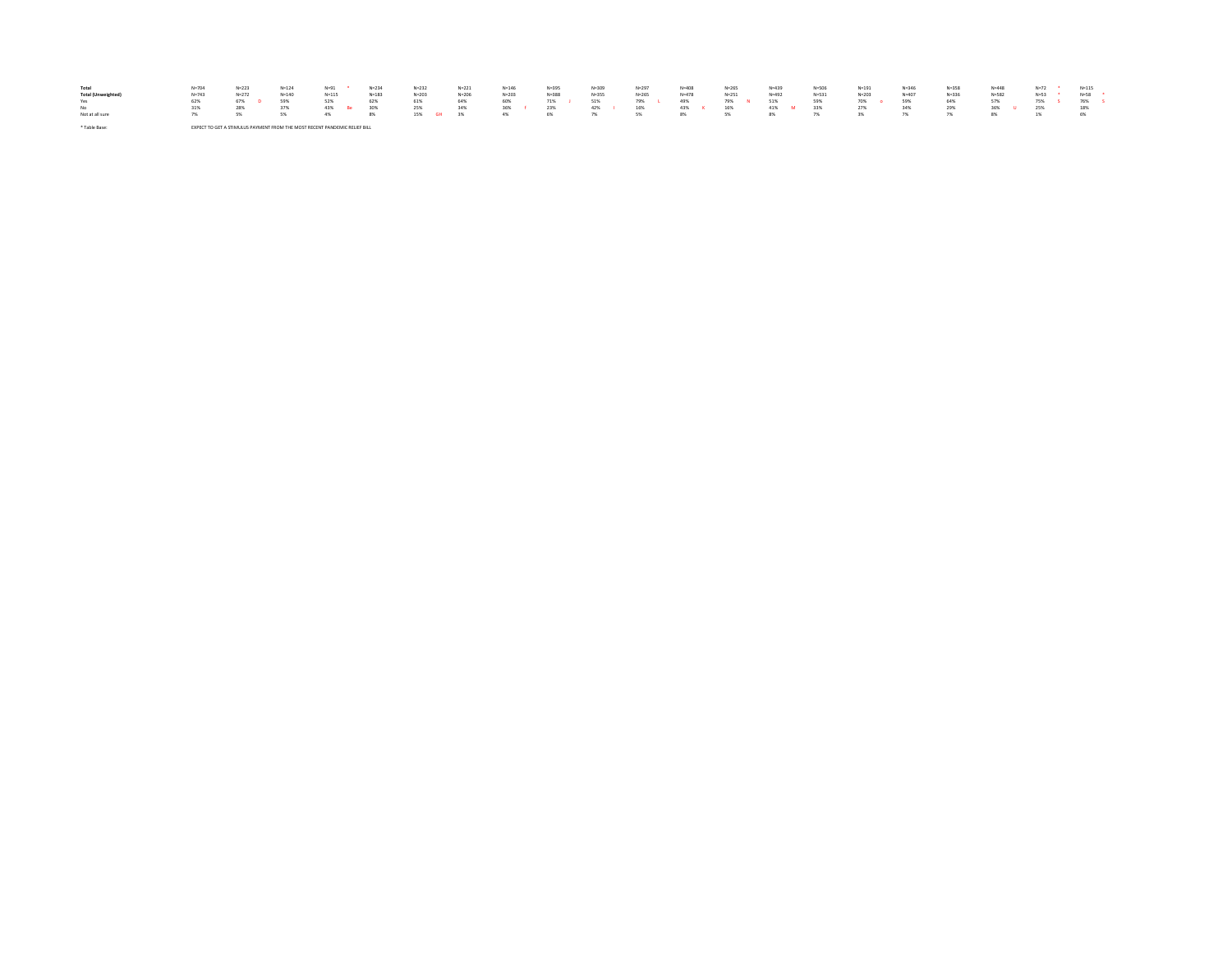| Total<br><b>Total (Unweighted</b><br>Yes<br>No<br>Not at all sure | $N = 704$<br>$N = 743$<br>62%<br>31% | $N = 223$<br>$N = 272$<br>67%<br>28%                                      | $N = 124$<br>$N = 140$<br>59% | $N = 91$<br>$N = 115$<br>52%<br>4% | $N = 23$<br>$N = 183$<br>- 30% | $N = 232$<br>$N = 203$<br>61%<br>25%<br>15% GH | $N = 221$<br>$N = 206$<br>64%<br>34%<br>3% | $N = 146$<br>$N = 203$<br>60%<br>4% | $N = 395$<br>$N = 388$<br>71%<br>23%<br>6% | $N = 309$<br>$N = 355$<br>51%<br>42% | $N = 297$<br>$N = 265$<br>79%<br>16%<br>5% | $N = 408$<br>$N = 478$<br>49%<br>43%<br>8% | $N = 265$<br>$N = 251$<br>79%<br>16%<br>cu. | $N = 439$<br>$N = 492$<br>51%<br>41% M<br>8% | $N = 531$<br>59%<br>33% | $N = 191$<br>$N = 203$<br>70% | $N = 346$<br>$N = 407$<br>59%<br>34% | $N = 358$<br>$N = 336$<br>64%<br>29% | $N = 448$<br>$N = 582$ | $N=72$<br>$N = 53$<br>75%<br>25% | $N = 115$<br>$N = 58$<br>76%<br>18%<br>6% |  |
|-------------------------------------------------------------------|--------------------------------------|---------------------------------------------------------------------------|-------------------------------|------------------------------------|--------------------------------|------------------------------------------------|--------------------------------------------|-------------------------------------|--------------------------------------------|--------------------------------------|--------------------------------------------|--------------------------------------------|---------------------------------------------|----------------------------------------------|-------------------------|-------------------------------|--------------------------------------|--------------------------------------|------------------------|----------------------------------|-------------------------------------------|--|
| * Table Base                                                      |                                      | EVECT TO CET A STIMULUS DAVMENT CROM THE MOST RECENT RANDEMIC RELIEC BULL |                               |                                    |                                |                                                |                                            |                                     |                                            |                                      |                                            |                                            |                                             |                                              |                         |                               |                                      |                                      |                        |                                  |                                           |  |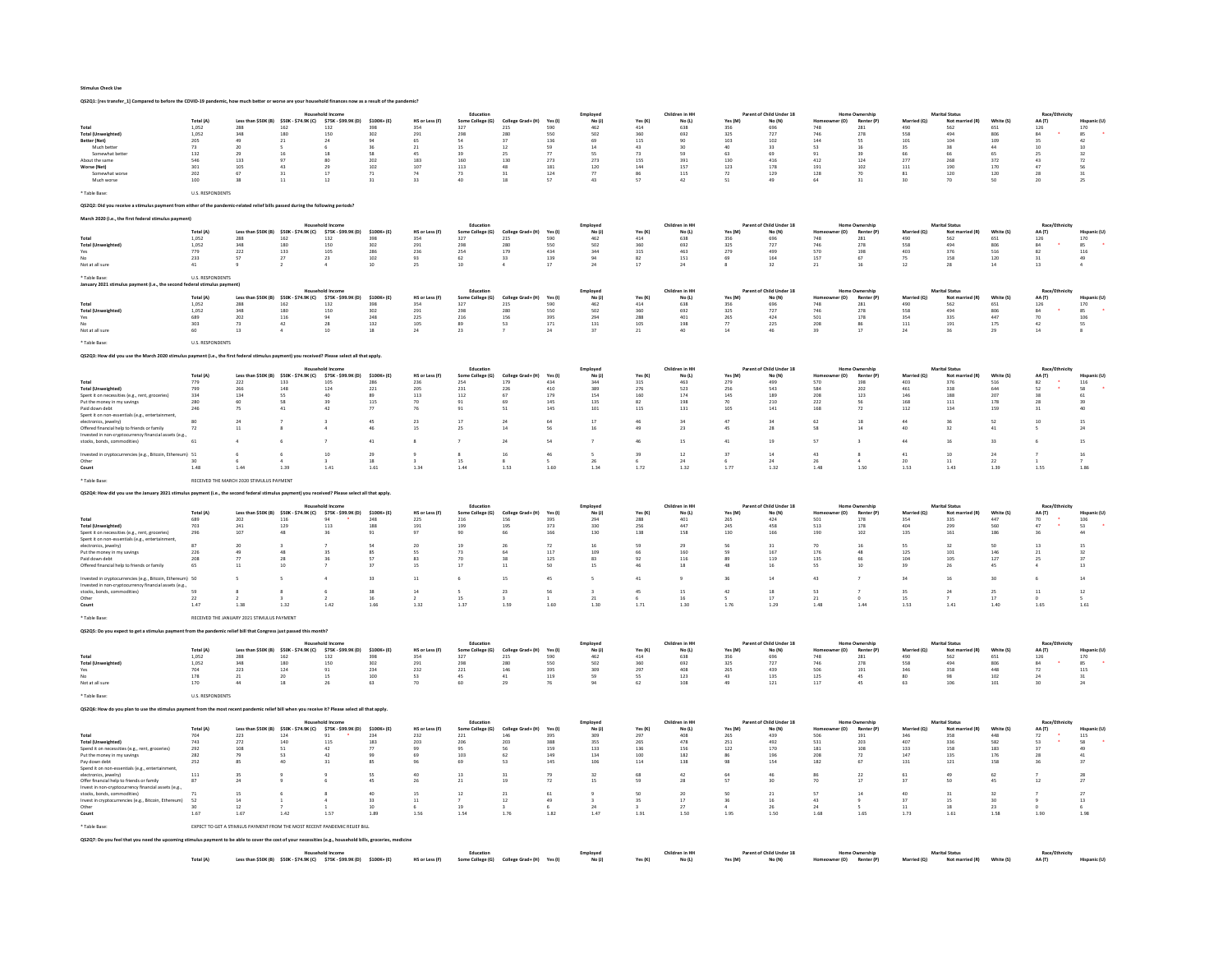QS2Q1: [res transfer\_1] Compared to before the COVID-19 pandemic, how much better or worse are your household finances now as a result of the pandemic?

|                                                                                                                                                  |                         |                                                                            |                                                                    |                                                             |                                           |                                                 |                               |                          |                       | Employe              |                                                          | Children in HI                              |                | Parent of Child Under 18           |                    |                                          |                                  |                                          |                       |                      |                                                      |
|--------------------------------------------------------------------------------------------------------------------------------------------------|-------------------------|----------------------------------------------------------------------------|--------------------------------------------------------------------|-------------------------------------------------------------|-------------------------------------------|-------------------------------------------------|-------------------------------|--------------------------|-----------------------|----------------------|----------------------------------------------------------|---------------------------------------------|----------------|------------------------------------|--------------------|------------------------------------------|----------------------------------|------------------------------------------|-----------------------|----------------------|------------------------------------------------------|
| Total                                                                                                                                            | Total (A)<br>1.052      | 288                                                                        | Less than \$50K (B) \$50K - \$74.9K (C) \$75K - \$99.9K (D)<br>162 | 132                                                         | $$100K + (E)$<br>398                      | HS or Less (F)<br>354                           | Some College (G)<br>327       | College Grad+ (H)<br>215 | Yes (I)<br>590        | No $(i)$<br>462      | Yes(K)<br>414                                            | $\mathsf{No}\left(\mathsf{L}\right)$<br>638 | Yes (M)<br>356 | No (N)<br>696                      | r (O)<br>748       | Renter (P<br>281                         | Mar<br>$\left( 9 \right)$<br>490 | Not r<br>562                             | White (S)<br>651      | AA (T)<br>126        | 170                                                  |
| <b>Total (Unw</b>                                                                                                                                | 1,052                   | 348                                                                        | 180                                                                | 150                                                         | 302                                       | 291                                             | 298                           | 280                      | 550                   | 502                  | 360                                                      | 692                                         | 325            | 727                                | 746                | 278                                      | 558                              | 494                                      | 806                   | 84                   | 85                                                   |
| Better (Net)<br>Much better                                                                                                                      | 205<br>73               | 49<br>20                                                                   | 21                                                                 | 24                                                          | 94                                        | 65<br>21                                        | 54<br>15                      | 37<br>12                 | 136<br>59             | 69<br>14             | 115<br>43                                                | 90<br>30                                    | 103            | 102<br>33                          | 144<br>53          | SS.                                      | 101<br>35                        | 104<br>38                                | 109<br>44             | 35                   | 42<br>10                                             |
| Somewhat bette                                                                                                                                   | 132                     | 29                                                                         | 16                                                                 | 18                                                          | 58                                        | 45                                              | 39                            | 25                       | 77                    | SS                   | 73                                                       | 59                                          | 63             | 69                                 | 91                 | 39                                       | 66                               | 66                                       | 65                    | 25                   | $_{\rm 32}$                                          |
| About the same<br>Worse (Net)                                                                                                                    | 546<br>301              | 133<br>109                                                                 | 97<br>43                                                           | 80<br>29                                                    | 202<br>102                                | 183<br>107                                      | 160<br>113                    | 130<br>48                | 273<br>181            | 273<br>120           | 155<br>144                                               | 391<br>157                                  | 130<br>123     | 416<br>178                         | 412<br>191         | 124<br>102                               | 277<br>111                       | 268<br>190                               | 372<br>170            | 43<br>47             | 72<br>56                                             |
| Somewhat worse                                                                                                                                   | 202                     | 67                                                                         | 31                                                                 | 17                                                          | 71                                        | 74                                              | 73                            | 31                       | 124                   | 77                   | 86                                                       | 115                                         | 72             | 129                                | 128                | 70                                       | 81                               | 120                                      | 120                   | 28                   | $\begin{array}{c} 31 \\ 25 \end{array}$              |
| Much worse                                                                                                                                       | $100\,$                 | 38                                                                         | $\overline{11}$                                                    | 12                                                          | 31                                        | 33                                              |                               |                          | 57                    | 43                   |                                                          | $42\,$                                      |                | 49                                 | 64                 | $_{31}$                                  | 30                               | 70                                       | 50                    | 20                   |                                                      |
| * Table Base:                                                                                                                                    | <b>U.S. RESPONDENTS</b> |                                                                            |                                                                    |                                                             |                                           |                                                 |                               |                          |                       |                      |                                                          |                                             |                |                                    |                    |                                          |                                  |                                          |                       |                      |                                                      |
| OS2O2: Did you receive a stimulus payment from either of the pandemic-related relief bills passed during the following periods?                  |                         |                                                                            |                                                                    |                                                             |                                           |                                                 |                               |                          |                       |                      |                                                          |                                             |                |                                    |                    |                                          |                                  |                                          |                       |                      |                                                      |
| March 2020 (i.e., the first federal stimulus payment)                                                                                            |                         |                                                                            |                                                                    |                                                             |                                           |                                                 |                               |                          |                       |                      |                                                          |                                             |                |                                    |                    |                                          |                                  |                                          |                       |                      |                                                      |
|                                                                                                                                                  |                         |                                                                            |                                                                    | Household Incom                                             |                                           |                                                 | Education                     |                          |                       | Employee             |                                                          | Children in HH                              |                | Parent of Child Under 18           |                    | Home Ownership                           |                                  | <b>Marital Status</b>                    |                       | Race/Et              |                                                      |
| Tota                                                                                                                                             | Total (A)<br>1.052      | 288                                                                        | Less than \$50K (B) \$50K - \$74.9K (C)<br>162                     | \$75K - \$99.9K (D)<br>132                                  | $$100K + (E)$<br>398                      | HS or Less (F)<br>354                           | Some College (G)<br>327       | College Grad+ (H)<br>215 | Yes (I)<br>590        | No(1)<br>462         | Yes(K)<br>414                                            | $\mathsf{No}\left(\mathsf{L}\right)$<br>638 | Yes (M)<br>356 | No (N)<br>696                      | (0)<br>748         | Ren<br>281                               | 490                              | Not<br>562                               | White (S)<br>651      | AA (T)<br>126        | 170                                                  |
| Total (U                                                                                                                                         | 1,052                   | 348                                                                        | 180                                                                | 150                                                         | 302                                       | $\bf 291$                                       | 298                           | 280                      | 550                   | 502                  | 360                                                      | 692                                         | 325            | 727                                | 746                | 278                                      | 558                              | 494                                      | 806                   | 84                   | $85\,$                                               |
| Yes                                                                                                                                              | 779<br>233              | 222<br>57                                                                  | 133<br>27                                                          | 105<br>23                                                   | $\begin{array}{c} 286 \\ 102 \end{array}$ | $\bf 236$<br>93                                 | 254<br>62                     | 179<br>33                | $_{434}$<br>139       | 344<br>94            | 315<br>82                                                | 463<br>151                                  | 279<br>69      | 499<br>164                         | 570<br>157         | $\begin{array}{c} 198 \\ 67 \end{array}$ | 403<br>75                        | 376<br>158                               | ${\small 516}$<br>120 | 82<br>31             | 116<br>49                                            |
| Not at all sure                                                                                                                                  | $41\,$                  |                                                                            |                                                                    |                                                             | $10\,$                                    | 25                                              | $10$                          |                          | $17\,$                | $^{24}$              | 17                                                       | 24                                          |                | $32\,$                             | $\bf 21$           | 16                                       | 12                               | $\bf 28$                                 | $14\,$                | 13                   |                                                      |
| * Table Bas                                                                                                                                      | <b>U.S. RESPONDENTS</b> |                                                                            |                                                                    |                                                             |                                           |                                                 |                               |                          |                       |                      |                                                          |                                             |                |                                    |                    |                                          |                                  |                                          |                       |                      |                                                      |
| January 2021 sti                                                                                                                                 | nd federal stimulus n   | ment <sup>1</sup>                                                          |                                                                    |                                                             |                                           |                                                 |                               |                          |                       |                      |                                                          |                                             |                |                                    |                    |                                          |                                  |                                          |                       |                      |                                                      |
|                                                                                                                                                  | Total (A)               |                                                                            | Less than \$50K (B) \$50K - \$74.9K (C)                            | ousehold Incom<br>\$75K - \$99.9K (D)                       | $$100K + (E)$                             | HS or Less (F)                                  | Education<br>Some College (G) | College Grad+ (H)        | Yes (I)               | Employee<br>No(1)    | Yes $(K)$                                                | Children in HH<br>No (L)                    | Yes (M)        | Parent of Child Under 18<br>No (N) | (0)                | Rente                                    | Married (O)                      | <b>Marital Status</b><br>Not r<br>ed (R) | White (S)             | Race/Et<br>AA (T)    |                                                      |
| Total                                                                                                                                            | 1,052                   | 288                                                                        | 162                                                                | 132                                                         | 398                                       | 354                                             | 327                           | 215                      | 590                   | 462                  | 414                                                      | 638                                         | 356            | 696                                | 748                | 281                                      | 490                              | 562                                      | 651                   | 126                  | 170                                                  |
| Total (Ur<br>Yes                                                                                                                                 | 1,052<br>689            | $_{\rm 348}$<br>202                                                        | 180                                                                | 150<br>94                                                   | 302<br>248                                | $291\,$                                         | 298<br>216                    | 280                      | $550\,$<br>395        | 502<br>294           | $360\,$                                                  | 692<br>401                                  | 325<br>265     | $727\,$<br>424                     | ${\bf 746}$<br>501 | 278<br>178                               | $_{558}$<br>354                  | 494<br>335                               | 806<br>447            | $^{\rm 84}$<br>70    | $85\,$                                               |
| Not at all sure                                                                                                                                  | 303<br>60               | 73<br>$13\,$                                                               | $\frac{116}{42}$                                                   | $\overline{28}$<br>$10\,$                                   | 132<br>$\bf{^{18}}$                       | $\begin{array}{c} 225 \\ 105 \end{array}$<br>24 | 89<br>23                      | 156<br>53                | 171<br>$\bf{^{24}}$   | 131<br>37            | $\begin{array}{c} 288 \\ 105 \end{array}$<br>$2\sqrt{1}$ | 198<br>40                                   | 77<br>$14\,$   | 225<br>46                          | 208<br>39          | 86<br>17                                 | 111<br>$\bf 24$                  | 191<br>36                                | 175<br>29             | 42<br>14             | $\begin{array}{c} 106 \\ 55 \end{array}$<br>$\bf{8}$ |
|                                                                                                                                                  |                         |                                                                            |                                                                    |                                                             |                                           |                                                 |                               |                          |                       |                      |                                                          |                                             |                |                                    |                    |                                          |                                  |                                          |                       |                      |                                                      |
| * Table Base                                                                                                                                     | U.S. RESPONDENTS        |                                                                            |                                                                    |                                                             |                                           |                                                 |                               |                          |                       |                      |                                                          |                                             |                |                                    |                    |                                          |                                  |                                          |                       |                      |                                                      |
| Q\$2Q3: How did you use the March 2020 stimulus payment (i.e., the first federal stimulus payment) you received? Please select all that apply    |                         |                                                                            |                                                                    |                                                             |                                           |                                                 |                               |                          |                       |                      |                                                          |                                             |                |                                    |                    |                                          |                                  |                                          |                       |                      |                                                      |
|                                                                                                                                                  |                         |                                                                            |                                                                    | old In                                                      |                                           |                                                 | Education                     |                          |                       | Employed             |                                                          | Children in HH                              |                | Parent of Child Under 18           |                    | <b>Home Ownership</b>                    |                                  | <b>Marital Status</b>                    |                       | Race/Eth             |                                                      |
|                                                                                                                                                  | Total (A)               |                                                                            | \$50K (B) \$50K - \$74.9K (C)                                      | \$75K - \$99.9K (D)                                         | $$100K + (E)$                             | HS or Less (F)                                  | Some College (G)              | College Grad+ (H)        | Yes (I)               | No(1)                | Yes (K)                                                  | No (L)                                      | Yes (M)        | No (N)                             | (0)                | Renter (F                                | Married (O)                      | Not r                                    | White (S)             | AA (T)               |                                                      |
| <b>Total (Unweighted)</b>                                                                                                                        | 779<br>799              | 222<br>266                                                                 | 133<br>148                                                         | 105<br>124                                                  | 286<br>221                                | 236<br>205                                      | 254<br>231                    | 179<br>226               | 434<br>410            | 344<br>389           | 315<br>276                                               | 463<br>523                                  | 279<br>256     | 499<br>543                         | 570<br>584         | 198<br>202                               | 403<br>461                       | 376<br>338                               | 516<br>644            | 82<br>52             | 116<br>58                                            |
| Spent it on necessities (e.g., rent, groceries                                                                                                   | 334                     | 134                                                                        | <b>SS</b>                                                          | 40                                                          | 89                                        | 113                                             | 112                           | 67                       | 179                   | 154                  | 160                                                      | 174                                         | 145            | 189                                | 208                | 123                                      | 146                              | 188                                      | 207                   | 38                   | 61                                                   |
| Put the money in my savings<br>Paid down debt                                                                                                    | 280<br>246              | 60<br>75                                                                   | 58<br>41                                                           | 39<br>42                                                    | 115<br>77                                 | 70<br>76                                        | 91<br>91                      | 69<br>51                 | 145<br>$14\mathsf{S}$ | 135<br>${\bf 101}$   | 82<br>$115\,$                                            | 198<br>$\bf 131$                            | 70<br>105      | 210<br>141                         | 222<br>168         | 56<br>${\bf 72}$                         | 168<br>$112\,$                   | 111<br>134                               | 178<br>159            | 28<br>31             | 39<br>$40\,$                                         |
| Spent it on non-essentials (e.g., entertainment                                                                                                  |                         |                                                                            |                                                                    |                                                             |                                           | $^{23}$                                         |                               |                          |                       |                      |                                                          |                                             |                |                                    | 62                 |                                          |                                  |                                          |                       |                      |                                                      |
| electronics, jewelry)<br>Offered financial help to friends or family                                                                             | 72                      | 11                                                                         |                                                                    |                                                             | 46                                        | 15                                              | 25                            | 14                       | 56                    | 17<br>16             | 46<br>49                                                 | 34<br>23                                    | 45             | 34<br>28                           | 58                 | 18<br>14                                 | 40                               | 32                                       | 41                    |                      | 24                                                   |
| Invested in non-cryptocurrency financial assets (e.g.<br>stocks, bonds, cor<br>modities)                                                         | 61                      |                                                                            |                                                                    |                                                             | 41                                        |                                                 |                               | 24                       | 54                    |                      | 46                                                       | 15                                          | 41             | 19                                 | 57                 |                                          | 44                               | 16                                       | 33                    |                      | 15                                                   |
|                                                                                                                                                  |                         |                                                                            |                                                                    |                                                             |                                           |                                                 |                               |                          |                       |                      |                                                          |                                             |                |                                    |                    |                                          |                                  |                                          |                       |                      |                                                      |
| nvested in cryptocurrencies (e.g., Bitcoin, Ethereum) 51<br>Other                                                                                | 30                      |                                                                            |                                                                    | $10\,$                                                      | 29<br>18                                  |                                                 | 15                            | 16                       | $46\,$                | 26                   | 39                                                       | $12\,$<br>24                                | 37             | $14\,$<br>24                       | 43<br>26           |                                          | $41\,$<br>20                     | 10<br>11                                 | $\bf{24}$<br>22       |                      | $16\,$                                               |
| Count                                                                                                                                            | 1.48                    | 1.44                                                                       | 1.39                                                               | 1.41                                                        | 1.61                                      | 1.34                                            | 1.44                          | 1.53                     | 1.60                  | 1.34                 | 1.72                                                     | 1.32                                        | 1.77           | 1.32                               | 1.48               | 1.50                                     | 1.53                             | 1.43                                     | 1.39                  | 1.55                 | 1.86                                                 |
| * Table Base                                                                                                                                     |                         | RECEIVED THE MARCH 2020 STIMULUS PAYMENT                                   |                                                                    |                                                             |                                           |                                                 |                               |                          |                       |                      |                                                          |                                             |                |                                    |                    |                                          |                                  |                                          |                       |                      |                                                      |
|                                                                                                                                                  |                         |                                                                            |                                                                    |                                                             |                                           |                                                 |                               |                          |                       |                      |                                                          |                                             |                |                                    |                    |                                          |                                  |                                          |                       |                      |                                                      |
| OS2O4: How did you use the January 2021 stimulus payment (i.e., the second federal stimulus p                                                    |                         |                                                                            |                                                                    | ent) vou received? Please select all that apply             |                                           |                                                 |                               |                          |                       |                      |                                                          |                                             |                |                                    |                    |                                          |                                  |                                          |                       |                      |                                                      |
|                                                                                                                                                  |                         |                                                                            |                                                                    | Jousebold Incom                                             |                                           |                                                 | Educatio                      |                          |                       | Employee             |                                                          | Children in HH                              |                | Parent of Child Under 18           |                    | Home Ownershi                            |                                  | <b>Marital Status</b>                    |                       | <b>Race/Ethnicit</b> |                                                      |
|                                                                                                                                                  |                         |                                                                            |                                                                    |                                                             |                                           |                                                 |                               |                          |                       |                      |                                                          |                                             |                |                                    |                    |                                          |                                  |                                          |                       |                      |                                                      |
|                                                                                                                                                  | <b>Total (A)</b>        |                                                                            | Less than \$50K (B) \$50K - \$74.9K (C) \$75K - \$99.9K (D)        |                                                             | \$100K+(E)                                | HS or Less (F)                                  | Some College (G)              | College Grad+ (H)        | Yes (I)               | No(1)                | Yes (K)                                                  | No (L)                                      | Yes (M)        | No (N)                             | er (O)             | Renter (P)                               | Married (O)                      | Not married (R)                          | White (S)             | AA (T)               |                                                      |
| <b>Total (Unweighted)</b>                                                                                                                        | 689<br>703              | 202<br>241                                                                 | 116<br>129                                                         | 113                                                         | 248<br>188                                | $225\,$<br>191                                  | $_{\rm 216}$<br>199           | 156<br>195               | 395<br>373            | 294<br>330           | 288<br>256                                               | 401<br>447                                  | 265<br>245     | 424<br>458                         | 501<br>513         | 178<br>178                               | 354<br>404                       | 335<br>299                               | 447<br>560            | 70<br>47             | 106<br>53                                            |
| Spent it on necessities (e.g., rent, groceries)                                                                                                  | 296                     | 107                                                                        | 48                                                                 | 36                                                          | 91                                        | 97                                              | 90                            | 66                       | 166                   | 130                  | 138                                                      | 158                                         | 130            | 166                                | 190                | 102                                      | 135                              | 161                                      | 186                   |                      | $\bf 44$                                             |
| Spent it on non-essentials (e.g., entertainment<br>electronics, jewelry)                                                                         | 87                      | 20                                                                         |                                                                    |                                                             | 54                                        | 20                                              | 19                            | 26                       | 72                    | 16                   | 59                                                       | 29                                          | 56             | 31                                 | 70                 | 16                                       | SS <sub></sub>                   | 32                                       | 50                    | 13                   | 15                                                   |
| Put the money in my savings<br>Paid down debt                                                                                                    | 226<br>208              | 77                                                                         | 28                                                                 | 36                                                          | 57                                        | 83                                              | 73<br>70                      | 38                       | 117<br>125            | 109<br>83            | 66<br>92                                                 | 160<br>116                                  | 89             | 167<br>119                         | 176<br>135         | 66                                       | 125<br>104                       | 101<br>105                               | 146<br>127            | 21<br>25             | 32<br>37                                             |
| Offered financial help to friends or family                                                                                                      | 65                      | 11                                                                         | 10                                                                 |                                                             | 37                                        | 15                                              | 17                            | 11                       | 50                    | 15                   | 46                                                       | 18                                          | 48             | 16                                 | 55                 | 10                                       | 39                               | 26                                       | 45                    |                      | $13$                                                 |
| Invested in cryptocurrencies (e.g., Bitcoin, Ethereum) 50                                                                                        |                         |                                                                            |                                                                    | $\Delta$                                                    | 33                                        | 11                                              | -6                            | 15                       | 45                    | $\mathsf{s}$         | 41                                                       | $\overline{9}$                              | 36             | 14                                 | 43                 |                                          | 34                               | 16                                       | 30                    |                      | 14                                                   |
| Invested in non-cryptocurrency financial assets (e.g.,                                                                                           |                         |                                                                            |                                                                    |                                                             |                                           |                                                 |                               |                          |                       |                      |                                                          |                                             |                |                                    |                    |                                          |                                  |                                          |                       |                      |                                                      |
| stocks, bonds, commodities)<br>Other                                                                                                             | 59<br>22                |                                                                            |                                                                    | 6                                                           | 38<br>16                                  | 14                                              | 15                            | 23                       | 56                    | $\overline{a}$<br>21 | 45                                                       | 15<br>16                                    | 42             | 18<br>17                           | 53<br>21           | $\overline{z}$                           | 35<br>15                         | 24                                       | 25<br>17              | 11                   | 12                                                   |
| Count                                                                                                                                            | 1.47                    | 1 38                                                                       | 1.32                                                               | 1.42                                                        | 1.66                                      | 132                                             | 1.37                          | 1.59                     | 1.60                  | 1.30                 | 171                                                      | 1.30                                        | 1.76           | 1.29                               | 1.48               | 1.44                                     | 1.53                             | 1.41                                     | 1.40                  | 1.65                 | 1.61                                                 |
| * Table Base                                                                                                                                     |                         | RECEIVED THE JANUARY 2021 STIMULUS PAYMENT                                 |                                                                    |                                                             |                                           |                                                 |                               |                          |                       |                      |                                                          |                                             |                |                                    |                    |                                          |                                  |                                          |                       |                      |                                                      |
|                                                                                                                                                  |                         |                                                                            |                                                                    |                                                             |                                           |                                                 |                               |                          |                       |                      |                                                          |                                             |                |                                    |                    |                                          |                                  |                                          |                       |                      |                                                      |
| Q\$2Q5: Do you expect to get a stimulus payment from the pandemic relief bill that Congress just passed this month                               |                         |                                                                            |                                                                    |                                                             |                                           |                                                 |                               |                          |                       |                      |                                                          |                                             |                |                                    |                    |                                          |                                  |                                          |                       |                      |                                                      |
|                                                                                                                                                  | Total (A)               |                                                                            |                                                                    | lousehold Income                                            | $$100K + (E)$                             | HS or Less (F)                                  | Education<br>Some College (G) | College Grad+ (H)        |                       | Employee<br>No(1)    |                                                          | Children in HH<br>No (L)                    |                | Parent of Child Under 18<br>No (N) | er (O)             | <b>Home Ownership</b><br>Renter (P)      | Marrie                           | <b>Marital Status</b><br>Not ma          | White (S)             | Race/Eth             |                                                      |
| Total                                                                                                                                            | 1.052                   | 288                                                                        | Less than \$50K (B) \$50K - \$74.9K (C) \$75K - \$99.9K (D)<br>162 | 132                                                         | 398                                       | 354                                             | 327                           | 215                      | Yes (I)<br>590        | 462                  | Yes (K)<br>414                                           | 638                                         | Yes (M)<br>356 | 696                                | 748                | 281                                      | 490                              | 562                                      | 651                   | AA (T)<br>126        | 170                                                  |
| Total (Um<br>Yes                                                                                                                                 | 1,052<br>704            | $_{\rm 348}$<br>223                                                        | 180<br>124                                                         | 150<br>91                                                   | 302<br>234                                | $\bf 291$<br>232                                | 298<br>221                    | 280<br>146               | 550<br>395            | 502<br>309           | $360\,$<br>297                                           | 692<br>408                                  | 325<br>265     | 727<br>439                         | 746<br>506         | 278<br>191                               | 558<br>346                       | 494<br>358                               | 806<br>448            | 84<br>72             | 85<br>115                                            |
|                                                                                                                                                  | 178                     | 21                                                                         | 20                                                                 | 15                                                          | 100                                       | 53                                              | 45                            | 41                       | 119                   | 59                   | SS.                                                      | 123                                         | 43             | 135                                | 125                | 45                                       | 80                               | 98                                       | 102                   | 24                   | 31                                                   |
| Not at all sure                                                                                                                                  | 170                     | $44$                                                                       | 18                                                                 | 26                                                          | 63                                        | 70                                              | 60                            |                          | 76                    |                      | 62                                                       | 108                                         |                | 121                                | 117                | 45                                       | 63                               | 106                                      | 101                   | 30                   | $^{24}$                                              |
| <b>Table Base</b>                                                                                                                                | U.S. RESPONDENTS        |                                                                            |                                                                    |                                                             |                                           |                                                 |                               |                          |                       |                      |                                                          |                                             |                |                                    |                    |                                          |                                  |                                          |                       |                      |                                                      |
| Q\$2Q6: How do you plan to use the stimulus payment from the most recent pandemic relief bill when you receive it? Please select all that apply. |                         |                                                                            |                                                                    |                                                             |                                           |                                                 |                               |                          |                       |                      |                                                          |                                             |                |                                    |                    |                                          |                                  |                                          |                       |                      |                                                      |
|                                                                                                                                                  |                         |                                                                            |                                                                    | <b>Household Income</b>                                     |                                           |                                                 | Education                     |                          |                       | Employed             |                                                          | Children in HH                              |                | Parent of Child Under 18           |                    | <b>Home Ownership</b>                    |                                  | <b>Marital Status</b>                    |                       | Race/Ethn            |                                                      |
|                                                                                                                                                  | Total (A)               | Less than \$50K (B)                                                        | \$50K - \$74.9K (C)                                                | \$75K - \$99.9K (D)                                         | \$100K+(E)                                | <b>HS or Less (F</b>                            | Some College (G)              |                          | Yes (I)               | No(1)                | Yes (K)                                                  | $\mathsf{No}\left(\mathsf{L}\right)$        | Yes (M)        | No (N)                             | r (O)              | Renter (P)                               |                                  | Not man                                  | White (S              | AA (T)               |                                                      |
| Total<br><b>Total (Unweighted)</b>                                                                                                               | 704<br>743              | 223<br>272                                                                 | 124<br>140                                                         | 91<br>115                                                   | 234<br>183                                | 232<br>203                                      | 221<br>206                    | 146<br>203               | 395<br>388            | 309<br>355           | 297<br>265                                               | 408<br>478                                  | 265<br>251     | 439<br>492                         | 506<br>531         | 191<br>203                               | 346<br>407                       | 358<br>336                               | 448<br>582            | 72<br>53             | 115<br>58                                            |
| Spend it on necessities (e.g., rent, groceries)                                                                                                  | 292                     | 108                                                                        | 51                                                                 | 42                                                          | 77                                        | 99                                              | 95                            | 56                       | 159                   | 133                  | 136                                                      | 156                                         | 122            | 170                                | 181                | 108                                      | 133                              | 158                                      | 183                   |                      | 49                                                   |
| Put the money in my savings<br>Pay down debt                                                                                                     | 282<br>252              | 79<br>85                                                                   | 53                                                                 | 42<br>$\overline{31}$                                       | 99<br>85                                  | 69<br>96                                        | 103<br>69                     | 62<br>53                 | 149<br>$14\mathsf{S}$ | 134<br>106           | 100<br>$114\,$                                           | 182<br>138                                  | 86<br>98       | 196<br>154                         | 208<br>182         | 72<br>67                                 | 147<br>$_{\rm 131}$              | 135<br>$\bf 121$                         | 176<br>158            | 28                   | 41<br>37                                             |
| Spend it on non-essentials (e.g., entertainment,                                                                                                 |                         |                                                                            |                                                                    |                                                             |                                           |                                                 |                               |                          |                       |                      |                                                          |                                             |                |                                    |                    |                                          |                                  |                                          |                       |                      |                                                      |
| electronics, jewelry)<br>Offer financial help to friends or family                                                                               | 111<br>87               | 35<br>$^{24}$                                                              |                                                                    |                                                             | SS <sub>5</sub><br>45                     | 26                                              | 13<br>$_{\rm 21}$             | 19                       | 79<br>$72\,$          | 32<br>15             | 68<br>59                                                 | 42<br>$\bf 28$                              | 57             | 30                                 | 70                 | $^{22}$<br>$17$                          | 61<br>37                         | 50                                       | 45                    | 12                   | 28<br>27                                             |
| Invest in non-cryptocurrency financial assets (e.g.                                                                                              |                         |                                                                            |                                                                    |                                                             |                                           |                                                 |                               |                          |                       |                      |                                                          |                                             |                |                                    |                    |                                          |                                  |                                          |                       |                      |                                                      |
| stocks, bonds, commodities)<br>Invest in cryptocurrencies (e.g., Bitcoin, Ethereum)                                                              | 71<br>52                | 14                                                                         |                                                                    |                                                             | 40<br>33                                  | 15<br>11                                        | 12                            | 21<br>12                 | 61<br>49              |                      | 50<br>35                                                 | 20<br>17                                    | 50<br>36       | 21<br>16                           | 57<br>43           | 14                                       | 40<br>37                         | 31<br>15                                 | 32<br>30              |                      | 27<br>13                                             |
| Other                                                                                                                                            | 30                      | 12                                                                         |                                                                    |                                                             | 10                                        |                                                 | 19                            |                          |                       |                      |                                                          | 27                                          |                | 26                                 | 24                 |                                          | 11                               | 18                                       | 23                    |                      |                                                      |
| Count                                                                                                                                            | $1.67\,$                | 1.67                                                                       | 1.42                                                               | 1.57                                                        | 1.89                                      | 1.56                                            | 1.54                          | 1.76                     | 1.82                  | 1.47                 | 1.91                                                     | 1.50                                        | 1.95           | 1.50                               | 1.68               | 1.65                                     | 1.73                             | 1.61                                     | 1.58                  | 1.90                 | 1.98                                                 |
|                                                                                                                                                  |                         | EXPECT TO GET A STIMILUS PAYMENT FROM THE MOST RECENT PANDEMIC RELIEF BILL |                                                                    |                                                             |                                           |                                                 |                               |                          |                       |                      |                                                          |                                             |                |                                    |                    |                                          |                                  |                                          |                       |                      |                                                      |
| 352Q7: Do you feel that you need the upcoming stimulus payment to be able to cover the cost of your necessities (e.g., ho                        |                         |                                                                            |                                                                    |                                                             | old bills, groceries, medicin             |                                                 |                               |                          |                       |                      |                                                          |                                             |                |                                    |                    |                                          |                                  |                                          |                       |                      |                                                      |
|                                                                                                                                                  | <b>Total (A)</b>        | Less than \$50K (B)                                                        |                                                                    | Household Income<br>\$50K - \$74.9K (C) \$75K - \$99.9K (D) |                                           |                                                 | Education                     |                          |                       |                      |                                                          | Children in HH                              | Yes (M)        | Parent of Child Under 18           |                    |                                          |                                  |                                          |                       |                      |                                                      |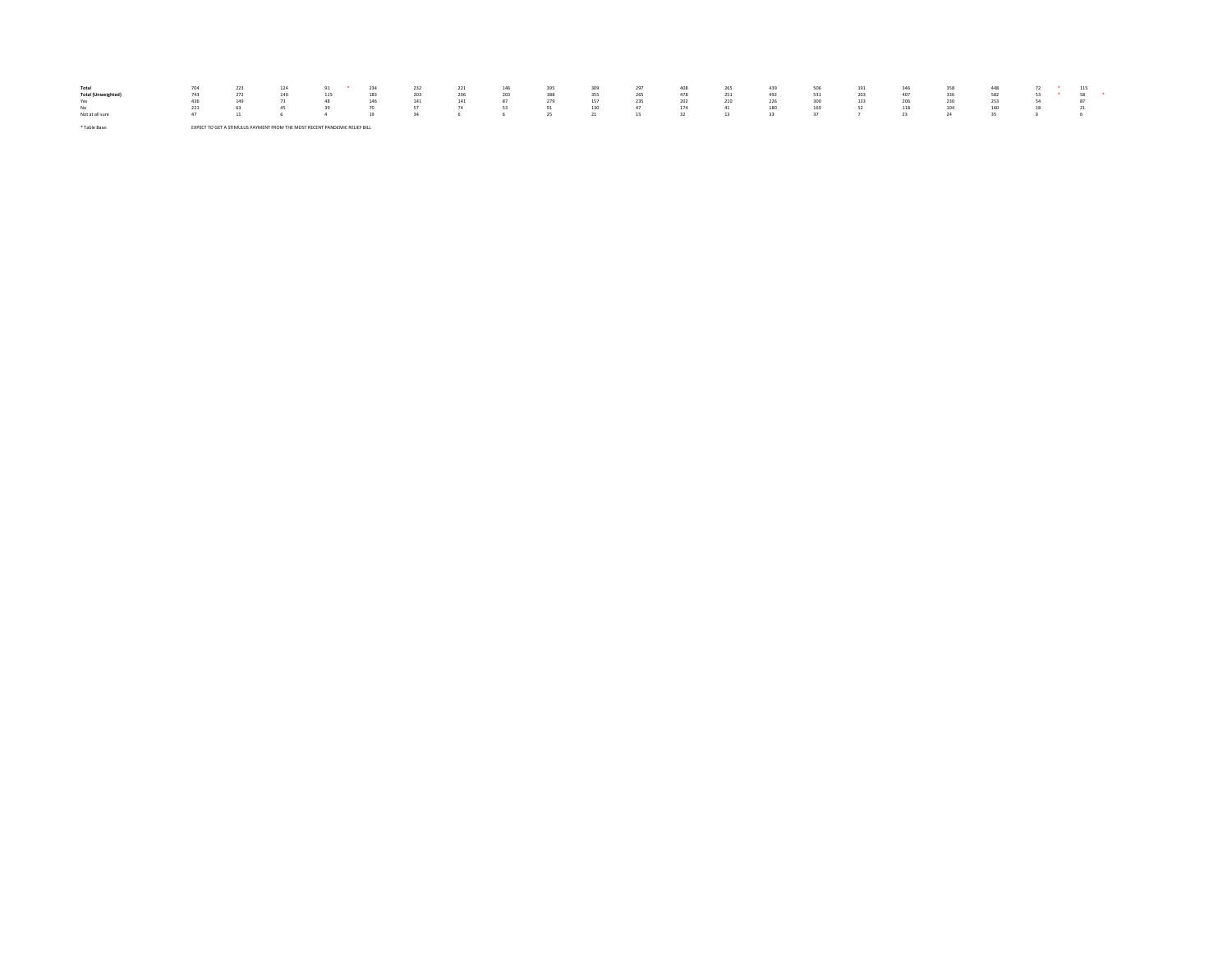| Total           | 704 |                                                                          |     |     | 232 | 221 | 146 | 395 | 309 | 297 | 408 | 265 | 439 | 506 | 191 |     | 358 | 448 |  | 115 |
|-----------------|-----|--------------------------------------------------------------------------|-----|-----|-----|-----|-----|-----|-----|-----|-----|-----|-----|-----|-----|-----|-----|-----|--|-----|
|                 | 743 |                                                                          | 115 | 183 | 203 | 206 | 203 | 388 | 355 | 265 | 478 | 251 | 492 |     | 203 | 407 | 336 | 582 |  |     |
| Yes             | 436 | 149                                                                      |     | 146 |     | 141 | 97  | 279 | 157 | 235 | 202 | 210 | 226 | 300 | 133 | 206 | 230 | 253 |  | 87  |
| No              | 221 | 63                                                                       | -29 | 70  |     | 74  | 53  | 91  | 130 | 47  |     | 41  | 180 | 169 | 52  | 118 | 104 | 160 |  | 21  |
| Not at all sure | 47  | 11                                                                       |     | 19  |     |     |     |     |     | 15  |     |     |     |     |     |     |     |     |  |     |
|                 |     |                                                                          |     |     |     |     |     |     |     |     |     |     |     |     |     |     |     |     |  |     |
| * Table Base:   |     | PECT TO GET A STIMULUS PAYMENT FROM THE MOST RECENT PANDEMIC RELIEF RILL |     |     |     |     |     |     |     |     |     |     |     |     |     |     |     |     |  |     |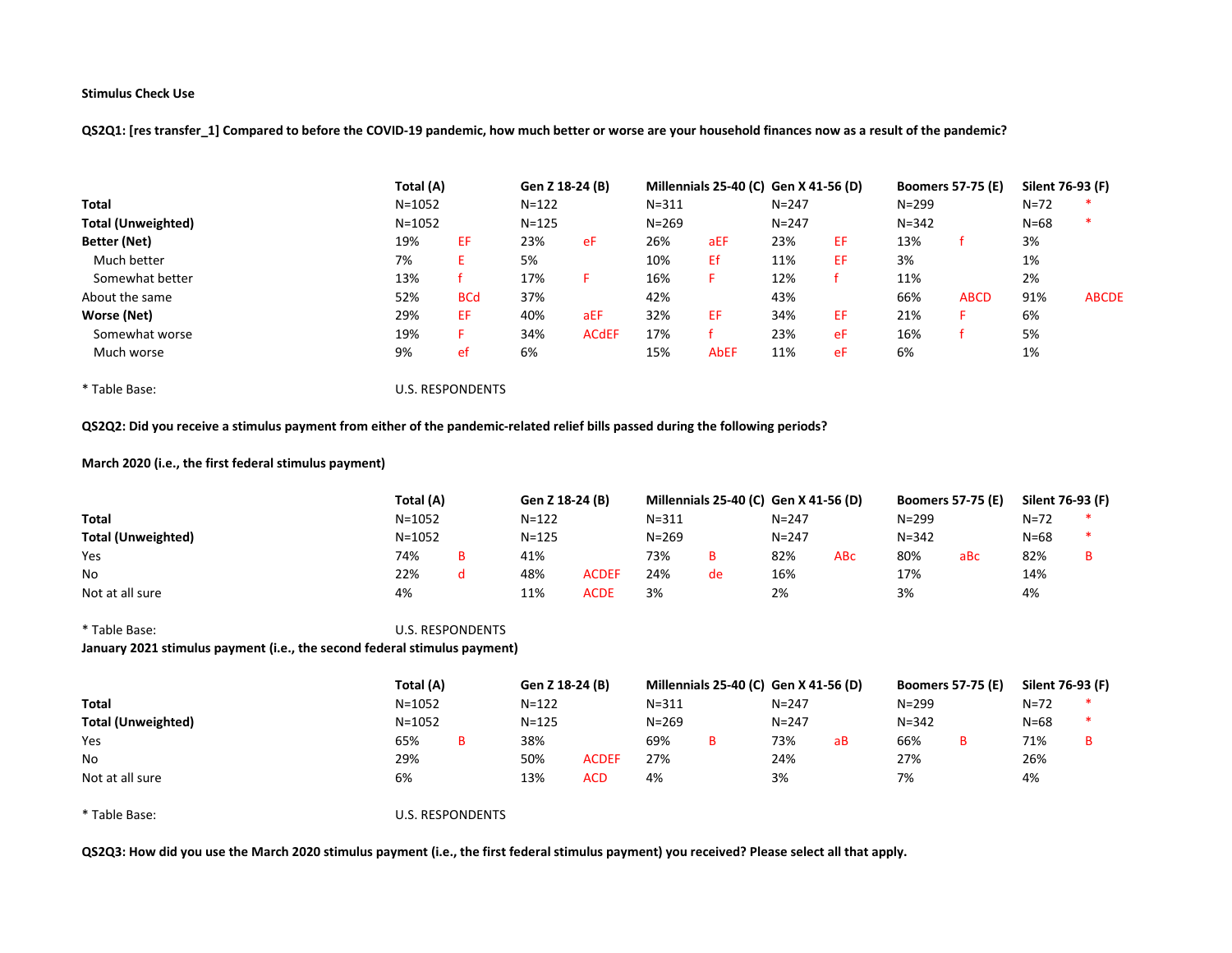QS2Q1: [res transfer\_1] Compared to before the COVID-19 pandemic, how much better or worse are your household finances now as a result of the pandemic?

|                           | Total (A)  |            | Gen Z 18-24 (B) |              |           | Millennials 25-40 (C) Gen X 41-56 (D) |           |    | <b>Boomers 57-75 (E)</b> |             | Silent 76-93 (F) |              |
|---------------------------|------------|------------|-----------------|--------------|-----------|---------------------------------------|-----------|----|--------------------------|-------------|------------------|--------------|
| Total                     | $N = 1052$ |            | $N = 122$       |              | $N = 311$ |                                       | $N = 247$ |    | $N = 299$                |             | $N = 72$         |              |
| <b>Total (Unweighted)</b> | $N = 1052$ |            | $N = 125$       |              | $N = 269$ |                                       | $N = 247$ |    | $N = 342$                |             | $N = 68$         |              |
| Better (Net)              | 19%        | EF         | 23%             | eF           | 26%       | aEF                                   | 23%       | EF | 13%                      |             | 3%               |              |
| Much better               | 7%         |            | 5%              |              | 10%       | Ef                                    | 11%       | EF | 3%                       |             | 1%               |              |
| Somewhat better           | 13%        |            | 17%             |              | 16%       |                                       | 12%       |    | 11%                      |             | 2%               |              |
| About the same            | 52%        | <b>BCd</b> | 37%             |              | 42%       |                                       | 43%       |    | 66%                      | <b>ABCD</b> | 91%              | <b>ABCDE</b> |
| Worse (Net)               | 29%        | EF         | 40%             | aEF          | 32%       | EF                                    | 34%       | EF | 21%                      |             | 6%               |              |
| Somewhat worse            | 19%        |            | 34%             | <b>ACdEF</b> | 17%       |                                       | 23%       | eF | 16%                      |             | 5%               |              |
| Much worse                | 9%         | ef         | 6%              |              | 15%       | <b>AbEF</b>                           | 11%       | eF | 6%                       |             | 1%               |              |

\* Table Base: U.S. RESPONDENTS

# QS2Q2: Did you receive a stimulus payment from either of the pandemic-related relief bills passed during the following periods?

# March 2020 (i.e., the first federal stimulus payment)

|                           | Total (A)  |           | Gen Z 18-24 (B) |              |           | Millennials 25-40 (C) Gen X 41-56 (D) |           |            | <b>Boomers 57-75 (E)</b> |     | Silent 76-93 (F) |  |
|---------------------------|------------|-----------|-----------------|--------------|-----------|---------------------------------------|-----------|------------|--------------------------|-----|------------------|--|
| <b>Total</b>              | $N = 1052$ |           | $N = 122$       |              | $N = 311$ |                                       | $N = 247$ |            | $N = 299$                |     | $N = 72$         |  |
| <b>Total (Unweighted)</b> | $N = 1052$ | $N = 125$ |                 |              | $N = 269$ |                                       | $N = 247$ |            | $N = 342$                |     | N=68             |  |
| Yes                       | 74%        |           | 41%             |              | 73%       | B                                     | 82%       | <b>ABC</b> | 80%                      | aBc | 82%              |  |
| No                        | 22%        |           | 48%             | <b>ACDEF</b> | 24%       | de                                    | 16%       |            | 17%                      |     | 14%              |  |
| Not at all sure           | 4%         |           | 11%             | <b>ACDE</b>  | 3%        |                                       | 2%        |            | 3%                       |     | 4%               |  |

# \* Table Base: U.S. RESPONDENTS January 2021 stimulus payment (i.e., the second federal stimulus payment)

|                           | Total (A)  | Gen Z 18-24 (B) |              | Millennials 25-40 (C) Gen X 41-56 (D) |   |           |    | <b>Boomers 57-75 (E)</b> | Silent 76-93 (F) |  |
|---------------------------|------------|-----------------|--------------|---------------------------------------|---|-----------|----|--------------------------|------------------|--|
| <b>Total</b>              | $N = 1052$ | $N = 122$       |              | $N = 311$                             |   | $N = 247$ |    | $N = 299$                | N=72             |  |
| <b>Total (Unweighted)</b> | $N = 1052$ | $N = 125$       |              | $N = 269$                             |   | $N = 247$ |    | $N = 342$                | N=68             |  |
| Yes                       | 65%        | 38%             |              | 69%                                   | в | 73%       | аB | 66%                      | 71%              |  |
| No                        | 29%        | 50%             | <b>ACDEF</b> | 27%                                   |   | 24%       |    | 27%                      | 26%              |  |
| Not at all sure           | 6%         | 13%             | <b>ACD</b>   | 4%                                    |   | 3%        |    | 7%                       | 4%               |  |

\* Table Base: U.S. RESPONDENTS

QS2Q3: How did you use the March 2020 stimulus payment (i.e., the first federal stimulus payment) you received? Please select all that apply.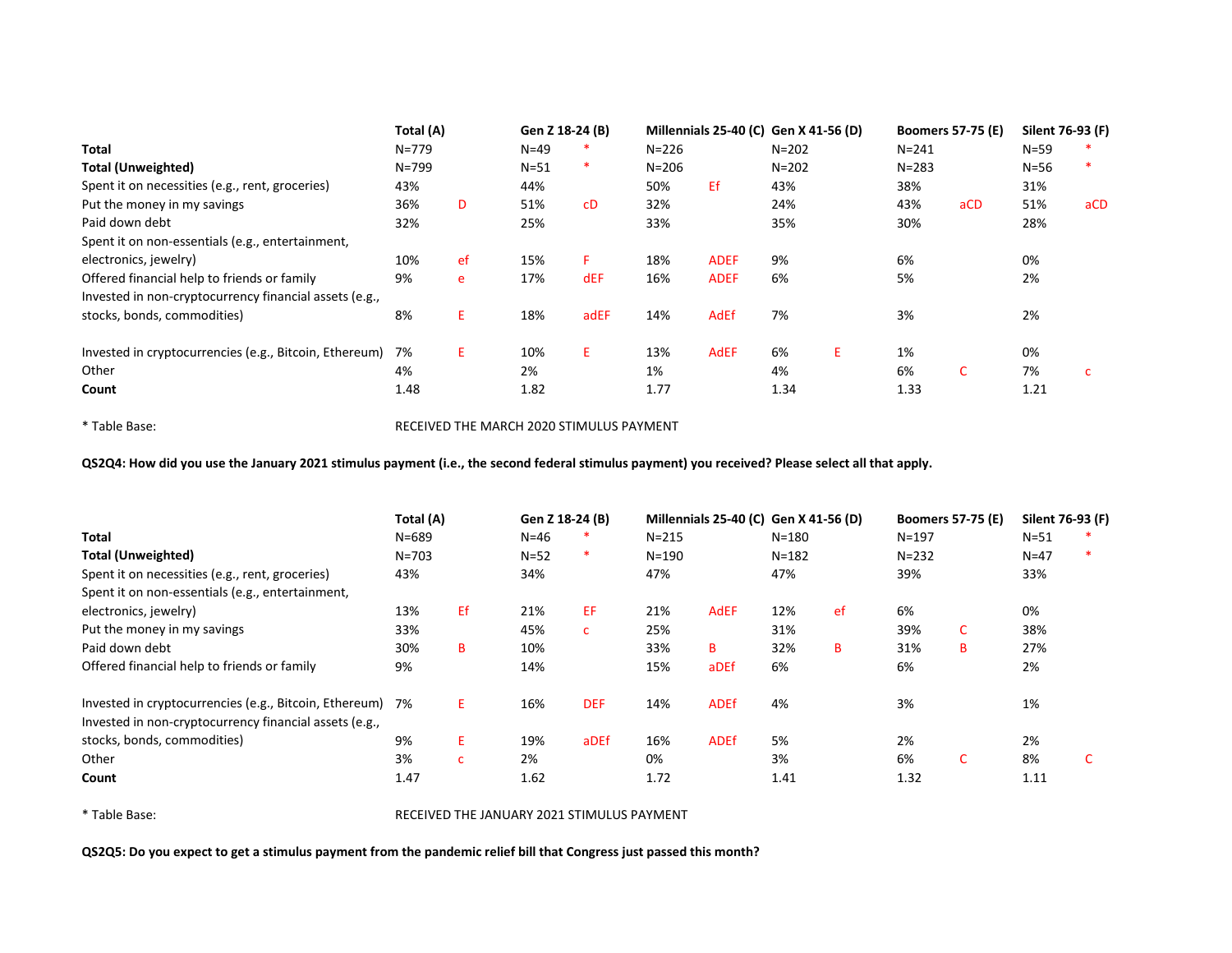|                                                        | Total (A) |    | Gen Z 18-24 (B) |            |           | Millennials 25-40 (C) Gen X 41-56 (D) |           |    | <b>Boomers 57-75 (E)</b> |     | Silent 76-93 (F) |     |
|--------------------------------------------------------|-----------|----|-----------------|------------|-----------|---------------------------------------|-----------|----|--------------------------|-----|------------------|-----|
| <b>Total</b>                                           | $N = 779$ |    | $N=49$          | ∗          | $N = 226$ |                                       | $N = 202$ |    | $N = 241$                |     | $N = 59$         |     |
| <b>Total (Unweighted)</b>                              | $N = 799$ |    | $N=51$          | *          | $N = 206$ |                                       | $N = 202$ |    | $N = 283$                |     | $N=56$           |     |
| Spent it on necessities (e.g., rent, groceries)        | 43%       |    | 44%             |            | 50%       | Εf                                    | 43%       |    | 38%                      |     | 31%              |     |
| Put the money in my savings                            | 36%       | D  | 51%             | cD         | 32%       |                                       | 24%       |    | 43%                      | aCD | 51%              | aCD |
| Paid down debt                                         | 32%       |    | 25%             |            | 33%       |                                       | 35%       |    | 30%                      |     | 28%              |     |
| Spent it on non-essentials (e.g., entertainment,       |           |    |                 |            |           |                                       |           |    |                          |     |                  |     |
| electronics, jewelry)                                  | 10%       | ef | 15%             | F.         | 18%       | <b>ADEF</b>                           | 9%        |    | 6%                       |     | 0%               |     |
| Offered financial help to friends or family            | 9%        | e  | 17%             | <b>dEF</b> | 16%       | <b>ADEF</b>                           | 6%        |    | 5%                       |     | 2%               |     |
| Invested in non-cryptocurrency financial assets (e.g., |           |    |                 |            |           |                                       |           |    |                          |     |                  |     |
| stocks, bonds, commodities)                            | 8%        | Ε. | 18%             | adEF       | 14%       | <b>AdEf</b>                           | 7%        |    | 3%                       |     | 2%               |     |
| Invested in cryptocurrencies (e.g., Bitcoin, Ethereum) | 7%        | E. | 10%             | E.         | 13%       | <b>AdEF</b>                           | 6%        | E. | 1%                       |     | 0%               |     |
| Other                                                  | 4%        |    | 2%              |            | 1%        |                                       | 4%        |    | 6%                       | C.  | 7%               |     |
| Count                                                  | 1.48      |    | 1.82            |            | 1.77      |                                       | 1.34      |    | 1.33                     |     | 1.21             |     |

\* Table Base: RECEIVED THE MARCH 2020 STIMULUS PAYMENT

QS2Q4: How did you use the January 2021 stimulus payment (i.e., the second federal stimulus payment) you received? Please select all that apply.

|                                                                                                                  | Total (A) |              | Gen Z 18-24 (B) |            |           | Millennials 25-40 (C) Gen X 41-56 (D) |           |    | <b>Boomers 57-75 (E)</b> |    | Silent 76-93 (F) |  |
|------------------------------------------------------------------------------------------------------------------|-----------|--------------|-----------------|------------|-----------|---------------------------------------|-----------|----|--------------------------|----|------------------|--|
| <b>Total</b>                                                                                                     | $N = 689$ |              | $N=46$          |            | $N = 215$ |                                       | $N = 180$ |    | $N = 197$                |    | $N = 51$         |  |
| <b>Total (Unweighted)</b>                                                                                        | $N = 703$ |              | $N=52$          | ∗          | $N = 190$ |                                       | $N = 182$ |    | $N = 232$                |    | $N=47$           |  |
| Spent it on necessities (e.g., rent, groceries)                                                                  | 43%       |              | 34%             |            | 47%       |                                       | 47%       |    | 39%                      |    | 33%              |  |
| Spent it on non-essentials (e.g., entertainment,                                                                 |           |              |                 |            |           |                                       |           |    |                          |    |                  |  |
| electronics, jewelry)                                                                                            | 13%       | Ef           | 21%             | EF.        | 21%       | <b>AdEF</b>                           | 12%       | ef | 6%                       |    | 0%               |  |
| Put the money in my savings                                                                                      | 33%       |              | 45%             | C.         | 25%       |                                       | 31%       |    | 39%                      | C. | 38%              |  |
| Paid down debt                                                                                                   | 30%       | B            | 10%             |            | 33%       | B                                     | 32%       | в  | 31%                      | B  | 27%              |  |
| Offered financial help to friends or family                                                                      | 9%        |              | 14%             |            | 15%       | aDEf                                  | 6%        |    | 6%                       |    | 2%               |  |
| Invested in cryptocurrencies (e.g., Bitcoin, Ethereum)<br>Invested in non-cryptocurrency financial assets (e.g., | 7%        | E.           | 16%             | <b>DEF</b> | 14%       | <b>ADEf</b>                           | 4%        |    | 3%                       |    | 1%               |  |
| stocks, bonds, commodities)                                                                                      | 9%        | E.           | 19%             | aDEf       | 16%       | <b>ADEf</b>                           | 5%        |    | 2%                       |    | 2%               |  |
| Other                                                                                                            | 3%        | $\mathbf{C}$ | 2%              |            | 0%        |                                       | 3%        |    | 6%                       | C. | 8%               |  |
| Count                                                                                                            | 1.47      |              | 1.62            |            | 1.72      |                                       | 1.41      |    | 1.32                     |    | 1.11             |  |

\* Table Base: RECEIVED THE JANUARY 2021 STIMULUS PAYMENT

QS2Q5: Do you expect to get a stimulus payment from the pandemic relief bill that Congress just passed this month?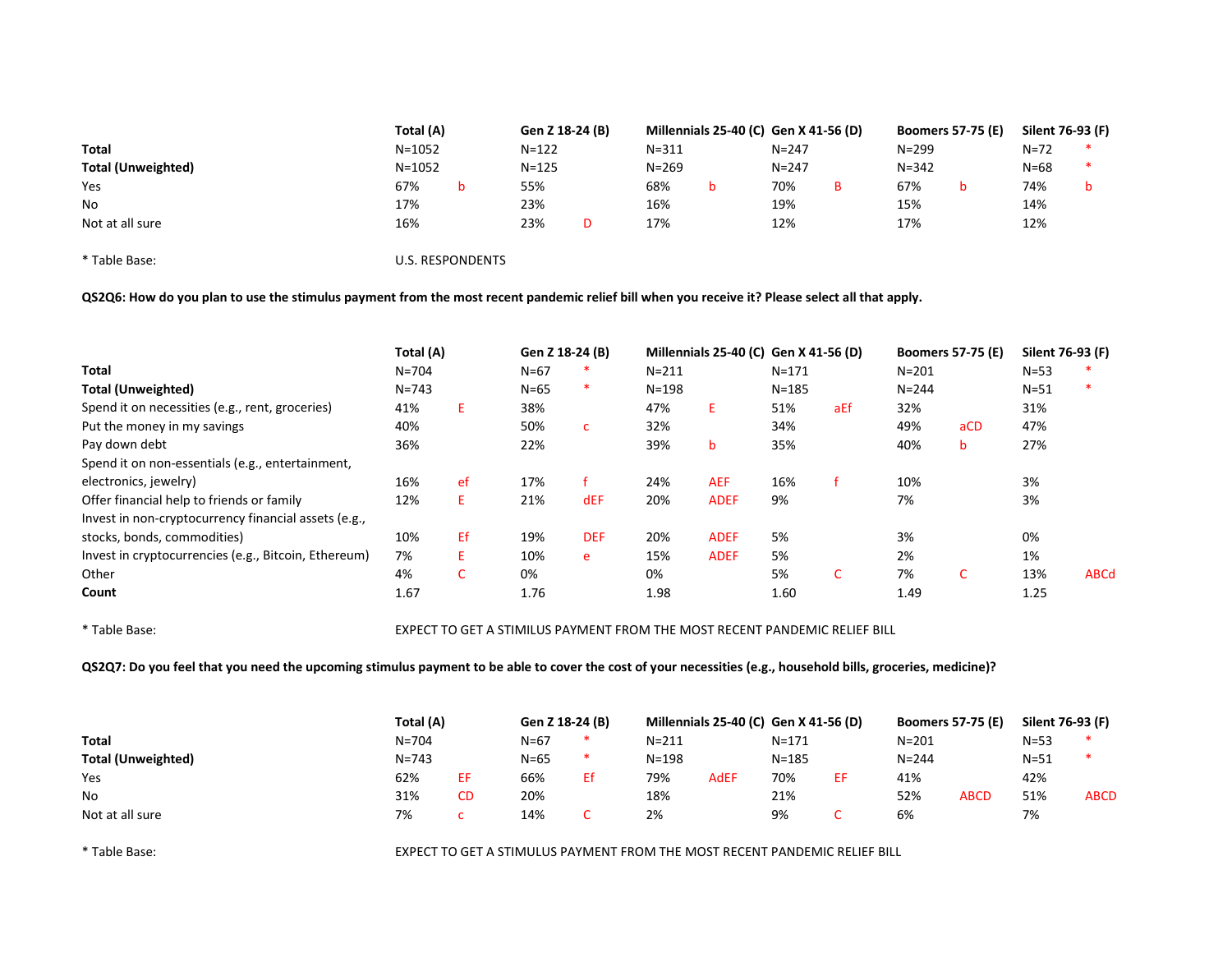|                           | Total (A)  | Gen Z 18-24 (B) |           | Millennials 25-40 (C) Gen X 41-56 (D) |           | <b>Boomers 57-75 (E)</b> | Silent 76-93 (F) |  |
|---------------------------|------------|-----------------|-----------|---------------------------------------|-----------|--------------------------|------------------|--|
| <b>Total</b>              | $N = 1052$ | $N = 122$       | $N = 311$ |                                       | $N = 247$ | $N = 299$                | $N = 72$         |  |
| <b>Total (Unweighted)</b> | $N = 1052$ | $N = 125$       | $N = 269$ |                                       | $N = 247$ | $N = 342$                | $N=68$           |  |
| Yes                       | 67%        | 55%             | 68%       |                                       | 70%       | 67%                      | 74%              |  |
| No                        | 17%        | 23%             | 16%       |                                       | 19%       | 15%                      | 14%              |  |
| Not at all sure           | 16%        | 23%             | 17%       |                                       | 12%       | 17%                      | 12%              |  |

\* Table Base: U.S. RESPONDENTS

QS2Q6: How do you plan to use the stimulus payment from the most recent pandemic relief bill when you receive it? Please select all that apply.

|                                                      | Total (A) |    | Gen Z 18-24 (B) |              |           | Millennials 25-40 (C) Gen X 41-56 (D) |           |     | <b>Boomers 57-75 (E)</b> |                 | Silent 76-93 (F) |             |
|------------------------------------------------------|-----------|----|-----------------|--------------|-----------|---------------------------------------|-----------|-----|--------------------------|-----------------|------------------|-------------|
| <b>Total</b>                                         | $N = 704$ |    | $N=67$          | *            | $N = 211$ |                                       | $N = 171$ |     | $N = 201$                |                 | $N = 53$         |             |
| <b>Total (Unweighted)</b>                            | $N = 743$ |    | $N=65$          | $\ast$       | $N = 198$ |                                       | $N = 185$ |     | $N = 244$                |                 | $N = 51$         | $\ast$      |
| Spend it on necessities (e.g., rent, groceries)      | 41%       | E. | 38%             |              | 47%       | E.                                    | 51%       | aEf | 32%                      |                 | 31%              |             |
| Put the money in my savings                          | 40%       |    | 50%             | $\mathsf{C}$ | 32%       |                                       | 34%       |     | 49%                      | aCD             | 47%              |             |
| Pay down debt                                        | 36%       |    | 22%             |              | 39%       | b                                     | 35%       |     | 40%                      | b               | 27%              |             |
| Spend it on non-essentials (e.g., entertainment,     |           |    |                 |              |           |                                       |           |     |                          |                 |                  |             |
| electronics, jewelry)                                | 16%       | ef | 17%             |              | 24%       | <b>AEF</b>                            | 16%       |     | 10%                      |                 | 3%               |             |
| Offer financial help to friends or family            | 12%       | E. | 21%             | dEF          | 20%       | <b>ADEF</b>                           | 9%        |     | 7%                       |                 | 3%               |             |
| Invest in non-cryptocurrency financial assets (e.g., |           |    |                 |              |           |                                       |           |     |                          |                 |                  |             |
| stocks, bonds, commodities)                          | 10%       | Ef | 19%             | <b>DEF</b>   | 20%       | <b>ADEF</b>                           | 5%        |     | 3%                       |                 | 0%               |             |
| Invest in cryptocurrencies (e.g., Bitcoin, Ethereum) | 7%        | E. | 10%             | e            | 15%       | <b>ADEF</b>                           | 5%        |     | 2%                       |                 | 1%               |             |
| Other                                                | 4%        | C  | 0%              |              | 0%        |                                       | 5%        | C.  | 7%                       | $\sqrt{2}$<br>U | 13%              | <b>ABCd</b> |
| Count                                                | 1.67      |    | 1.76            |              | 1.98      |                                       | 1.60      |     | 1.49                     |                 | 1.25             |             |

\* Table Base: EXPECT TO GET A STIMILUS PAYMENT FROM THE MOST RECENT PANDEMIC RELIEF BILL

QS2Q7: Do you feel that you need the upcoming stimulus payment to be able to cover the cost of your necessities (e.g., household bills, groceries, medicine)?

|                           | Total (A) |    | Gen Z 18-24 (B) |    | Millennials 25-40 (C) Gen X 41-56 (D) |             |           | <b>Boomers 57-75 (E)</b> |             | Silent 76-93 (F) |             |
|---------------------------|-----------|----|-----------------|----|---------------------------------------|-------------|-----------|--------------------------|-------------|------------------|-------------|
| Total                     | $N = 704$ |    | $N = 67$        | ∗  | $N = 211$                             |             | $N = 171$ | $N = 201$                |             | $N = 53$         | *           |
| <b>Total (Unweighted)</b> | $N = 743$ |    | $N = 65$        | ∗  | $N = 198$                             |             | $N = 185$ | $N = 244$                |             | $N = 51$         | $\ast$      |
| Yes                       | 62%       | ЕF | 66%             | Ef | 79%                                   | <b>AdEF</b> | 70%       | 41%                      |             | 42%              |             |
| No                        | 31%       | CD | 20%             |    | 18%                                   |             | 21%       | 52%                      | <b>ABCD</b> | 51%              | <b>ABCD</b> |
| Not at all sure           | 7%        |    | 14%             |    | 2%                                    |             | 9%        | 6%                       |             | 7%               |             |

\* Table Base: EXPECT TO GET A STIMULUS PAYMENT FROM THE MOST RECENT PANDEMIC RELIEF BILL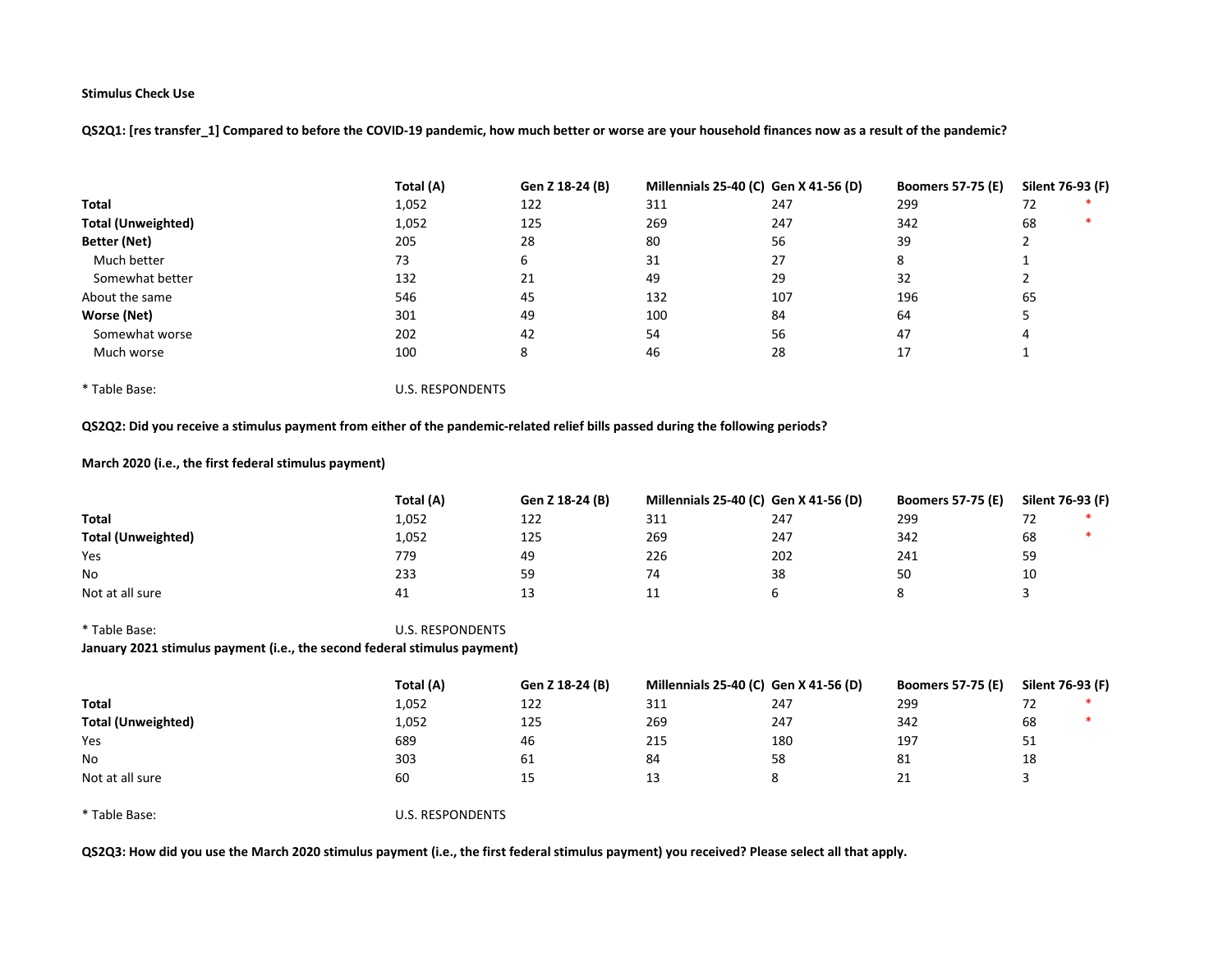QS2Q1: [res transfer\_1] Compared to before the COVID-19 pandemic, how much better or worse are your household finances now as a result of the pandemic?

|                           | Total (A) | Gen Z 18-24 (B) | Millennials 25-40 (C) Gen X 41-56 (D) |     | <b>Boomers 57-75 (E)</b> | Silent 76-93 (F) |
|---------------------------|-----------|-----------------|---------------------------------------|-----|--------------------------|------------------|
| <b>Total</b>              | 1,052     | 122             | 311                                   | 247 | 299                      | 72               |
| <b>Total (Unweighted)</b> | 1,052     | 125             | 269                                   | 247 | 342                      | 68               |
| Better (Net)              | 205       | 28              | 80                                    | 56  | 39                       |                  |
| Much better               | 73        | 6               | 31                                    | 27  | 8                        |                  |
| Somewhat better           | 132       | 21              | 49                                    | 29  | 32                       |                  |
| About the same            | 546       | 45              | 132                                   | 107 | 196                      | 65               |
| Worse (Net)               | 301       | 49              | 100                                   | 84  | 64                       |                  |
| Somewhat worse            | 202       | 42              | 54                                    | 56  | 47                       | 4                |
| Much worse                | 100       | 8               | 46                                    | 28  | 17                       |                  |

\* Table Base: U.S. RESPONDENTS

# QS2Q2: Did you receive a stimulus payment from either of the pandemic-related relief bills passed during the following periods?

# March 2020 (i.e., the first federal stimulus payment)

|                           | Total (A) | Gen Z 18-24 (B) | Millennials 25-40 (C) Gen X 41-56 (D) |     | <b>Boomers 57-75 (E)</b> | Silent 76-93 (F) |  |
|---------------------------|-----------|-----------------|---------------------------------------|-----|--------------------------|------------------|--|
| <b>Total</b>              | 1,052     | 122             | 311                                   | 247 | 299                      | רד<br>. .        |  |
| <b>Total (Unweighted)</b> | 1,052     | 125             | 269                                   | 247 | 342                      | 68               |  |
| Yes                       | 779       | 49              | 226                                   | 202 | 241                      | 59               |  |
| No                        | 233       | 59              | 74                                    | 38  | 50                       | 10               |  |
| Not at all sure           | 41        | 13              | ᆠ                                     |     |                          |                  |  |

# \* Table Base: U.S. RESPONDENTS January 2021 stimulus payment (i.e., the second federal stimulus payment)

|                           | Total (A) | Gen Z 18-24 (B) | Millennials 25-40 (C) Gen X 41-56 (D) |     | <b>Boomers 57-75 (E)</b> | Silent 76-93 (F) |  |
|---------------------------|-----------|-----------------|---------------------------------------|-----|--------------------------|------------------|--|
| <b>Total</b>              | 1,052     | 122             | 311                                   | 247 | 299                      |                  |  |
| <b>Total (Unweighted)</b> | 1,052     | 125             | 269                                   | 247 | 342                      | 68               |  |
| Yes                       | 689       | 46              | 215                                   | 180 | 197                      | 51               |  |
| No                        | 303       | 61              | 84                                    | 58  | 81                       | 18               |  |
| Not at all sure           | 60        | 15              | 13                                    |     | 21                       |                  |  |
|                           |           |                 |                                       |     |                          |                  |  |

\* Table Base: U.S. RESPONDENTS

QS2Q3: How did you use the March 2020 stimulus payment (i.e., the first federal stimulus payment) you received? Please select all that apply.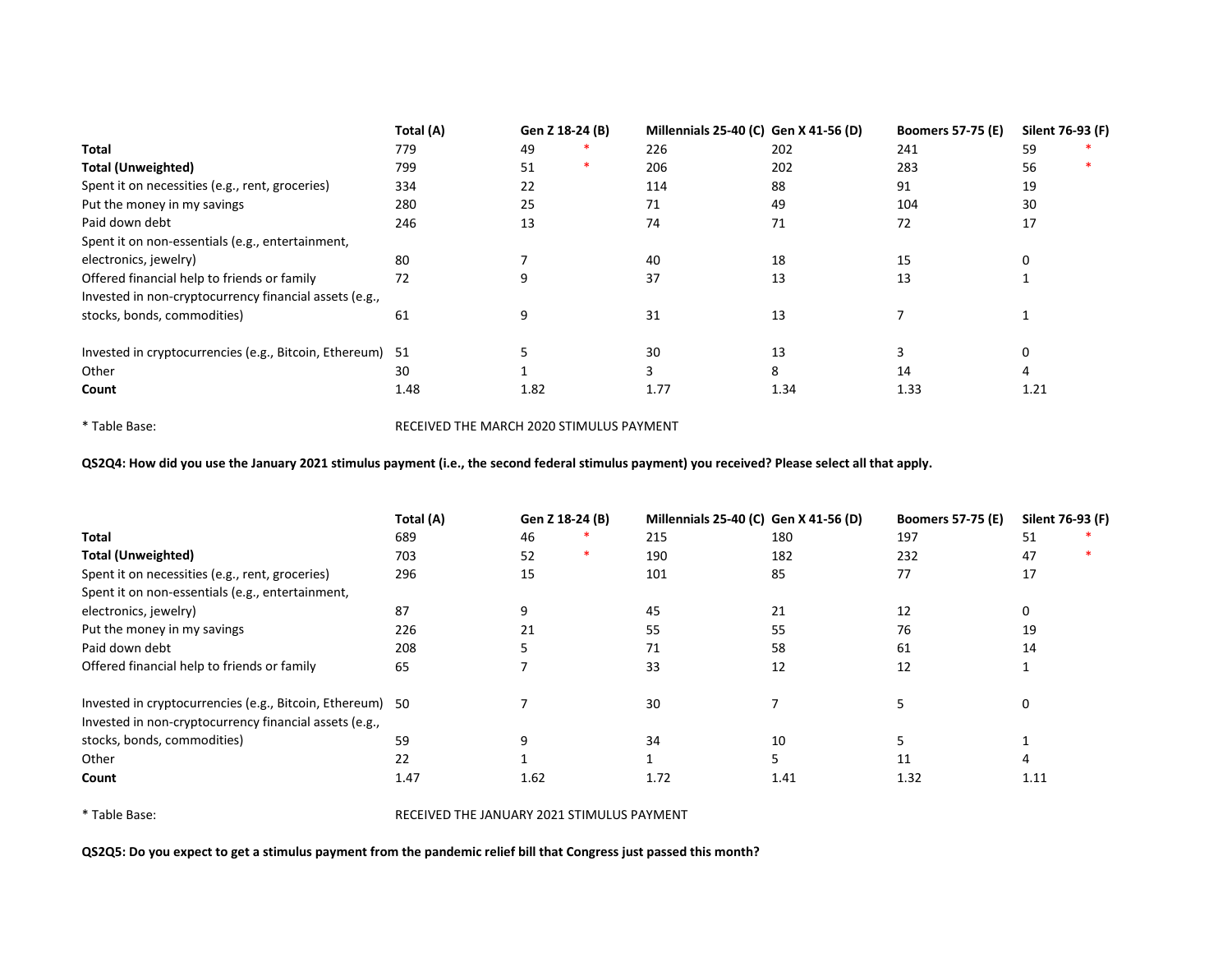|                                                           | Total (A) | Gen Z 18-24 (B) |   | Millennials 25-40 (C) Gen X 41-56 (D) |      | <b>Boomers 57-75 (E)</b> | Silent 76-93 (F) |  |
|-----------------------------------------------------------|-----------|-----------------|---|---------------------------------------|------|--------------------------|------------------|--|
| <b>Total</b>                                              | 779       | 49              |   | 226                                   | 202  | 241                      | 59               |  |
| <b>Total (Unweighted)</b>                                 | 799       | 51              | ∗ | 206                                   | 202  | 283                      | 56               |  |
| Spent it on necessities (e.g., rent, groceries)           | 334       | 22              |   | 114                                   | 88   | 91                       | 19               |  |
| Put the money in my savings                               | 280       | 25              |   | 71                                    | 49   | 104                      | 30               |  |
| Paid down debt                                            | 246       | 13              |   | 74                                    | 71   | 72                       | 17               |  |
| Spent it on non-essentials (e.g., entertainment,          |           |                 |   |                                       |      |                          |                  |  |
| electronics, jewelry)                                     | 80        |                 |   | 40                                    | 18   | 15                       |                  |  |
| Offered financial help to friends or family               | 72        | 9               |   | 37                                    | 13   | 13                       |                  |  |
| Invested in non-cryptocurrency financial assets (e.g.,    |           |                 |   |                                       |      |                          |                  |  |
| stocks, bonds, commodities)                               | 61        | 9               |   | 31                                    | 13   |                          |                  |  |
| Invested in cryptocurrencies (e.g., Bitcoin, Ethereum) 51 |           |                 |   | 30                                    | 13   |                          | 0                |  |
| Other                                                     | 30        |                 |   |                                       | 8    | 14                       | 4                |  |
| Count                                                     | 1.48      | 1.82            |   | 1.77                                  | 1.34 | 1.33                     | 1.21             |  |

\* Table Base: RECEIVED THE MARCH 2020 STIMULUS PAYMENT

QS2Q4: How did you use the January 2021 stimulus payment (i.e., the second federal stimulus payment) you received? Please select all that apply.

|                                                           | Total (A) | Gen Z 18-24 (B) |  | Millennials 25-40 (C) Gen X 41-56 (D) |      | <b>Boomers 57-75 (E)</b> |          | Silent 76-93 (F) |
|-----------------------------------------------------------|-----------|-----------------|--|---------------------------------------|------|--------------------------|----------|------------------|
| Total                                                     | 689       | 46              |  | 215                                   | 180  | 197                      | 51       |                  |
| <b>Total (Unweighted)</b>                                 | 703       | 52              |  | 190                                   | 182  | 232                      | 47       |                  |
| Spent it on necessities (e.g., rent, groceries)           | 296       | 15              |  | 101                                   | 85   | 77                       | 17       |                  |
| Spent it on non-essentials (e.g., entertainment,          |           |                 |  |                                       |      |                          |          |                  |
| electronics, jewelry)                                     | 87        | 9               |  | 45                                    | 21   | 12                       | 0        |                  |
| Put the money in my savings                               | 226       | 21              |  | 55                                    | 55   | 76                       | 19       |                  |
| Paid down debt                                            | 208       |                 |  | 71                                    | 58   | 61                       | 14       |                  |
| Offered financial help to friends or family               | 65        |                 |  | 33                                    | 12   | 12                       |          |                  |
| Invested in cryptocurrencies (e.g., Bitcoin, Ethereum) 50 |           |                 |  | 30                                    |      |                          | $\Omega$ |                  |
| Invested in non-cryptocurrency financial assets (e.g.,    |           |                 |  |                                       |      |                          |          |                  |
| stocks, bonds, commodities)                               | 59        | q               |  | 34                                    | 10   |                          |          |                  |
| Other                                                     | 22        |                 |  |                                       |      | 11                       |          |                  |
| Count                                                     | 1.47      | 1.62            |  | 1.72                                  | 1.41 | 1.32                     | 1.11     |                  |

\* Table Base: RECEIVED THE JANUARY 2021 STIMULUS PAYMENT

QS2Q5: Do you expect to get a stimulus payment from the pandemic relief bill that Congress just passed this month?